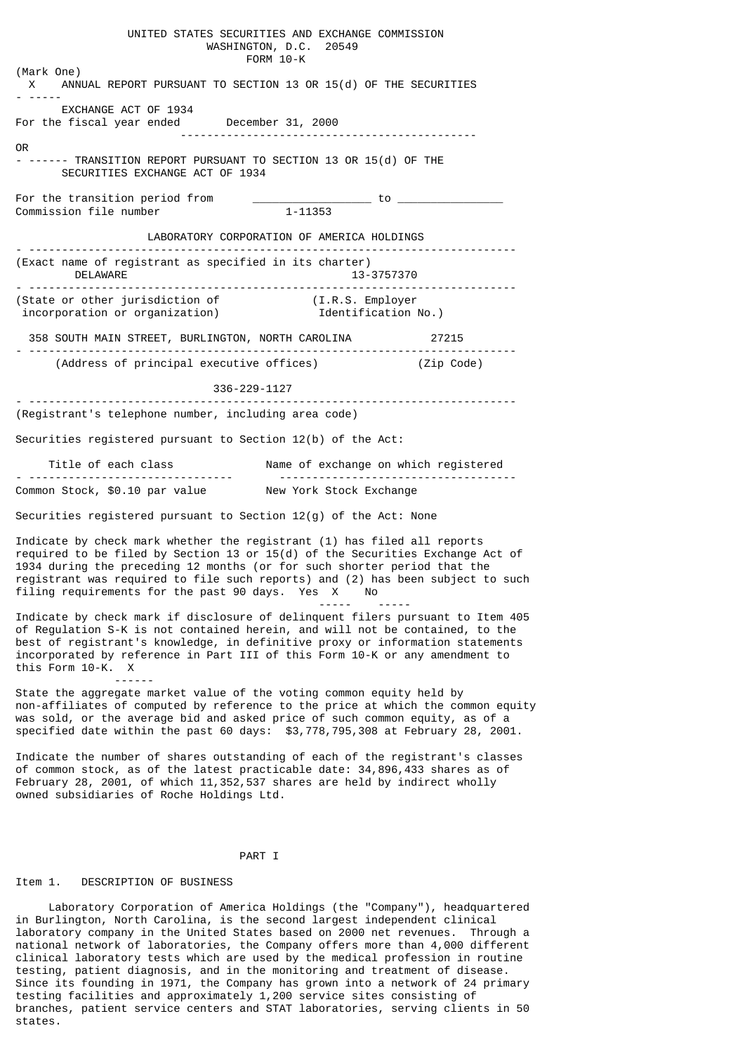UNITED STATES SECURITIES AND EXCHANGE COMMISSION WASHINGTON, D.C. 20549 FORM 10-K (Mark One) X ANNUAL REPORT PURSUANT TO SECTION 13 OR 15(d) OF THE SECURITIES - ----- EXCHANGE ACT OF 1934 For the fiscal year ended December 31, 2000 --------------------------------------------- OR - ------ TRANSITION REPORT PURSUANT TO SECTION 13 OR 15(d) OF THE SECURITIES EXCHANGE ACT OF 1934 For the transition period from  $\overline{\phantom{a_{r_{m}}}}$  to  $\overline{\phantom{a_{r_{m}}}}$  to  $\overline{\phantom{a_{r_{m}}}}$  to  $\overline{\phantom{a_{r_{m}}}}$ Commission file number LABORATORY CORPORATION OF AMERICA HOLDINGS - -------------------------------------------------------------------------- (Exact name of registrant as specified in its charter)<br>13-37 13-37 DELAWARE 13-3757370 - -------------------------------------------------------------------------- (State or other jurisdiction of (I.R.S. Employer incorporation or organization) Identification No.) 358 SOUTH MAIN STREET, BURLINGTON, NORTH CAROLINA 27215 - -------------------------------------------------------------------------- (Address of principal executive offices) (Zip Code) 336-229-1127 - -------------------------------------------------------------------------- (Registrant's telephone number, including area code) Securities registered pursuant to Section 12(b) of the Act: Title of each class Name of exchange on which registered - ------------------------------- ------------------------------------  $Common Stock.$  \$0.10 par value Securities registered pursuant to Section 12(g) of the Act: None Indicate by check mark whether the registrant (1) has filed all reports required to be filed by Section 13 or  $15(d)$  of the Securities Exchange Act of 1934 during the preceding 12 months (or for such shorter period that the registrant was required to file such reports) and (2) has been subject to such filing requirements for the past 90 days. Yes X No ----- ----- Indicate by check mark if disclosure of delinquent filers pursuant to Item 405 of Regulation S-K is not contained herein, and will not be contained, to the best of registrant's knowledge, in definitive proxy or information statements incorporated by reference in Part III of this Form 10-K or any amendment to this Form 10-K. X

 ------ State the aggregate market value of the voting common equity held by non-affiliates of computed by reference to the price at which the common equity was sold, or the average bid and asked price of such common equity, as of a specified date within the past 60 days: \$3,778,795,308 at February 28, 2001.

Indicate the number of shares outstanding of each of the registrant's classes of common stock, as of the latest practicable date: 34,896,433 shares as of February 28, 2001, of which 11,352,537 shares are held by indirect wholly owned subsidiaries of Roche Holdings Ltd.

# PART I

#### Item 1. DESCRIPTION OF BUSINESS

 Laboratory Corporation of America Holdings (the "Company"), headquartered in Burlington, North Carolina, is the second largest independent clinical laboratory company in the United States based on 2000 net revenues. Through a national network of laboratories, the Company offers more than 4,000 different clinical laboratory tests which are used by the medical profession in routine testing, patient diagnosis, and in the monitoring and treatment of disease. Since its founding in 1971, the Company has grown into a network of 24 primary testing facilities and approximately 1,200 service sites consisting of branches, patient service centers and STAT laboratories, serving clients in 50 states.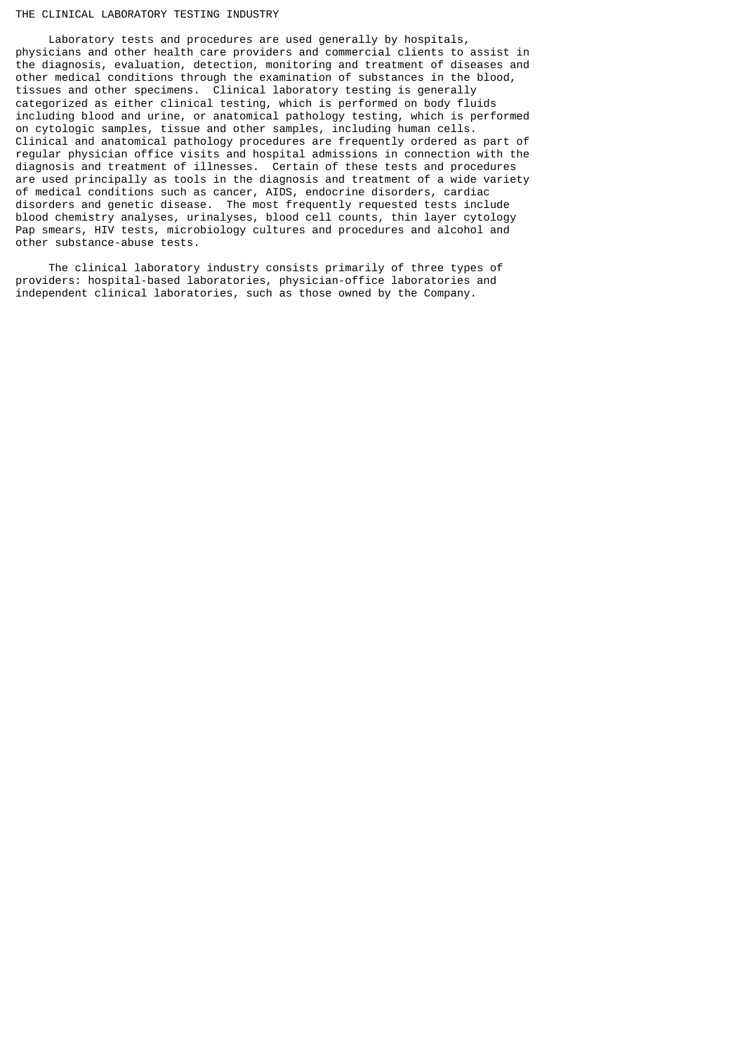### THE CLINICAL LABORATORY TESTING INDUSTRY

 Laboratory tests and procedures are used generally by hospitals, physicians and other health care providers and commercial clients to assist in the diagnosis, evaluation, detection, monitoring and treatment of diseases and other medical conditions through the examination of substances in the blood, tissues and other specimens. Clinical laboratory testing is generally categorized as either clinical testing, which is performed on body fluids including blood and urine, or anatomical pathology testing, which is performed on cytologic samples, tissue and other samples, including human cells. Clinical and anatomical pathology procedures are frequently ordered as part of regular physician office visits and hospital admissions in connection with the diagnosis and treatment of illnesses. Certain of these tests and procedures are used principally as tools in the diagnosis and treatment of a wide variety of medical conditions such as cancer, AIDS, endocrine disorders, cardiac disorders and genetic disease. The most frequently requested tests include blood chemistry analyses, urinalyses, blood cell counts, thin layer cytology Pap smears, HIV tests, microbiology cultures and procedures and alcohol and other substance-abuse tests.

 The clinical laboratory industry consists primarily of three types of providers: hospital-based laboratories, physician-office laboratories and independent clinical laboratories, such as those owned by the Company.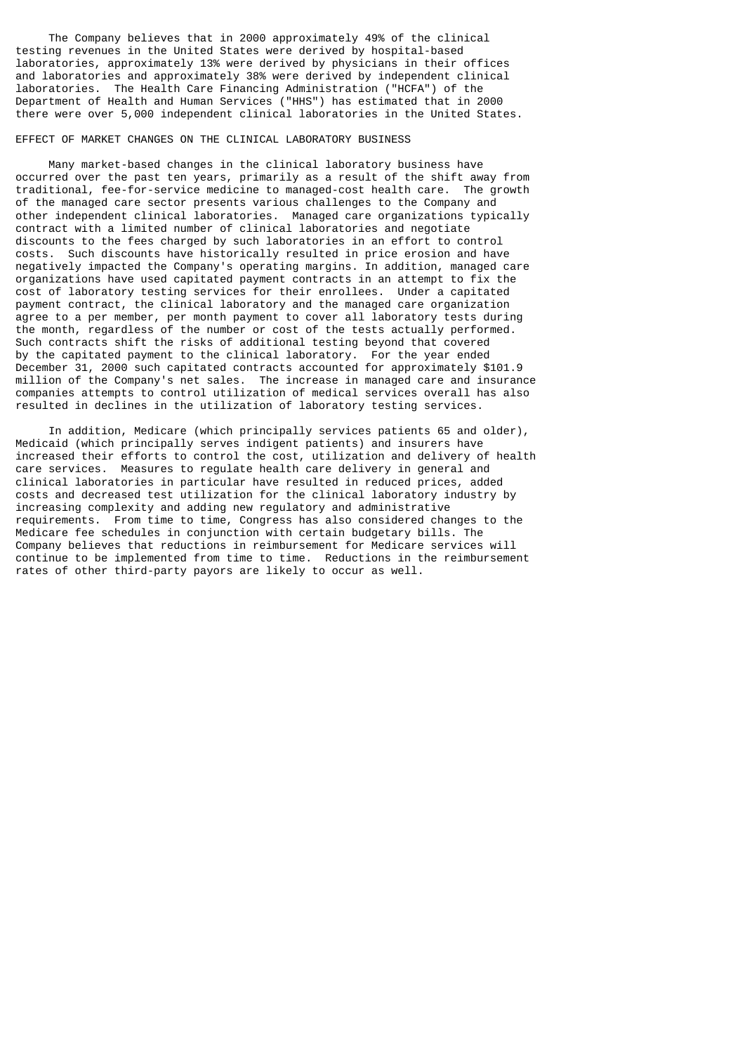The Company believes that in 2000 approximately 49% of the clinical testing revenues in the United States were derived by hospital-based laboratories, approximately 13% were derived by physicians in their offices and laboratories and approximately 38% were derived by independent clinical laboratories. The Health Care Financing Administration ("HCFA") of the Department of Health and Human Services ("HHS") has estimated that in 2000 there were over 5,000 independent clinical laboratories in the United States.

### EFFECT OF MARKET CHANGES ON THE CLINICAL LABORATORY BUSINESS

 Many market-based changes in the clinical laboratory business have occurred over the past ten years, primarily as a result of the shift away from traditional, fee-for-service medicine to managed-cost health care. The growth of the managed care sector presents various challenges to the Company and other independent clinical laboratories. Managed care organizations typically contract with a limited number of clinical laboratories and negotiate discounts to the fees charged by such laboratories in an effort to control costs. Such discounts have historically resulted in price erosion and have negatively impacted the Company's operating margins. In addition, managed care organizations have used capitated payment contracts in an attempt to fix the cost of laboratory testing services for their enrollees. Under a capitated payment contract, the clinical laboratory and the managed care organization agree to a per member, per month payment to cover all laboratory tests during the month, regardless of the number or cost of the tests actually performed. Such contracts shift the risks of additional testing beyond that covered by the capitated payment to the clinical laboratory. For the year ended December 31, 2000 such capitated contracts accounted for approximately \$101.9 million of the Company's net sales. The increase in managed care and insurance companies attempts to control utilization of medical services overall has also resulted in declines in the utilization of laboratory testing services.

 In addition, Medicare (which principally services patients 65 and older), Medicaid (which principally serves indigent patients) and insurers have increased their efforts to control the cost, utilization and delivery of health care services. Measures to regulate health care delivery in general and clinical laboratories in particular have resulted in reduced prices, added costs and decreased test utilization for the clinical laboratory industry by increasing complexity and adding new regulatory and administrative requirements. From time to time, Congress has also considered changes to the Medicare fee schedules in conjunction with certain budgetary bills. The Company believes that reductions in reimbursement for Medicare services will continue to be implemented from time to time. Reductions in the reimbursement rates of other third-party payors are likely to occur as well.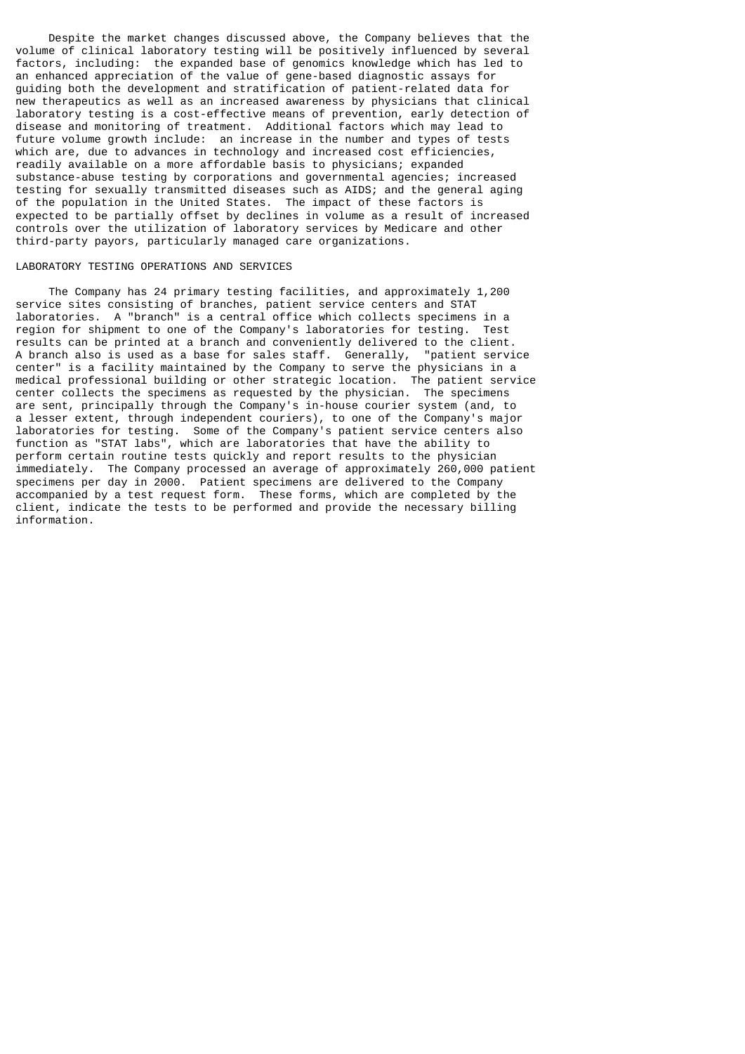Despite the market changes discussed above, the Company believes that the volume of clinical laboratory testing will be positively influenced by several factors, including: the expanded base of genomics knowledge which has led to an enhanced appreciation of the value of gene-based diagnostic assays for guiding both the development and stratification of patient-related data for new therapeutics as well as an increased awareness by physicians that clinical laboratory testing is a cost-effective means of prevention, early detection of disease and monitoring of treatment. Additional factors which may lead to future volume growth include: an increase in the number and types of tests which are, due to advances in technology and increased cost efficiencies, readily available on a more affordable basis to physicians; expanded substance-abuse testing by corporations and governmental agencies; increased testing for sexually transmitted diseases such as AIDS; and the general aging of the population in the United States. The impact of these factors is expected to be partially offset by declines in volume as a result of increased controls over the utilization of laboratory services by Medicare and other third-party payors, particularly managed care organizations.

# LABORATORY TESTING OPERATIONS AND SERVICES

 The Company has 24 primary testing facilities, and approximately 1,200 service sites consisting of branches, patient service centers and STAT laboratories. A "branch" is a central office which collects specimens in a region for shipment to one of the Company's laboratories for testing. Test results can be printed at a branch and conveniently delivered to the client.<br>A branch also is used as a base for sales staff. Generally, "patient service A branch also is used as a base for sales staff. Generally, center" is a facility maintained by the Company to serve the physicians in a medical professional building or other strategic location. The patient service center collects the specimens as requested by the physician. The specimens are sent, principally through the Company's in-house courier system (and, to a lesser extent, through independent couriers), to one of the Company's major laboratories for testing. Some of the Company's patient service centers also function as "STAT labs", which are laboratories that have the ability to perform certain routine tests quickly and report results to the physician immediately. The Company processed an average of approximately 260,000 patient specimens per day in 2000. Patient specimens are delivered to the Company accompanied by a test request form. These forms, which are completed by the client, indicate the tests to be performed and provide the necessary billing information.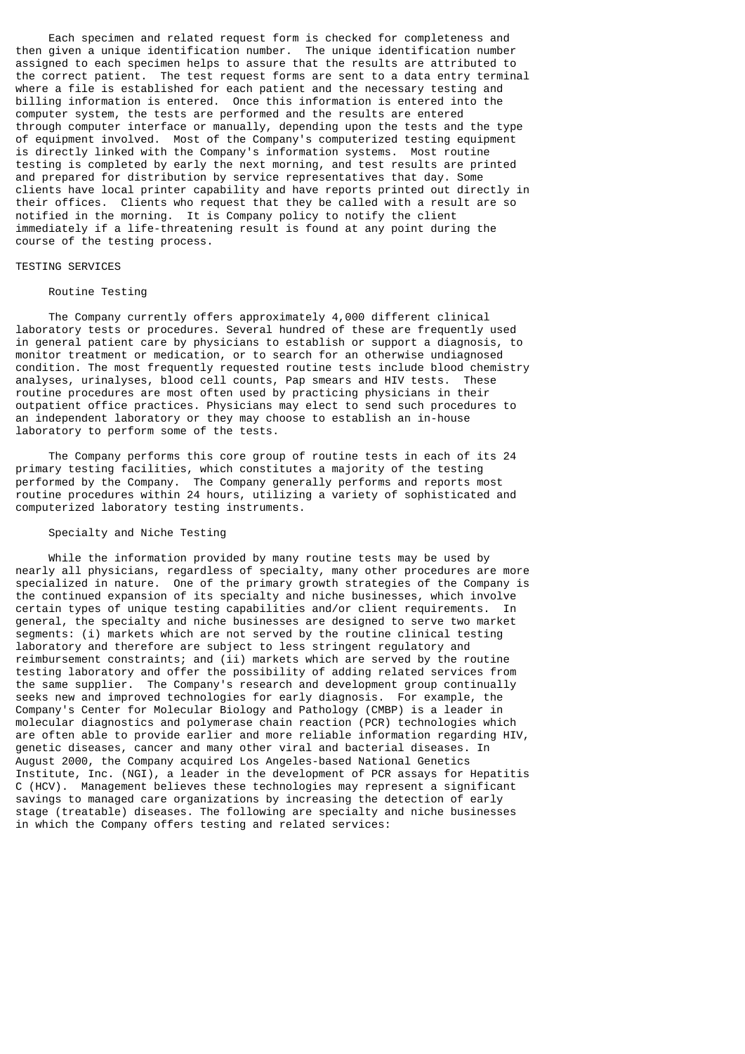Each specimen and related request form is checked for completeness and then given a unique identification number. The unique identification number assigned to each specimen helps to assure that the results are attributed to the correct patient. The test request forms are sent to a data entry terminal where a file is established for each patient and the necessary testing and billing information is entered. Once this information is entered into the computer system, the tests are performed and the results are entered through computer interface or manually, depending upon the tests and the type of equipment involved. Most of the Company's computerized testing equipment is directly linked with the Company's information systems. Most routine testing is completed by early the next morning, and test results are printed and prepared for distribution by service representatives that day. Some clients have local printer capability and have reports printed out directly in their offices. Clients who request that they be called with a result are so notified in the morning. It is Company policy to notify the client immediately if a life-threatening result is found at any point during the course of the testing process.

# TESTING SERVICES

#### Routine Testing

 The Company currently offers approximately 4,000 different clinical laboratory tests or procedures. Several hundred of these are frequently used in general patient care by physicians to establish or support a diagnosis, to monitor treatment or medication, or to search for an otherwise undiagnosed condition. The most frequently requested routine tests include blood chemistry analyses, urinalyses, blood cell counts, Pap smears and HIV tests. These routine procedures are most often used by practicing physicians in their outpatient office practices. Physicians may elect to send such procedures to an independent laboratory or they may choose to establish an in-house laboratory to perform some of the tests.

 The Company performs this core group of routine tests in each of its 24 primary testing facilities, which constitutes a majority of the testing performed by the Company. The Company generally performs and reports most routine procedures within 24 hours, utilizing a variety of sophisticated and computerized laboratory testing instruments.

## Specialty and Niche Testing

 While the information provided by many routine tests may be used by nearly all physicians, regardless of specialty, many other procedures are more specialized in nature. One of the primary growth strategies of the Company is the continued expansion of its specialty and niche businesses, which involve certain types of unique testing capabilities and/or client requirements. In general, the specialty and niche businesses are designed to serve two market segments: (i) markets which are not served by the routine clinical testing laboratory and therefore are subject to less stringent regulatory and reimbursement constraints; and (ii) markets which are served by the routine testing laboratory and offer the possibility of adding related services from the same supplier. The Company's research and development group continually seeks new and improved technologies for early diagnosis. For example, the Company's Center for Molecular Biology and Pathology (CMBP) is a leader in molecular diagnostics and polymerase chain reaction (PCR) technologies which are often able to provide earlier and more reliable information regarding HIV, genetic diseases, cancer and many other viral and bacterial diseases. In August 2000, the Company acquired Los Angeles-based National Genetics Institute, Inc. (NGI), a leader in the development of PCR assays for Hepatitis C (HCV). Management believes these technologies may represent a significant savings to managed care organizations by increasing the detection of early stage (treatable) diseases. The following are specialty and niche businesses in which the Company offers testing and related services: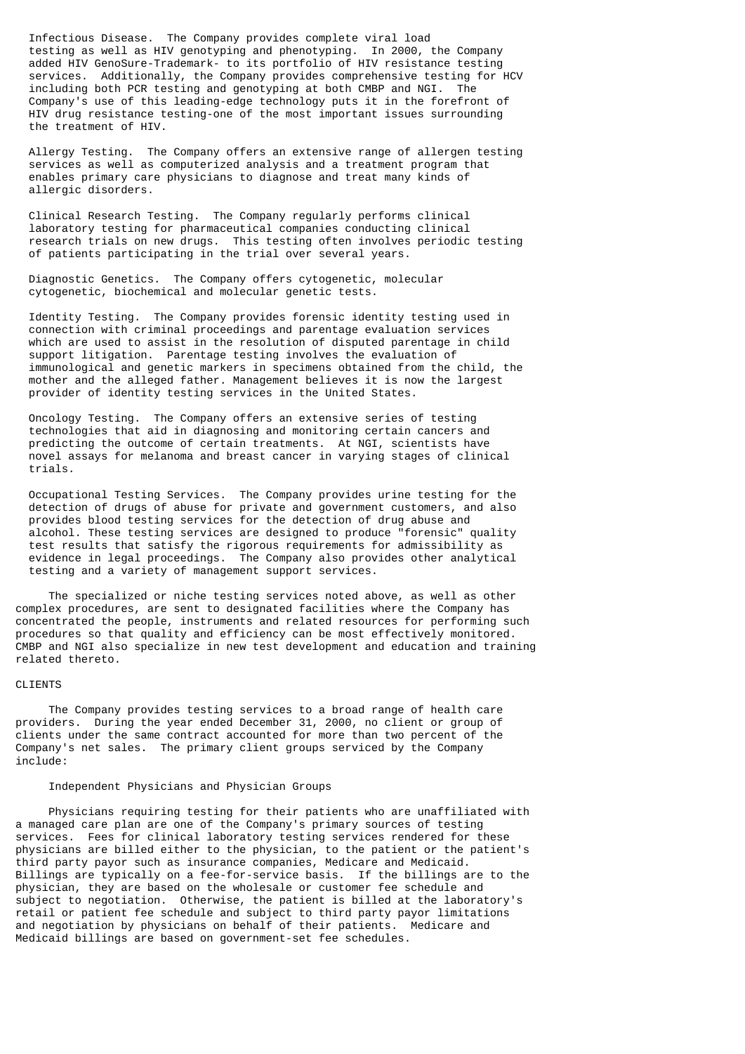Infectious Disease. The Company provides complete viral load testing as well as HIV genotyping and phenotyping. In 2000, the Company added HIV GenoSure-Trademark- to its portfolio of HIV resistance testing services. Additionally, the Company provides comprehensive testing for HCV including both PCR testing and genotyping at both CMBP and NGI. The Company's use of this leading-edge technology puts it in the forefront of HIV drug resistance testing-one of the most important issues surrounding the treatment of HIV.

 Allergy Testing. The Company offers an extensive range of allergen testing services as well as computerized analysis and a treatment program that enables primary care physicians to diagnose and treat many kinds of allergic disorders.

 Clinical Research Testing. The Company regularly performs clinical laboratory testing for pharmaceutical companies conducting clinical research trials on new drugs. This testing often involves periodic testing of patients participating in the trial over several years.

 Diagnostic Genetics. The Company offers cytogenetic, molecular cytogenetic, biochemical and molecular genetic tests.

 Identity Testing. The Company provides forensic identity testing used in connection with criminal proceedings and parentage evaluation services which are used to assist in the resolution of disputed parentage in child support litigation. Parentage testing involves the evaluation of immunological and genetic markers in specimens obtained from the child, the mother and the alleged father. Management believes it is now the largest provider of identity testing services in the United States.

 Oncology Testing. The Company offers an extensive series of testing technologies that aid in diagnosing and monitoring certain cancers and predicting the outcome of certain treatments. At NGI, scientists have novel assays for melanoma and breast cancer in varying stages of clinical trials.

 Occupational Testing Services. The Company provides urine testing for the detection of drugs of abuse for private and government customers, and also provides blood testing services for the detection of drug abuse and alcohol. These testing services are designed to produce "forensic" quality test results that satisfy the rigorous requirements for admissibility as evidence in legal proceedings. The Company also provides other analytical testing and a variety of management support services.

 The specialized or niche testing services noted above, as well as other complex procedures, are sent to designated facilities where the Company has concentrated the people, instruments and related resources for performing such procedures so that quality and efficiency can be most effectively monitored. CMBP and NGI also specialize in new test development and education and training related thereto.

### CLIENTS

 The Company provides testing services to a broad range of health care providers. During the year ended December 31, 2000, no client or group of clients under the same contract accounted for more than two percent of the Company's net sales. The primary client groups serviced by the Company include:

# Independent Physicians and Physician Groups

 Physicians requiring testing for their patients who are unaffiliated with a managed care plan are one of the Company's primary sources of testing services. Fees for clinical laboratory testing services rendered for these physicians are billed either to the physician, to the patient or the patient's third party payor such as insurance companies, Medicare and Medicaid. Billings are typically on a fee-for-service basis. If the billings are to the physician, they are based on the wholesale or customer fee schedule and subject to negotiation. Otherwise, the patient is billed at the laboratory's retail or patient fee schedule and subject to third party payor limitations and negotiation by physicians on behalf of their patients. Medicare and Medicaid billings are based on government-set fee schedules.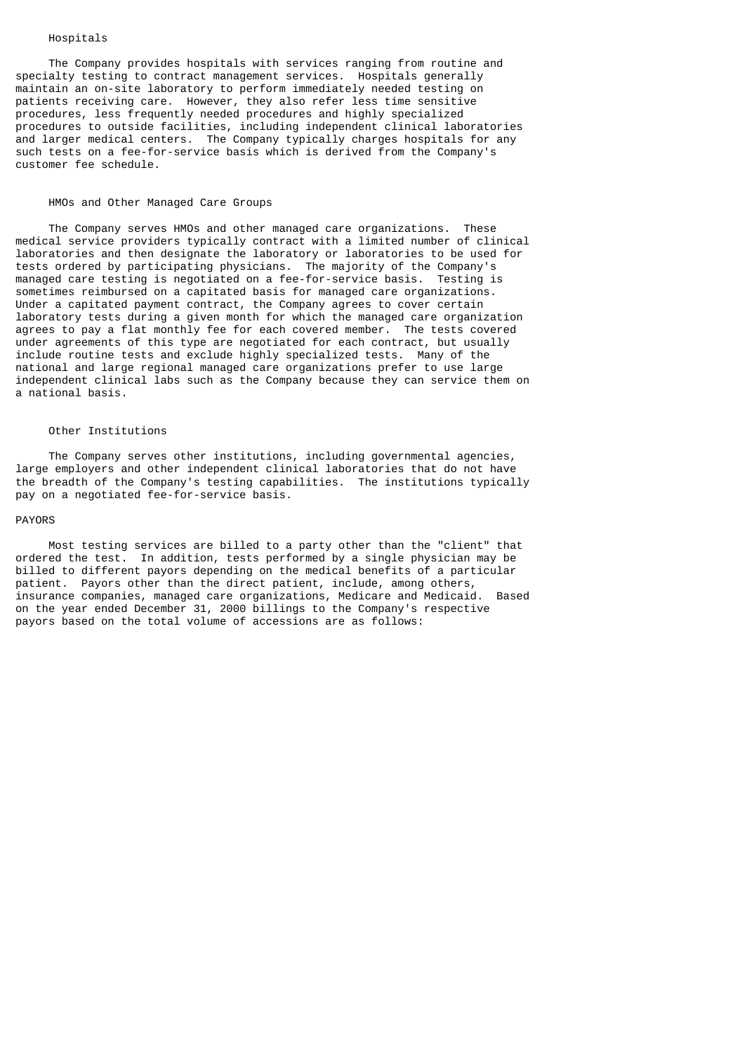#### Hospitals

 The Company provides hospitals with services ranging from routine and specialty testing to contract management services. Hospitals generally maintain an on-site laboratory to perform immediately needed testing on patients receiving care. However, they also refer less time sensitive procedures, less frequently needed procedures and highly specialized procedures to outside facilities, including independent clinical laboratories and larger medical centers. The Company typically charges hospitals for any such tests on a fee-for-service basis which is derived from the Company's customer fee schedule.

# HMOs and Other Managed Care Groups

 The Company serves HMOs and other managed care organizations. These medical service providers typically contract with a limited number of clinical laboratories and then designate the laboratory or laboratories to be used for tests ordered by participating physicians. The majority of the Company's managed care testing is negotiated on a fee-for-service basis. Testing is sometimes reimbursed on a capitated basis for managed care organizations. Under a capitated payment contract, the Company agrees to cover certain laboratory tests during a given month for which the managed care organization agrees to pay a flat monthly fee for each covered member. The tests covered under agreements of this type are negotiated for each contract, but usually include routine tests and exclude highly specialized tests. Many of the national and large regional managed care organizations prefer to use large independent clinical labs such as the Company because they can service them on a national basis.

#### Other Institutions

 The Company serves other institutions, including governmental agencies, large employers and other independent clinical laboratories that do not have the breadth of the Company's testing capabilities. The institutions typically pay on a negotiated fee-for-service basis.

#### PAYORS

 Most testing services are billed to a party other than the "client" that ordered the test. In addition, tests performed by a single physician may be billed to different payors depending on the medical benefits of a particular patient. Payors other than the direct patient, include, among others, insurance companies, managed care organizations, Medicare and Medicaid. Based on the year ended December 31, 2000 billings to the Company's respective payors based on the total volume of accessions are as follows: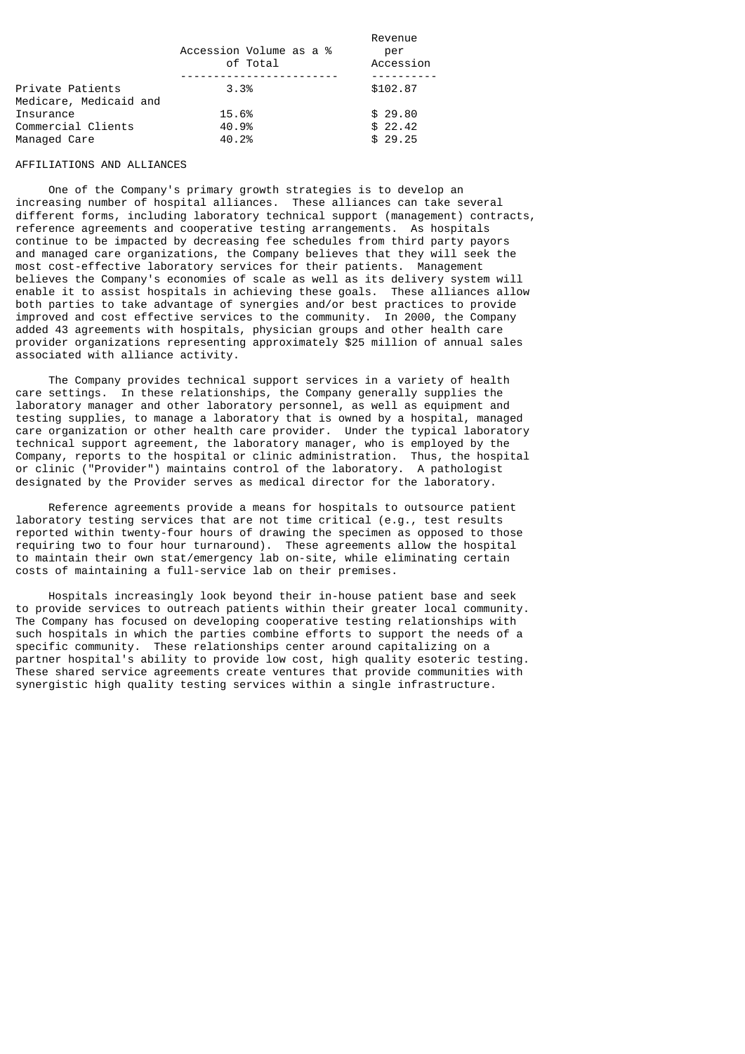|                                                 | Accession Volume as a %<br>of Total | Revenue<br>per<br>Accession   |
|-------------------------------------------------|-------------------------------------|-------------------------------|
| Private Patients<br>Medicare, Medicaid and      | 3.3%                                | \$102.87                      |
| Insurance<br>Commercial Clients<br>Managed Care | 15.6%<br>40.9%<br>40.2%             | \$29.80<br>\$22.42<br>\$29.25 |

## AFFILIATIONS AND ALLIANCES

 One of the Company's primary growth strategies is to develop an increasing number of hospital alliances. These alliances can take several different forms, including laboratory technical support (management) contracts, reference agreements and cooperative testing arrangements. As hospitals continue to be impacted by decreasing fee schedules from third party payors and managed care organizations, the Company believes that they will seek the most cost-effective laboratory services for their patients. Management believes the Company's economies of scale as well as its delivery system will enable it to assist hospitals in achieving these goals. These alliances allow both parties to take advantage of synergies and/or best practices to provide improved and cost effective services to the community. In 2000, the Company added 43 agreements with hospitals, physician groups and other health care provider organizations representing approximately \$25 million of annual sales associated with alliance activity.

 The Company provides technical support services in a variety of health care settings. In these relationships, the Company generally supplies the laboratory manager and other laboratory personnel, as well as equipment and testing supplies, to manage a laboratory that is owned by a hospital, managed care organization or other health care provider. Under the typical laboratory technical support agreement, the laboratory manager, who is employed by the Company, reports to the hospital or clinic administration. Thus, the hospital or clinic ("Provider") maintains control of the laboratory. A pathologist designated by the Provider serves as medical director for the laboratory.

 Reference agreements provide a means for hospitals to outsource patient laboratory testing services that are not time critical (e.g., test results reported within twenty-four hours of drawing the specimen as opposed to those requiring two to four hour turnaround). These agreements allow the hospital to maintain their own stat/emergency lab on-site, while eliminating certain costs of maintaining a full-service lab on their premises.

 Hospitals increasingly look beyond their in-house patient base and seek to provide services to outreach patients within their greater local community. The Company has focused on developing cooperative testing relationships with such hospitals in which the parties combine efforts to support the needs of a specific community. These relationships center around capitalizing on a partner hospital's ability to provide low cost, high quality esoteric testing. These shared service agreements create ventures that provide communities with synergistic high quality testing services within a single infrastructure.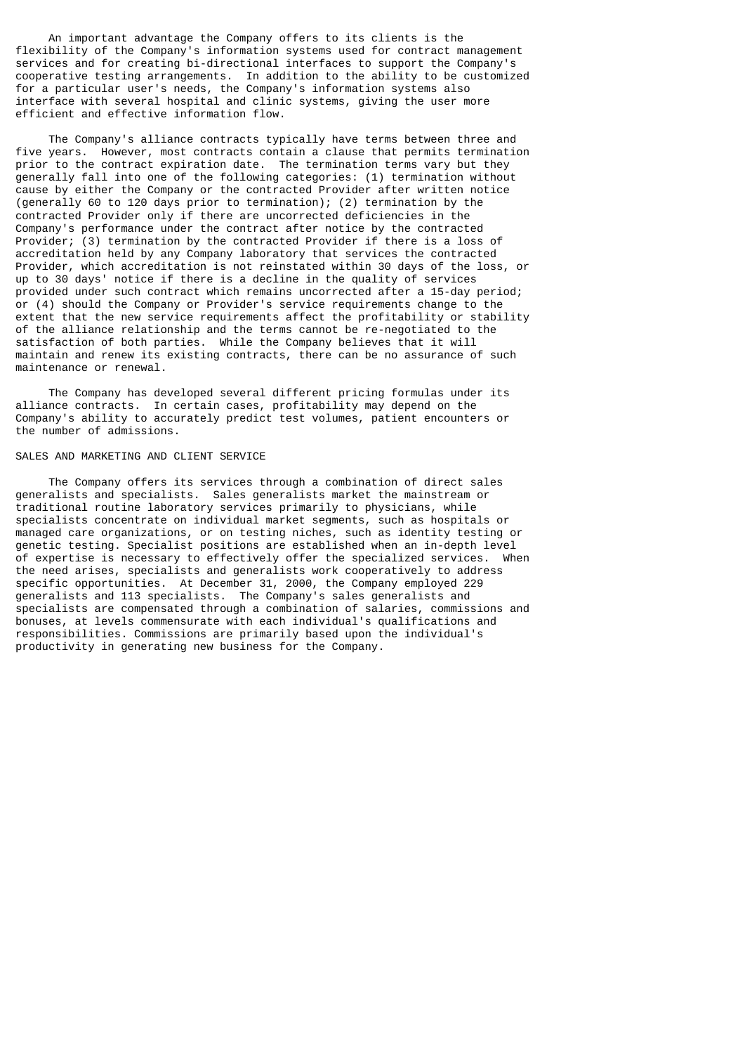An important advantage the Company offers to its clients is the flexibility of the Company's information systems used for contract management services and for creating bi-directional interfaces to support the Company's cooperative testing arrangements. In addition to the ability to be customized for a particular user's needs, the Company's information systems also interface with several hospital and clinic systems, giving the user more efficient and effective information flow.

 The Company's alliance contracts typically have terms between three and five years. However, most contracts contain a clause that permits termination prior to the contract expiration date. The termination terms vary but they generally fall into one of the following categories: (1) termination without cause by either the Company or the contracted Provider after written notice (generally 60 to 120 days prior to termination); (2) termination by the contracted Provider only if there are uncorrected deficiencies in the Company's performance under the contract after notice by the contracted Provider; (3) termination by the contracted Provider if there is a loss of accreditation held by any Company laboratory that services the contracted Provider, which accreditation is not reinstated within 30 days of the loss, or up to 30 days' notice if there is a decline in the quality of services provided under such contract which remains uncorrected after a 15-day period; or (4) should the Company or Provider's service requirements change to the extent that the new service requirements affect the profitability or stability of the alliance relationship and the terms cannot be re-negotiated to the satisfaction of both parties. While the Company believes that it will maintain and renew its existing contracts, there can be no assurance of such maintenance or renewal.

 The Company has developed several different pricing formulas under its alliance contracts. In certain cases, profitability may depend on the Company's ability to accurately predict test volumes, patient encounters or the number of admissions.

#### SALES AND MARKETING AND CLIENT SERVICE

 The Company offers its services through a combination of direct sales generalists and specialists. Sales generalists market the mainstream or traditional routine laboratory services primarily to physicians, while specialists concentrate on individual market segments, such as hospitals or managed care organizations, or on testing niches, such as identity testing or genetic testing. Specialist positions are established when an in-depth level<br>of expertise is necessary to effectively offer the specialized services. When of expertise is necessary to effectively offer the specialized services. the need arises, specialists and generalists work cooperatively to address specific opportunities. At December 31, 2000, the Company employed 229 generalists and 113 specialists. The Company's sales generalists and specialists are compensated through a combination of salaries, commissions and bonuses, at levels commensurate with each individual's qualifications and responsibilities. Commissions are primarily based upon the individual's productivity in generating new business for the Company.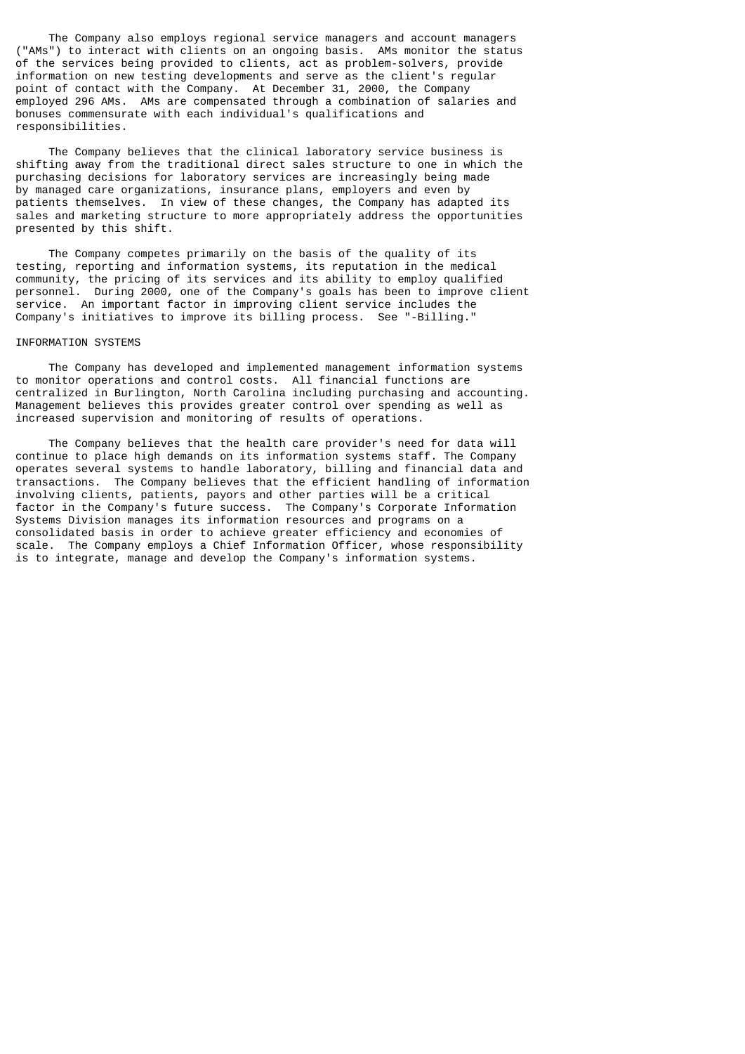The Company also employs regional service managers and account managers ("AMs") to interact with clients on an ongoing basis. AMs monitor the status of the services being provided to clients, act as problem-solvers, provide information on new testing developments and serve as the client's regular point of contact with the Company. At December 31, 2000, the Company employed 296 AMs. AMs are compensated through a combination of salaries and bonuses commensurate with each individual's qualifications and responsibilities.

 The Company believes that the clinical laboratory service business is shifting away from the traditional direct sales structure to one in which the purchasing decisions for laboratory services are increasingly being made by managed care organizations, insurance plans, employers and even by patients themselves. In view of these changes, the Company has adapted its sales and marketing structure to more appropriately address the opportunities presented by this shift.

 The Company competes primarily on the basis of the quality of its testing, reporting and information systems, its reputation in the medical community, the pricing of its services and its ability to employ qualified personnel. During 2000, one of the Company's goals has been to improve client service. An important factor in improving client service includes the Company's initiatives to improve its billing process. See "-Billing."

#### INFORMATION SYSTEMS

 The Company has developed and implemented management information systems to monitor operations and control costs. All financial functions are centralized in Burlington, North Carolina including purchasing and accounting. Management believes this provides greater control over spending as well as increased supervision and monitoring of results of operations.

 The Company believes that the health care provider's need for data will continue to place high demands on its information systems staff. The Company operates several systems to handle laboratory, billing and financial data and transactions. The Company believes that the efficient handling of information involving clients, patients, payors and other parties will be a critical factor in the Company's future success. The Company's Corporate Information Systems Division manages its information resources and programs on a consolidated basis in order to achieve greater efficiency and economies of scale. The Company employs a Chief Information Officer, whose responsibility is to integrate, manage and develop the Company's information systems.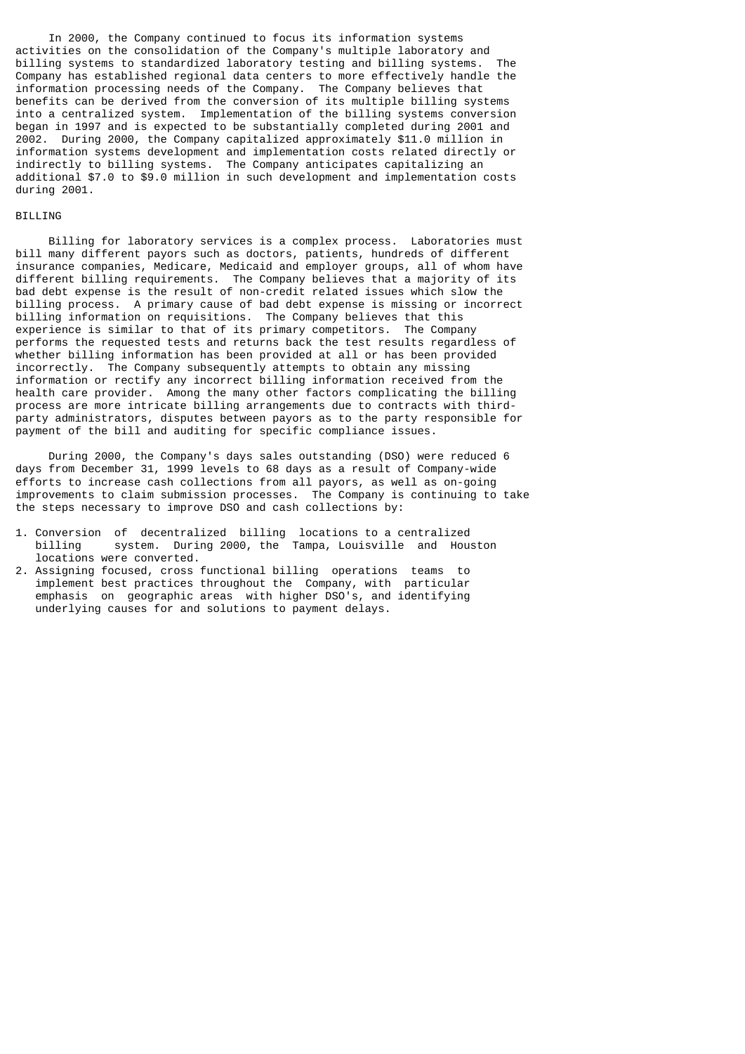In 2000, the Company continued to focus its information systems activities on the consolidation of the Company's multiple laboratory and billing systems to standardized laboratory testing and billing systems. The Company has established regional data centers to more effectively handle the information processing needs of the Company. The Company believes that benefits can be derived from the conversion of its multiple billing systems into a centralized system. Implementation of the billing systems conversion began in 1997 and is expected to be substantially completed during 2001 and 2002. During 2000, the Company capitalized approximately \$11.0 million in information systems development and implementation costs related directly or indirectly to billing systems. The Company anticipates capitalizing an additional \$7.0 to \$9.0 million in such development and implementation costs during 2001.

# BILLING

 Billing for laboratory services is a complex process. Laboratories must bill many different payors such as doctors, patients, hundreds of different insurance companies, Medicare, Medicaid and employer groups, all of whom have different billing requirements. The Company believes that a majority of its bad debt expense is the result of non-credit related issues which slow the billing process. A primary cause of bad debt expense is missing or incorrect billing information on requisitions. The Company believes that this experience is similar to that of its primary competitors. The Company performs the requested tests and returns back the test results regardless of whether billing information has been provided at all or has been provided incorrectly. The Company subsequently attempts to obtain any missing information or rectify any incorrect billing information received from the health care provider. Among the many other factors complicating the billing process are more intricate billing arrangements due to contracts with thirdparty administrators, disputes between payors as to the party responsible for payment of the bill and auditing for specific compliance issues.

 During 2000, the Company's days sales outstanding (DSO) were reduced 6 days from December 31, 1999 levels to 68 days as a result of Company-wide efforts to increase cash collections from all payors, as well as on-going improvements to claim submission processes. The Company is continuing to take the steps necessary to improve DSO and cash collections by:

- 1. Conversion of decentralized billing locations to a centralized<br>billing system. During 2000, the Tampa, Louisville and Hous system. During 2000, the Tampa, Louisville and Houston locations were converted.
- 2. Assigning focused, cross functional billing operations teams to implement best practices throughout the Company, with particular emphasis on geographic areas with higher DSO's, and identifying underlying causes for and solutions to payment delays.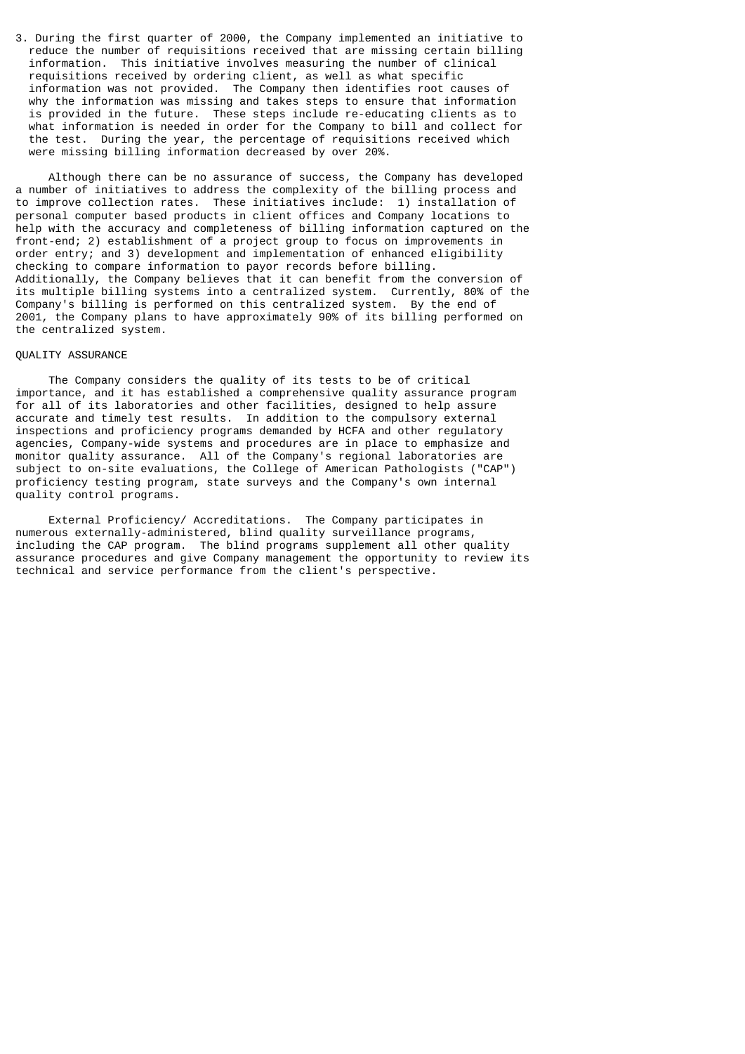3. During the first quarter of 2000, the Company implemented an initiative to reduce the number of requisitions received that are missing certain billing information. This initiative involves measuring the number of clinical requisitions received by ordering client, as well as what specific information was not provided. The Company then identifies root causes of why the information was missing and takes steps to ensure that information is provided in the future. These steps include re-educating clients as to what information is needed in order for the Company to bill and collect for the test. During the year, the percentage of requisitions received which were missing billing information decreased by over 20%.

 Although there can be no assurance of success, the Company has developed a number of initiatives to address the complexity of the billing process and to improve collection rates. These initiatives include: 1) installation of personal computer based products in client offices and Company locations to help with the accuracy and completeness of billing information captured on the front-end; 2) establishment of a project group to focus on improvements in order entry; and 3) development and implementation of enhanced eligibility checking to compare information to payor records before billing. Additionally, the Company believes that it can benefit from the conversion of its multiple billing systems into a centralized system. Currently, 80% of the Company's billing is performed on this centralized system. By the end of 2001, the Company plans to have approximately 90% of its billing performed on the centralized system.

### QUALITY ASSURANCE

 The Company considers the quality of its tests to be of critical importance, and it has established a comprehensive quality assurance program for all of its laboratories and other facilities, designed to help assure accurate and timely test results. In addition to the compulsory external inspections and proficiency programs demanded by HCFA and other regulatory agencies, Company-wide systems and procedures are in place to emphasize and monitor quality assurance. All of the Company's regional laboratories are subject to on-site evaluations, the College of American Pathologists ("CAP") proficiency testing program, state surveys and the Company's own internal quality control programs.

 External Proficiency/ Accreditations. The Company participates in numerous externally-administered, blind quality surveillance programs, including the CAP program. The blind programs supplement all other quality assurance procedures and give Company management the opportunity to review its technical and service performance from the client's perspective.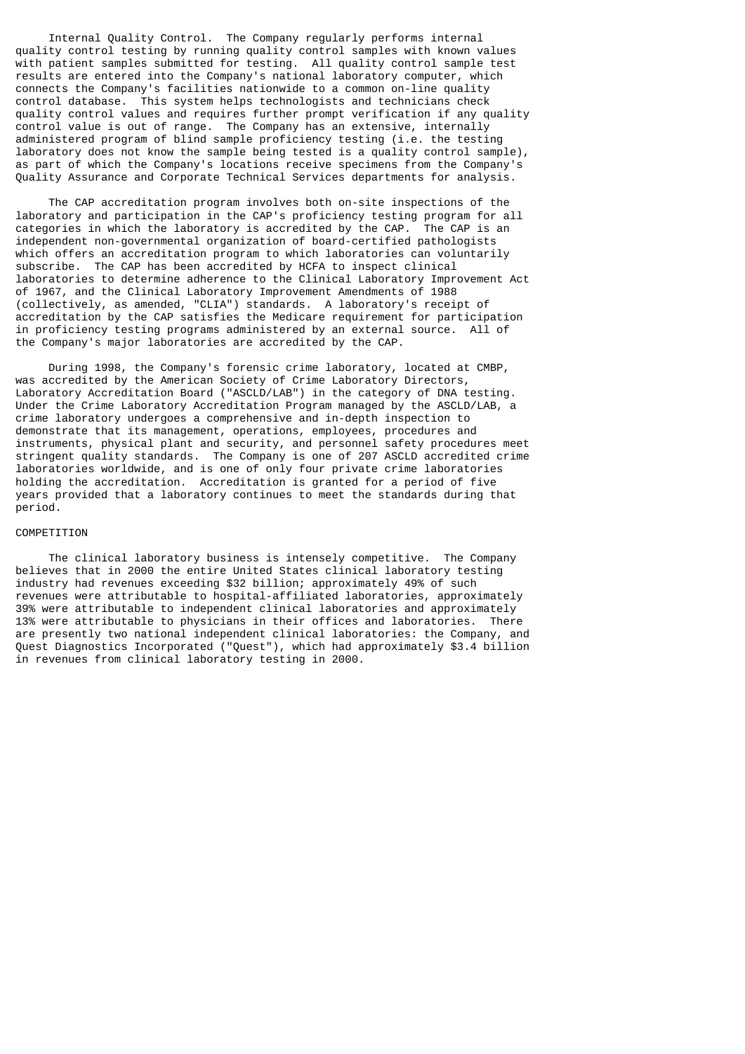Internal Quality Control. The Company regularly performs internal quality control testing by running quality control samples with known values with patient samples submitted for testing. All quality control sample test results are entered into the Company's national laboratory computer, which connects the Company's facilities nationwide to a common on-line quality control database. This system helps technologists and technicians check quality control values and requires further prompt verification if any quality control value is out of range. The Company has an extensive, internally administered program of blind sample proficiency testing (i.e. the testing laboratory does not know the sample being tested is a quality control sample), as part of which the Company's locations receive specimens from the Company's Quality Assurance and Corporate Technical Services departments for analysis.

 The CAP accreditation program involves both on-site inspections of the laboratory and participation in the CAP's proficiency testing program for all categories in which the laboratory is accredited by the CAP. The CAP is an independent non-governmental organization of board-certified pathologists which offers an accreditation program to which laboratories can voluntarily subscribe. The CAP has been accredited by HCFA to inspect clinical laboratories to determine adherence to the Clinical Laboratory Improvement Act of 1967, and the Clinical Laboratory Improvement Amendments of 1988 (collectively, as amended, "CLIA") standards. A laboratory's receipt of accreditation by the CAP satisfies the Medicare requirement for participation in proficiency testing programs administered by an external source. All of the Company's major laboratories are accredited by the CAP.

 During 1998, the Company's forensic crime laboratory, located at CMBP, was accredited by the American Society of Crime Laboratory Directors, Laboratory Accreditation Board ("ASCLD/LAB") in the category of DNA testing. Under the Crime Laboratory Accreditation Program managed by the ASCLD/LAB, a crime laboratory undergoes a comprehensive and in-depth inspection to demonstrate that its management, operations, employees, procedures and instruments, physical plant and security, and personnel safety procedures meet stringent quality standards. The Company is one of 207 ASCLD accredited crime laboratories worldwide, and is one of only four private crime laboratories holding the accreditation. Accreditation is granted for a period of five years provided that a laboratory continues to meet the standards during that period.

# COMPETITION

 The clinical laboratory business is intensely competitive. The Company believes that in 2000 the entire United States clinical laboratory testing industry had revenues exceeding \$32 billion; approximately 49% of such revenues were attributable to hospital-affiliated laboratories, approximately 39% were attributable to independent clinical laboratories and approximately 13% were attributable to physicians in their offices and laboratories. There are presently two national independent clinical laboratories: the Company, and Quest Diagnostics Incorporated ("Quest"), which had approximately \$3.4 billion in revenues from clinical laboratory testing in 2000.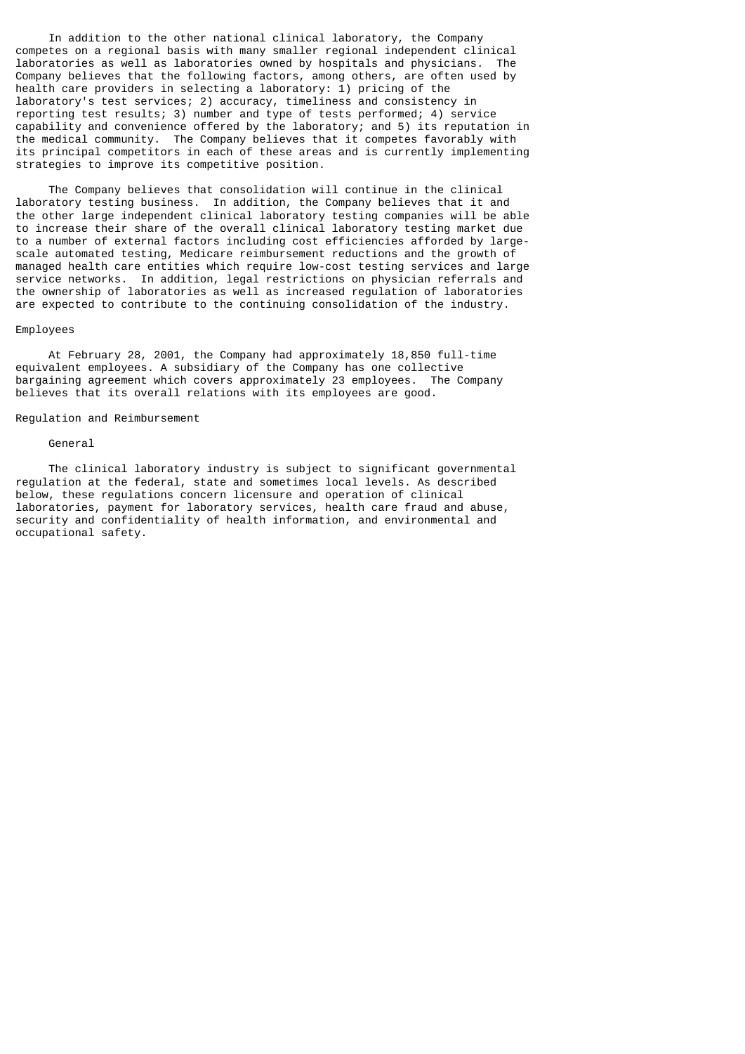In addition to the other national clinical laboratory, the Company competes on a regional basis with many smaller regional independent clinical laboratories as well as laboratories owned by hospitals and physicians. The Company believes that the following factors, among others, are often used by health care providers in selecting a laboratory: 1) pricing of the laboratory's test services; 2) accuracy, timeliness and consistency in reporting test results; 3) number and type of tests performed; 4) service capability and convenience offered by the laboratory; and 5) its reputation in the medical community. The Company believes that it competes favorably with its principal competitors in each of these areas and is currently implementing strategies to improve its competitive position.

 The Company believes that consolidation will continue in the clinical laboratory testing business. In addition, the Company believes that it and the other large independent clinical laboratory testing companies will be able to increase their share of the overall clinical laboratory testing market due to a number of external factors including cost efficiencies afforded by largescale automated testing, Medicare reimbursement reductions and the growth of managed health care entities which require low-cost testing services and large service networks. In addition, legal restrictions on physician referrals and the ownership of laboratories as well as increased regulation of laboratories are expected to contribute to the continuing consolidation of the industry.

#### Employees

 At February 28, 2001, the Company had approximately 18,850 full-time equivalent employees. A subsidiary of the Company has one collective bargaining agreement which covers approximately 23 employees. The Company believes that its overall relations with its employees are good.

## Regulation and Reimbursement

#### General

 The clinical laboratory industry is subject to significant governmental regulation at the federal, state and sometimes local levels. As described below, these regulations concern licensure and operation of clinical laboratories, payment for laboratory services, health care fraud and abuse, security and confidentiality of health information, and environmental and occupational safety.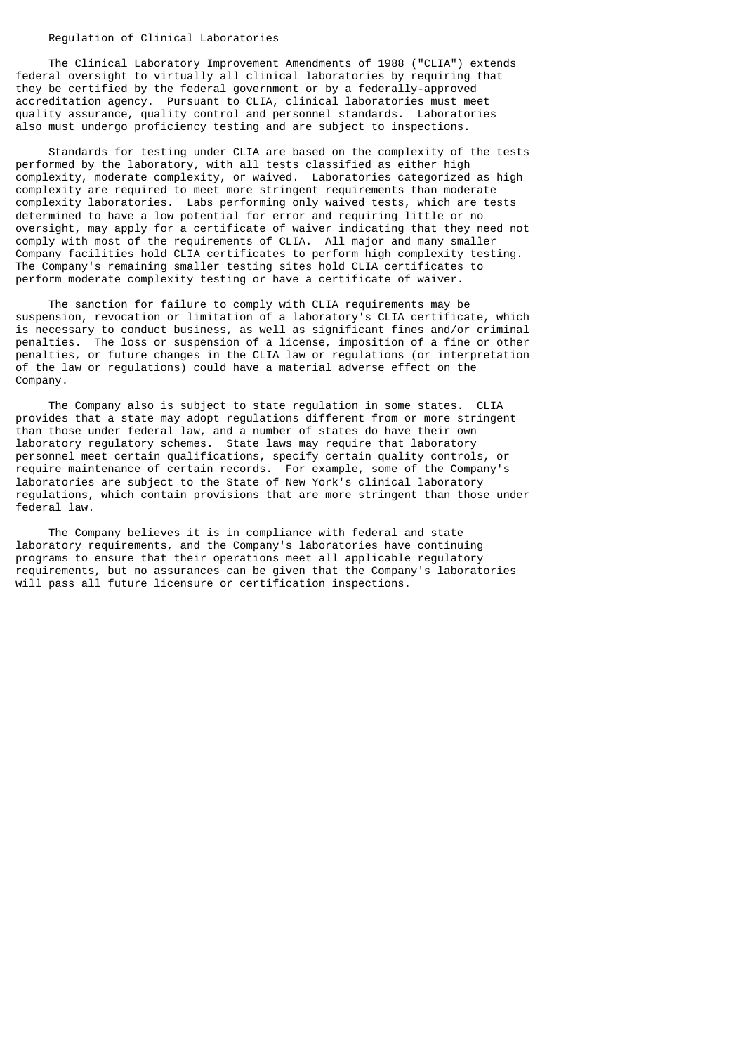## Regulation of Clinical Laboratories

 The Clinical Laboratory Improvement Amendments of 1988 ("CLIA") extends federal oversight to virtually all clinical laboratories by requiring that they be certified by the federal government or by a federally-approved accreditation agency. Pursuant to CLIA, clinical laboratories must meet quality assurance, quality control and personnel standards. Laboratories also must undergo proficiency testing and are subject to inspections.

 Standards for testing under CLIA are based on the complexity of the tests performed by the laboratory, with all tests classified as either high complexity, moderate complexity, or waived. Laboratories categorized as high complexity are required to meet more stringent requirements than moderate complexity laboratories. Labs performing only waived tests, which are tests determined to have a low potential for error and requiring little or no oversight, may apply for a certificate of waiver indicating that they need not comply with most of the requirements of CLIA. All major and many smaller Company facilities hold CLIA certificates to perform high complexity testing. The Company's remaining smaller testing sites hold CLIA certificates to perform moderate complexity testing or have a certificate of waiver.

 The sanction for failure to comply with CLIA requirements may be suspension, revocation or limitation of a laboratory's CLIA certificate, which is necessary to conduct business, as well as significant fines and/or criminal penalties. The loss or suspension of a license, imposition of a fine or other penalties, or future changes in the CLIA law or regulations (or interpretation of the law or regulations) could have a material adverse effect on the Company.

 The Company also is subject to state regulation in some states. CLIA provides that a state may adopt regulations different from or more stringent than those under federal law, and a number of states do have their own laboratory regulatory schemes. State laws may require that laboratory personnel meet certain qualifications, specify certain quality controls, or require maintenance of certain records. For example, some of the Company's laboratories are subject to the State of New York's clinical laboratory regulations, which contain provisions that are more stringent than those under federal law.

 The Company believes it is in compliance with federal and state laboratory requirements, and the Company's laboratories have continuing programs to ensure that their operations meet all applicable regulatory requirements, but no assurances can be given that the Company's laboratories will pass all future licensure or certification inspections.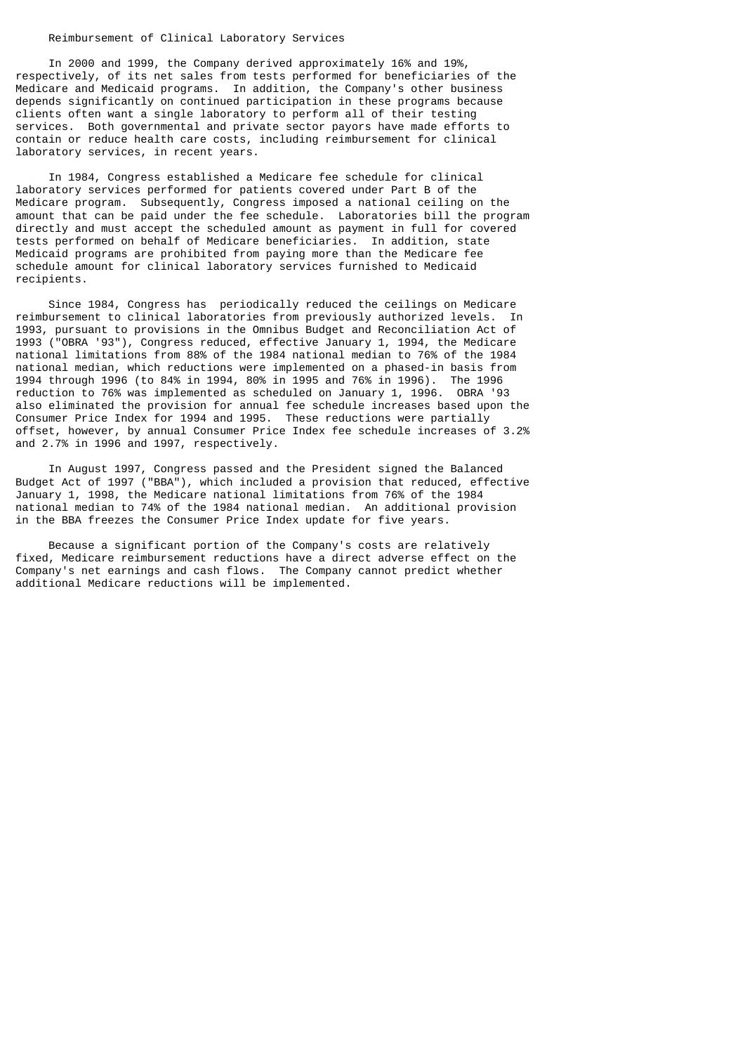### Reimbursement of Clinical Laboratory Services

 In 2000 and 1999, the Company derived approximately 16% and 19%, respectively, of its net sales from tests performed for beneficiaries of the Medicare and Medicaid programs. In addition, the Company's other business depends significantly on continued participation in these programs because clients often want a single laboratory to perform all of their testing services. Both governmental and private sector payors have made efforts to contain or reduce health care costs, including reimbursement for clinical laboratory services, in recent years.

 In 1984, Congress established a Medicare fee schedule for clinical laboratory services performed for patients covered under Part B of the Medicare program. Subsequently, Congress imposed a national ceiling on the amount that can be paid under the fee schedule. Laboratories bill the program directly and must accept the scheduled amount as payment in full for covered tests performed on behalf of Medicare beneficiaries. In addition, state Medicaid programs are prohibited from paying more than the Medicare fee schedule amount for clinical laboratory services furnished to Medicaid recipients.

 Since 1984, Congress has periodically reduced the ceilings on Medicare reimbursement to clinical laboratories from previously authorized levels. In 1993, pursuant to provisions in the Omnibus Budget and Reconciliation Act of 1993 ("OBRA '93"), Congress reduced, effective January 1, 1994, the Medicare national limitations from 88% of the 1984 national median to 76% of the 1984 national median, which reductions were implemented on a phased-in basis from 1994 through 1996 (to 84% in 1994, 80% in 1995 and 76% in 1996). The 1996 reduction to 76% was implemented as scheduled on January 1, 1996. OBRA '93 also eliminated the provision for annual fee schedule increases based upon the Consumer Price Index for 1994 and 1995. These reductions were partially offset, however, by annual Consumer Price Index fee schedule increases of 3.2% and 2.7% in 1996 and 1997, respectively.

 In August 1997, Congress passed and the President signed the Balanced Budget Act of 1997 ("BBA"), which included a provision that reduced, effective January 1, 1998, the Medicare national limitations from 76% of the 1984 national median to 74% of the 1984 national median. An additional provision in the BBA freezes the Consumer Price Index update for five years.

 Because a significant portion of the Company's costs are relatively fixed, Medicare reimbursement reductions have a direct adverse effect on the Company's net earnings and cash flows. The Company cannot predict whether additional Medicare reductions will be implemented.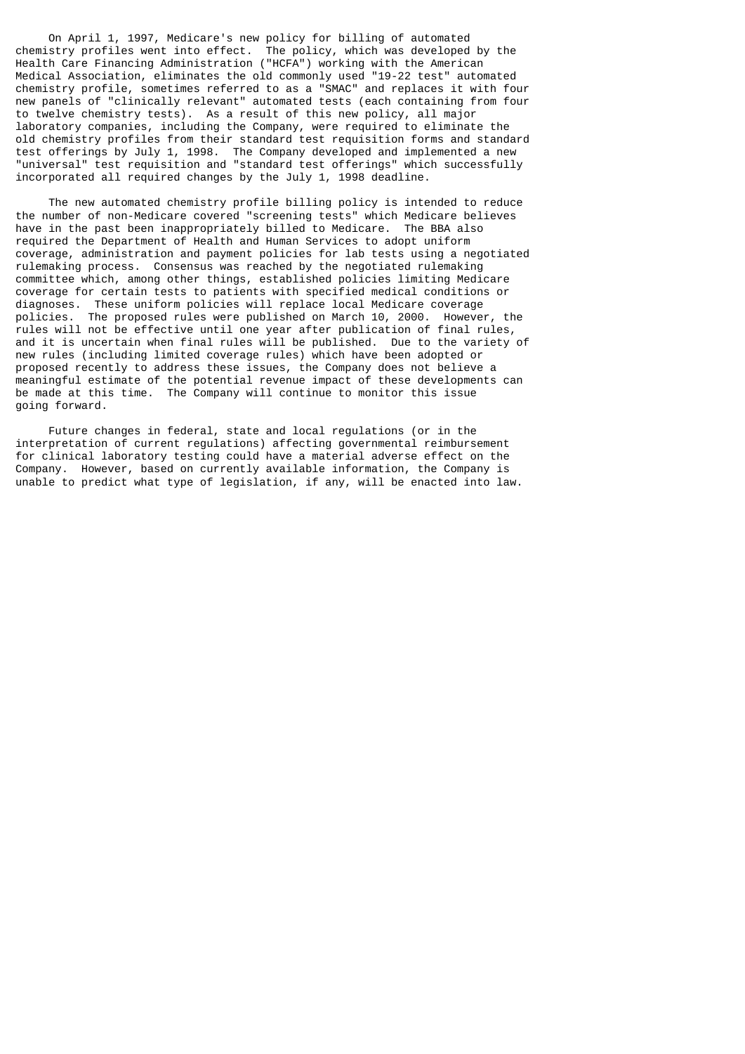On April 1, 1997, Medicare's new policy for billing of automated chemistry profiles went into effect. The policy, which was developed by the Health Care Financing Administration ("HCFA") working with the American Medical Association, eliminates the old commonly used "19-22 test" automated chemistry profile, sometimes referred to as a "SMAC" and replaces it with four new panels of "clinically relevant" automated tests (each containing from four to twelve chemistry tests). As a result of this new policy, all major laboratory companies, including the Company, were required to eliminate the old chemistry profiles from their standard test requisition forms and standard test offerings by July 1, 1998. The Company developed and implemented a new "universal" test requisition and "standard test offerings" which successfully incorporated all required changes by the July 1, 1998 deadline.

 The new automated chemistry profile billing policy is intended to reduce the number of non-Medicare covered "screening tests" which Medicare believes have in the past been inappropriately billed to Medicare. The BBA also required the Department of Health and Human Services to adopt uniform coverage, administration and payment policies for lab tests using a negotiated rulemaking process. Consensus was reached by the negotiated rulemaking committee which, among other things, established policies limiting Medicare coverage for certain tests to patients with specified medical conditions or diagnoses. These uniform policies will replace local Medicare coverage policies. The proposed rules were published on March 10, 2000. However, the rules will not be effective until one year after publication of final rules, and it is uncertain when final rules will be published. Due to the variety of new rules (including limited coverage rules) which have been adopted or proposed recently to address these issues, the Company does not believe a meaningful estimate of the potential revenue impact of these developments can be made at this time. The Company will continue to monitor this issue going forward.

 Future changes in federal, state and local regulations (or in the interpretation of current regulations) affecting governmental reimbursement for clinical laboratory testing could have a material adverse effect on the Company. However, based on currently available information, the Company is unable to predict what type of legislation, if any, will be enacted into law.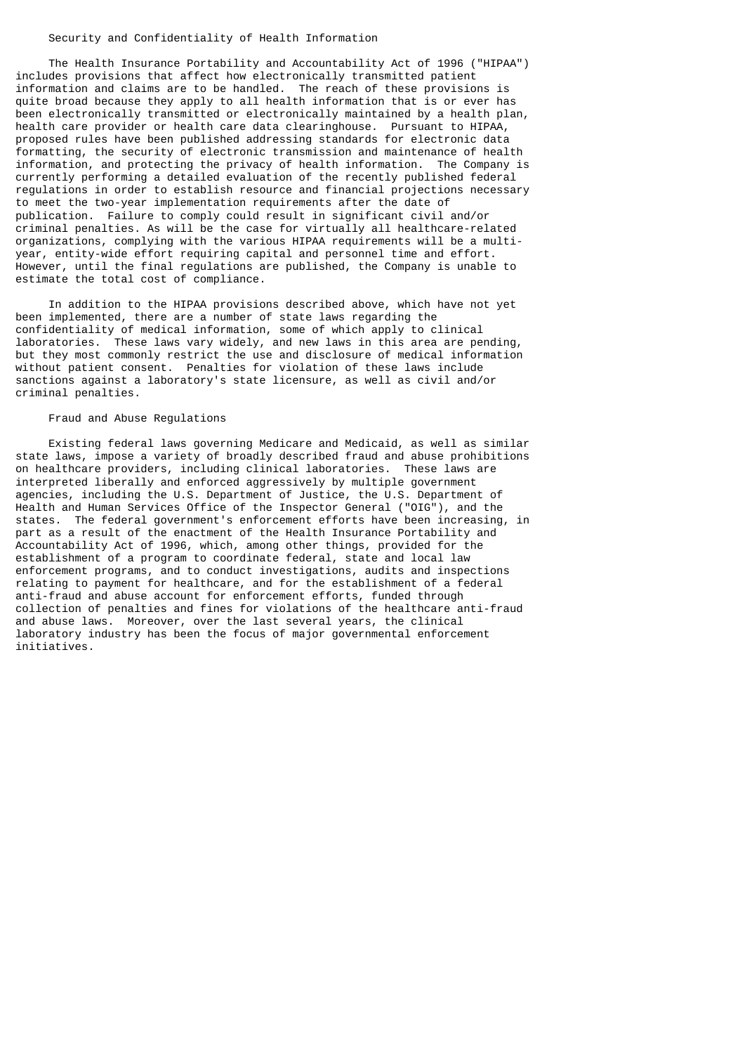### Security and Confidentiality of Health Information

 The Health Insurance Portability and Accountability Act of 1996 ("HIPAA") includes provisions that affect how electronically transmitted patient information and claims are to be handled. The reach of these provisions is quite broad because they apply to all health information that is or ever has been electronically transmitted or electronically maintained by a health plan, health care provider or health care data clearinghouse. Pursuant to HIPAA, proposed rules have been published addressing standards for electronic data formatting, the security of electronic transmission and maintenance of health information, and protecting the privacy of health information. The Company is currently performing a detailed evaluation of the recently published federal regulations in order to establish resource and financial projections necessary to meet the two-year implementation requirements after the date of publication. Failure to comply could result in significant civil and/or criminal penalties. As will be the case for virtually all healthcare-related organizations, complying with the various HIPAA requirements will be a multiyear, entity-wide effort requiring capital and personnel time and effort. However, until the final regulations are published, the Company is unable to estimate the total cost of compliance.

 In addition to the HIPAA provisions described above, which have not yet been implemented, there are a number of state laws regarding the confidentiality of medical information, some of which apply to clinical laboratories. These laws vary widely, and new laws in this area are pending, but they most commonly restrict the use and disclosure of medical information without patient consent. Penalties for violation of these laws include sanctions against a laboratory's state licensure, as well as civil and/or criminal penalties.

# Fraud and Abuse Regulations

 Existing federal laws governing Medicare and Medicaid, as well as similar state laws, impose a variety of broadly described fraud and abuse prohibitions on healthcare providers, including clinical laboratories. These laws are interpreted liberally and enforced aggressively by multiple government agencies, including the U.S. Department of Justice, the U.S. Department of Health and Human Services Office of the Inspector General ("OIG"), and the states. The federal government's enforcement efforts have been increasing, in part as a result of the enactment of the Health Insurance Portability and Accountability Act of 1996, which, among other things, provided for the establishment of a program to coordinate federal, state and local law enforcement programs, and to conduct investigations, audits and inspections relating to payment for healthcare, and for the establishment of a federal anti-fraud and abuse account for enforcement efforts, funded through collection of penalties and fines for violations of the healthcare anti-fraud and abuse laws. Moreover, over the last several years, the clinical laboratory industry has been the focus of major governmental enforcement initiatives.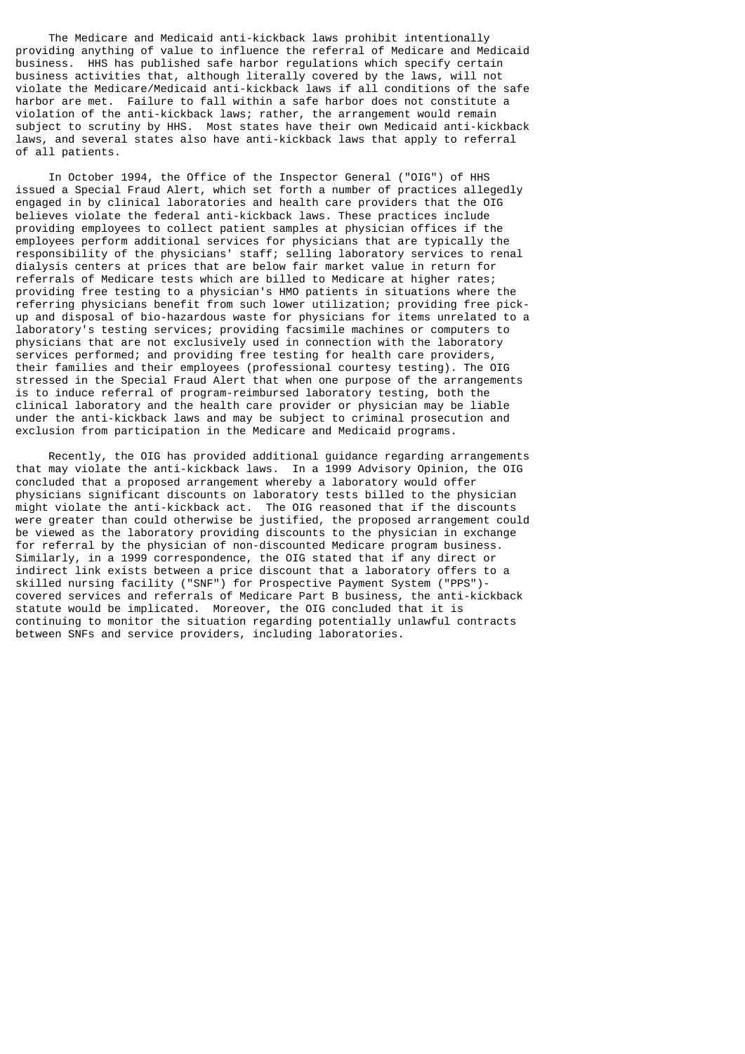The Medicare and Medicaid anti-kickback laws prohibit intentionally providing anything of value to influence the referral of Medicare and Medicaid business. HHS has published safe harbor regulations which specify certain business activities that, although literally covered by the laws, will not violate the Medicare/Medicaid anti-kickback laws if all conditions of the safe harbor are met. Failure to fall within a safe harbor does not constitute a violation of the anti-kickback laws; rather, the arrangement would remain subject to scrutiny by HHS. Most states have their own Medicaid anti-kickback laws, and several states also have anti-kickback laws that apply to referral of all patients.

 In October 1994, the Office of the Inspector General ("OIG") of HHS issued a Special Fraud Alert, which set forth a number of practices allegedly engaged in by clinical laboratories and health care providers that the OIG believes violate the federal anti-kickback laws. These practices include providing employees to collect patient samples at physician offices if the employees perform additional services for physicians that are typically the responsibility of the physicians' staff; selling laboratory services to renal dialysis centers at prices that are below fair market value in return for referrals of Medicare tests which are billed to Medicare at higher rates; providing free testing to a physician's HMO patients in situations where the referring physicians benefit from such lower utilization; providing free pickup and disposal of bio-hazardous waste for physicians for items unrelated to a laboratory's testing services; providing facsimile machines or computers to physicians that are not exclusively used in connection with the laboratory services performed; and providing free testing for health care providers, their families and their employees (professional courtesy testing). The OIG stressed in the Special Fraud Alert that when one purpose of the arrangements is to induce referral of program-reimbursed laboratory testing, both the clinical laboratory and the health care provider or physician may be liable under the anti-kickback laws and may be subject to criminal prosecution and exclusion from participation in the Medicare and Medicaid programs.

 Recently, the OIG has provided additional guidance regarding arrangements that may violate the anti-kickback laws. In a 1999 Advisory Opinion, the OIG concluded that a proposed arrangement whereby a laboratory would offer physicians significant discounts on laboratory tests billed to the physician might violate the anti-kickback act. The OIG reasoned that if the discounts were greater than could otherwise be justified, the proposed arrangement could be viewed as the laboratory providing discounts to the physician in exchange for referral by the physician of non-discounted Medicare program business. Similarly, in a 1999 correspondence, the OIG stated that if any direct or indirect link exists between a price discount that a laboratory offers to a skilled nursing facility ("SNF") for Prospective Payment System ("PPS") covered services and referrals of Medicare Part B business, the anti-kickback statute would be implicated. Moreover, the OIG concluded that it is continuing to monitor the situation regarding potentially unlawful contracts between SNFs and service providers, including laboratories.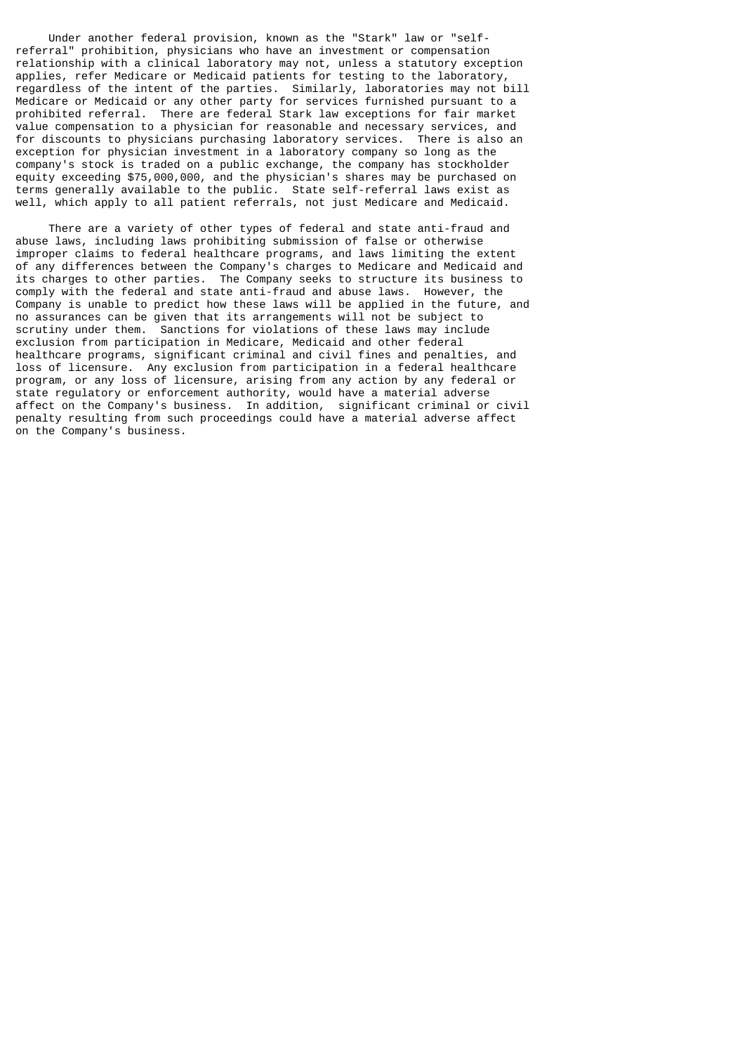Under another federal provision, known as the "Stark" law or "selfreferral" prohibition, physicians who have an investment or compensation relationship with a clinical laboratory may not, unless a statutory exception applies, refer Medicare or Medicaid patients for testing to the laboratory, regardless of the intent of the parties. Similarly, laboratories may not bill Medicare or Medicaid or any other party for services furnished pursuant to a prohibited referral. There are federal Stark law exceptions for fair market value compensation to a physician for reasonable and necessary services, and for discounts to physicians purchasing laboratory services. There is also an exception for physician investment in a laboratory company so long as the company's stock is traded on a public exchange, the company has stockholder equity exceeding \$75,000,000, and the physician's shares may be purchased on terms generally available to the public. State self-referral laws exist as well, which apply to all patient referrals, not just Medicare and Medicaid.

 There are a variety of other types of federal and state anti-fraud and abuse laws, including laws prohibiting submission of false or otherwise improper claims to federal healthcare programs, and laws limiting the extent of any differences between the Company's charges to Medicare and Medicaid and its charges to other parties. The Company seeks to structure its business to comply with the federal and state anti-fraud and abuse laws. However, the Company is unable to predict how these laws will be applied in the future, and no assurances can be given that its arrangements will not be subject to scrutiny under them. Sanctions for violations of these laws may include exclusion from participation in Medicare, Medicaid and other federal healthcare programs, significant criminal and civil fines and penalties, and loss of licensure. Any exclusion from participation in a federal healthcare program, or any loss of licensure, arising from any action by any federal or state regulatory or enforcement authority, would have a material adverse affect on the Company's business. In addition, significant criminal or civil penalty resulting from such proceedings could have a material adverse affect on the Company's business.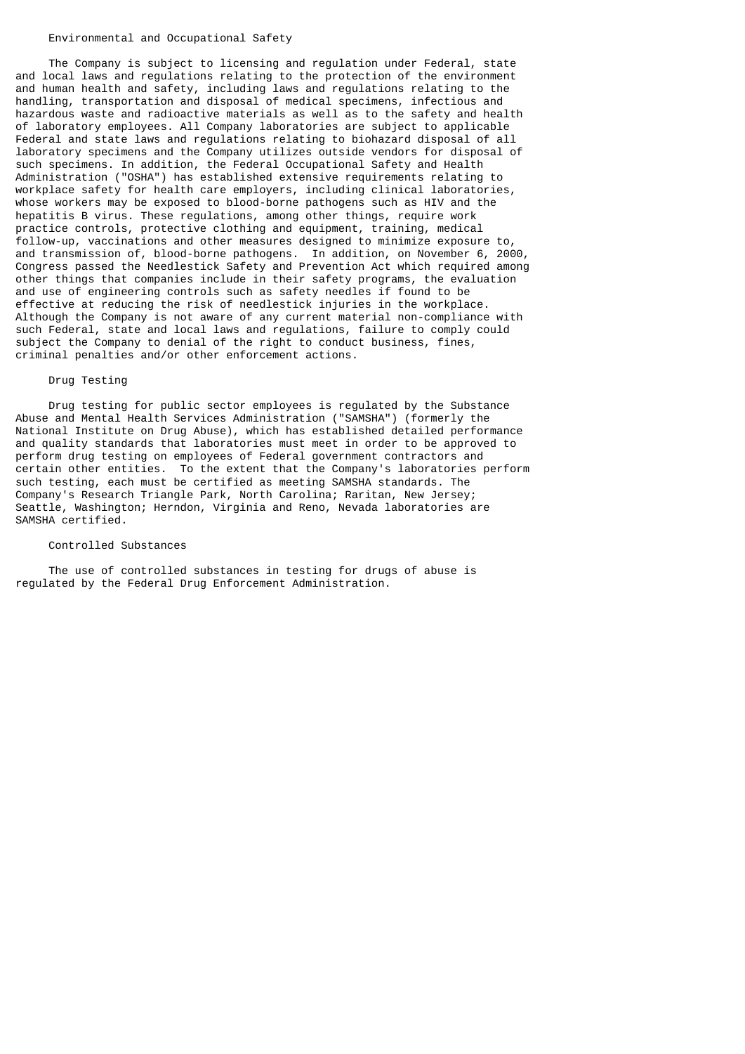## Environmental and Occupational Safety

 The Company is subject to licensing and regulation under Federal, state and local laws and regulations relating to the protection of the environment and human health and safety, including laws and regulations relating to the handling, transportation and disposal of medical specimens, infectious and hazardous waste and radioactive materials as well as to the safety and health of laboratory employees. All Company laboratories are subject to applicable Federal and state laws and regulations relating to biohazard disposal of all laboratory specimens and the Company utilizes outside vendors for disposal of such specimens. In addition, the Federal Occupational Safety and Health Administration ("OSHA") has established extensive requirements relating to workplace safety for health care employers, including clinical laboratories, whose workers may be exposed to blood-borne pathogens such as HIV and the hepatitis B virus. These regulations, among other things, require work practice controls, protective clothing and equipment, training, medical follow-up, vaccinations and other measures designed to minimize exposure to, and transmission of, blood-borne pathogens. In addition, on November 6, 2000, Congress passed the Needlestick Safety and Prevention Act which required among other things that companies include in their safety programs, the evaluation and use of engineering controls such as safety needles if found to be effective at reducing the risk of needlestick injuries in the workplace. Although the Company is not aware of any current material non-compliance with such Federal, state and local laws and regulations, failure to comply could subject the Company to denial of the right to conduct business, fines, criminal penalties and/or other enforcement actions.

# Drug Testing

 Drug testing for public sector employees is regulated by the Substance Abuse and Mental Health Services Administration ("SAMSHA") (formerly the National Institute on Drug Abuse), which has established detailed performance and quality standards that laboratories must meet in order to be approved to perform drug testing on employees of Federal government contractors and certain other entities. To the extent that the Company's laboratories perform such testing, each must be certified as meeting SAMSHA standards. The Company's Research Triangle Park, North Carolina; Raritan, New Jersey; Seattle, Washington; Herndon, Virginia and Reno, Nevada laboratories are SAMSHA certified.

# Controlled Substances

 The use of controlled substances in testing for drugs of abuse is regulated by the Federal Drug Enforcement Administration.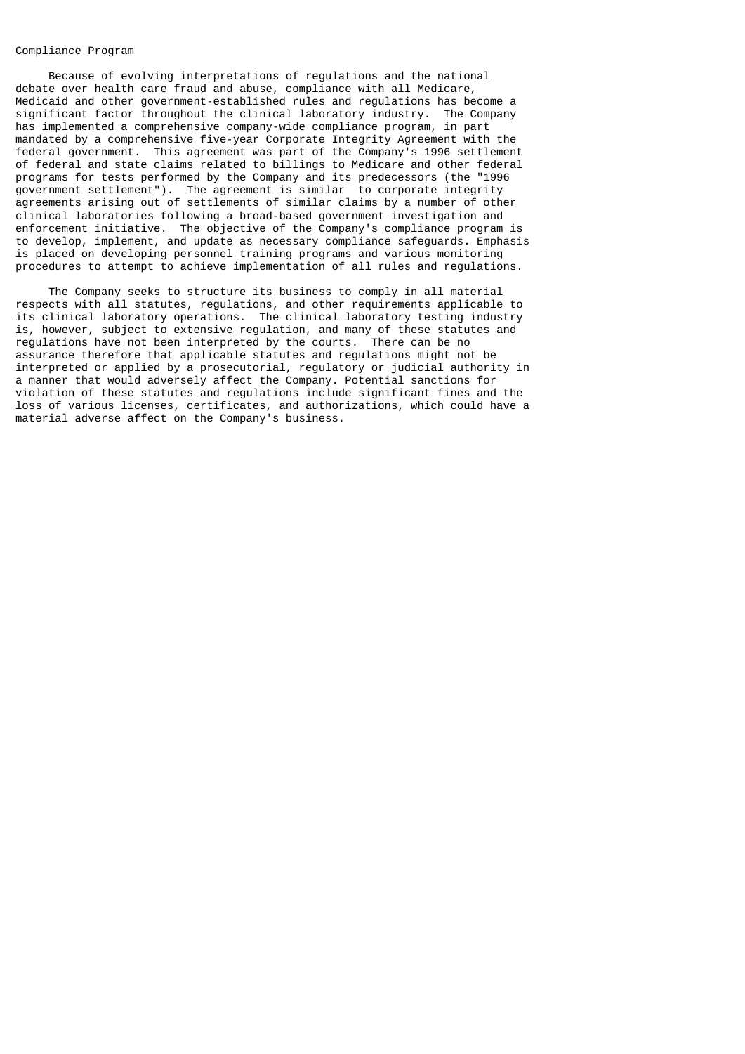# Compliance Program

 Because of evolving interpretations of regulations and the national debate over health care fraud and abuse, compliance with all Medicare, Medicaid and other government-established rules and regulations has become a significant factor throughout the clinical laboratory industry. The Company has implemented a comprehensive company-wide compliance program, in part mandated by a comprehensive five-year Corporate Integrity Agreement with the federal government. This agreement was part of the Company's 1996 settlement of federal and state claims related to billings to Medicare and other federal programs for tests performed by the Company and its predecessors (the "1996 government settlement"). The agreement is similar to corporate integrity agreements arising out of settlements of similar claims by a number of other clinical laboratories following a broad-based government investigation and enforcement initiative. The objective of the Company's compliance program is to develop, implement, and update as necessary compliance safeguards. Emphasis is placed on developing personnel training programs and various monitoring procedures to attempt to achieve implementation of all rules and regulations.

 The Company seeks to structure its business to comply in all material respects with all statutes, regulations, and other requirements applicable to its clinical laboratory operations. The clinical laboratory testing industry is, however, subject to extensive regulation, and many of these statutes and regulations have not been interpreted by the courts. There can be no assurance therefore that applicable statutes and regulations might not be interpreted or applied by a prosecutorial, regulatory or judicial authority in a manner that would adversely affect the Company. Potential sanctions for violation of these statutes and regulations include significant fines and the loss of various licenses, certificates, and authorizations, which could have a material adverse affect on the Company's business.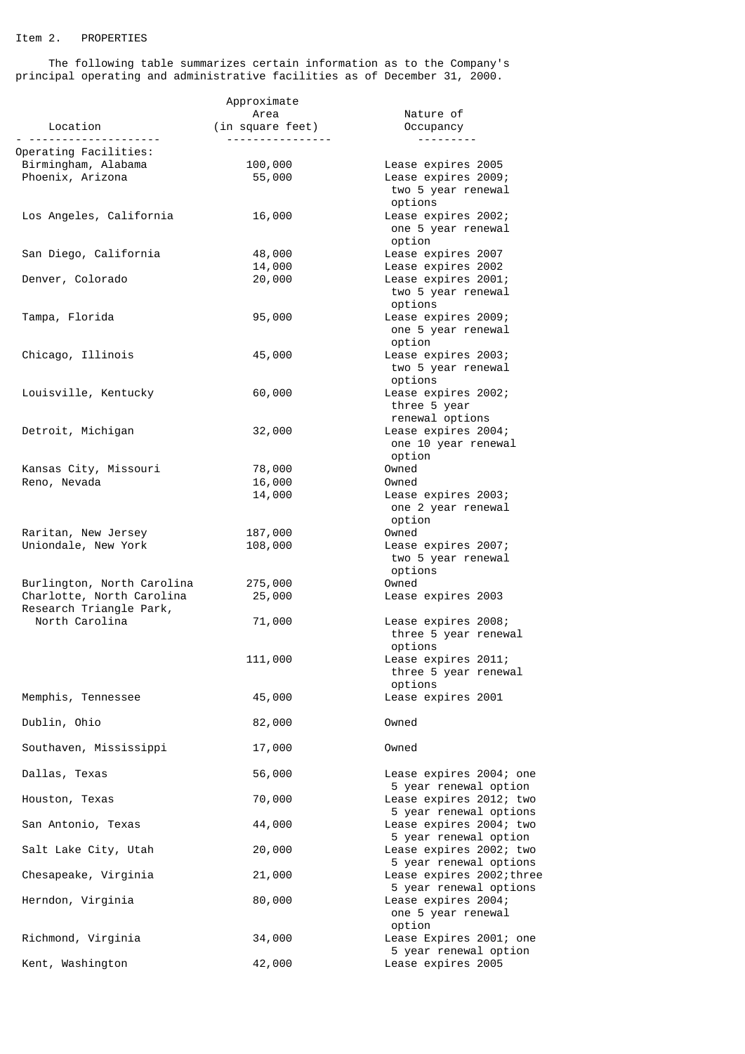# Item 2. PROPERTIES

 The following table summarizes certain information as to the Company's principal operating and administrative facilities as of December 31, 2000.

|                                           | Approximate              |                                                     |
|-------------------------------------------|--------------------------|-----------------------------------------------------|
| Location                                  | Area<br>(in square feet) | Nature of                                           |
|                                           | ----------------         | Occupancy<br>---------                              |
| Operating Facilities:                     |                          |                                                     |
| Birmingham, Alabama                       | 100,000                  | Lease expires 2005                                  |
| Phoenix, Arizona                          | 55,000                   | Lease expires 2009;                                 |
|                                           |                          | two 5 year renewal<br>options                       |
| Los Angeles, California                   | 16,000                   | Lease expires 2002;                                 |
|                                           |                          | one 5 year renewal                                  |
| San Diego, California                     | 48,000                   | option<br>Lease expires 2007                        |
|                                           | 14,000                   | Lease expires 2002                                  |
| Denver, Colorado                          | 20,000                   | Lease expires 2001;                                 |
|                                           |                          | two 5 year renewal                                  |
| Tampa, Florida                            | 95,000                   | options<br>Lease expires 2009;                      |
|                                           |                          | one 5 year renewal                                  |
|                                           |                          | option                                              |
| Chicago, Illinois                         | 45,000                   | Lease expires 2003;                                 |
|                                           |                          | two 5 year renewal<br>options                       |
| Louisville, Kentucky                      | 60,000                   | Lease expires 2002;                                 |
|                                           |                          | three 5 year                                        |
|                                           |                          | renewal options<br>Lease expires 2004;              |
| Detroit, Michigan                         | 32,000                   | one 10 year renewal                                 |
|                                           |                          | option                                              |
| Kansas City, Missouri                     | 78,000                   | Owned                                               |
| Reno, Nevada                              | 16,000                   | Owned                                               |
|                                           | 14,000                   | Lease expires 2003;<br>one 2 year renewal           |
|                                           |                          | option                                              |
| Raritan, New Jersey                       | 187,000                  | Owned                                               |
| Uniondale, New York                       | 108,000                  | Lease expires 2007;<br>two 5 year renewal           |
|                                           |                          | options                                             |
| Burlington, North Carolina                | 275,000                  | Owned                                               |
| Charlotte, North Carolina                 | 25,000                   | Lease expires 2003                                  |
| Research Triangle Park,<br>North Carolina | 71,000                   | Lease expires 2008;                                 |
|                                           |                          | three 5 year renewal                                |
|                                           |                          | options                                             |
|                                           | 111,000                  | Lease expires 2011;<br>three 5 year renewal         |
|                                           |                          | options                                             |
| Memphis, Tennessee                        | 45,000                   | Lease expires 2001                                  |
| Dublin, Ohio                              | 82,000                   | Owned                                               |
|                                           |                          |                                                     |
| Southaven, Mississippi                    | 17,000                   | Owned                                               |
| Dallas, Texas                             | 56,000                   | Lease expires 2004; one                             |
|                                           |                          | 5 year renewal option                               |
| Houston, Texas                            | 70,000                   | Lease expires 2012; two                             |
|                                           |                          | 5 year renewal options                              |
| San Antonio, Texas                        | 44,000                   | Lease expires 2004; two<br>5 year renewal option    |
| Salt Lake City, Utah                      | 20,000                   | Lease expires 2002; two                             |
|                                           |                          | 5 year renewal options                              |
| Chesapeake, Virginia                      | 21,000                   | Lease expires 2002; three<br>5 year renewal options |
| Herndon, Virginia                         | 80,000                   | Lease expires 2004;                                 |
|                                           |                          | one 5 year renewal                                  |
| Richmond, Virginia                        | 34,000                   | option<br>Lease Expires 2001; one                   |
|                                           |                          | 5 year renewal option                               |
| Kent, Washington                          | 42,000                   | Lease expires 2005                                  |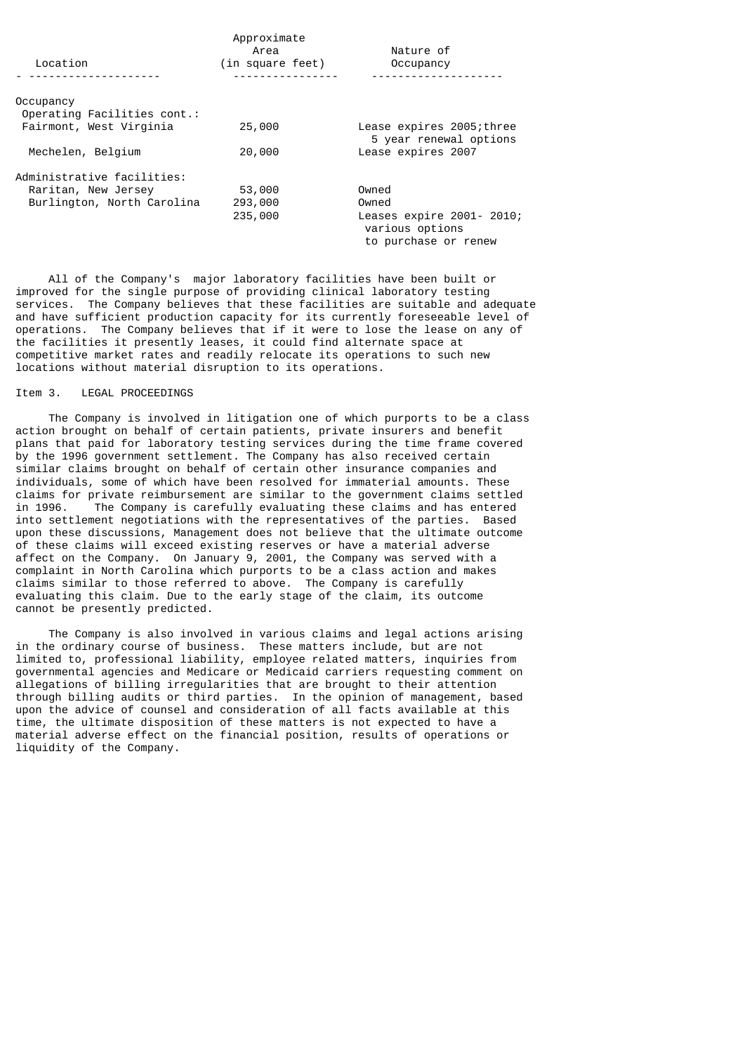|                             | Approximate      |                                                                      |
|-----------------------------|------------------|----------------------------------------------------------------------|
|                             | Area             | Nature of                                                            |
| Location                    | (in square feet) | Occupancy                                                            |
|                             |                  |                                                                      |
| Occupancy                   |                  |                                                                      |
| Operating Facilities cont.: |                  |                                                                      |
| Fairmont, West Virginia     | 25,000           | Lease expires 2005; three<br>5 year renewal options                  |
| Mechelen, Belgium           | 20,000           | Lease expires 2007                                                   |
| Administrative facilities:  |                  |                                                                      |
| Raritan, New Jersey         | 53,000           | Owned                                                                |
| Burlington, North Carolina  | 293,000          | Owned                                                                |
|                             | 235,000          | Leases expire 2001- 2010;<br>various options<br>to purchase or renew |

 All of the Company's major laboratory facilities have been built or improved for the single purpose of providing clinical laboratory testing services. The Company believes that these facilities are suitable and adequate and have sufficient production capacity for its currently foreseeable level of operations. The Company believes that if it were to lose the lease on any of the facilities it presently leases, it could find alternate space at competitive market rates and readily relocate its operations to such new locations without material disruption to its operations.

### Item 3. LEGAL PROCEEDINGS

 The Company is involved in litigation one of which purports to be a class action brought on behalf of certain patients, private insurers and benefit plans that paid for laboratory testing services during the time frame covered by the 1996 government settlement. The Company has also received certain similar claims brought on behalf of certain other insurance companies and individuals, some of which have been resolved for immaterial amounts. These claims for private reimbursement are similar to the government claims settled The Company is carefully evaluating these claims and has entered into settlement negotiations with the representatives of the parties. Based upon these discussions, Management does not believe that the ultimate outcome of these claims will exceed existing reserves or have a material adverse affect on the Company. On January 9, 2001, the Company was served with a complaint in North Carolina which purports to be a class action and makes claims similar to those referred to above. The Company is carefully evaluating this claim. Due to the early stage of the claim, its outcome cannot be presently predicted.

 The Company is also involved in various claims and legal actions arising in the ordinary course of business. These matters include, but are not limited to, professional liability, employee related matters, inquiries from governmental agencies and Medicare or Medicaid carriers requesting comment on allegations of billing irregularities that are brought to their attention through billing audits or third parties. In the opinion of management, based upon the advice of counsel and consideration of all facts available at this time, the ultimate disposition of these matters is not expected to have a material adverse effect on the financial position, results of operations or liquidity of the Company.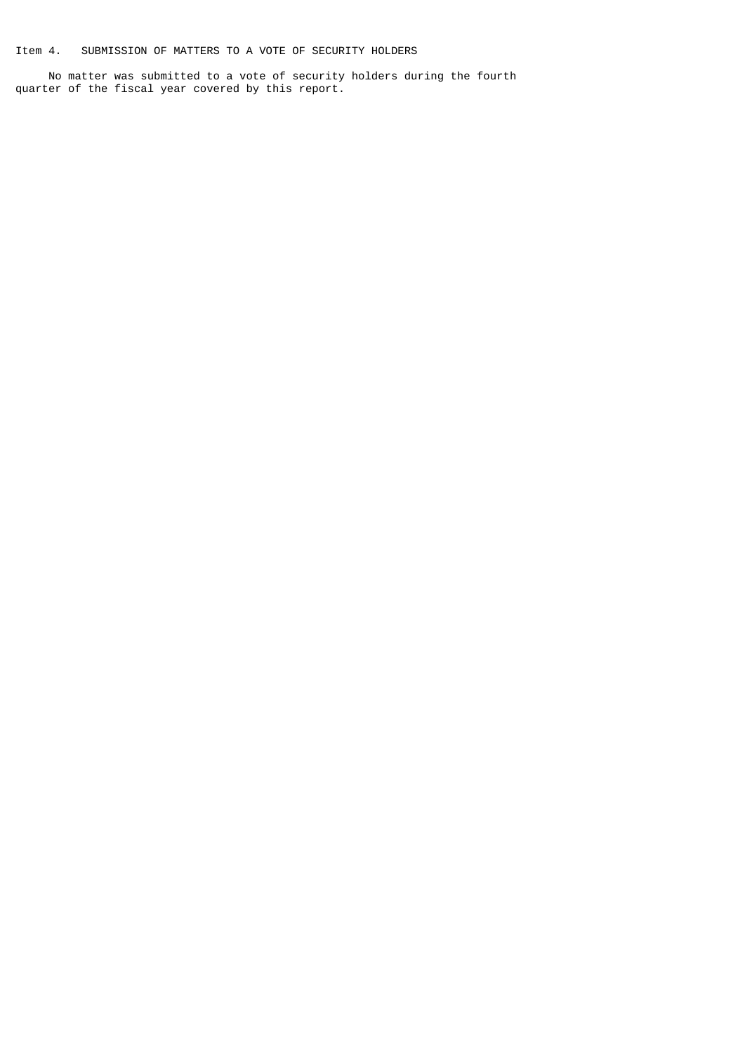Item 4. SUBMISSION OF MATTERS TO A VOTE OF SECURITY HOLDERS

 No matter was submitted to a vote of security holders during the fourth quarter of the fiscal year covered by this report.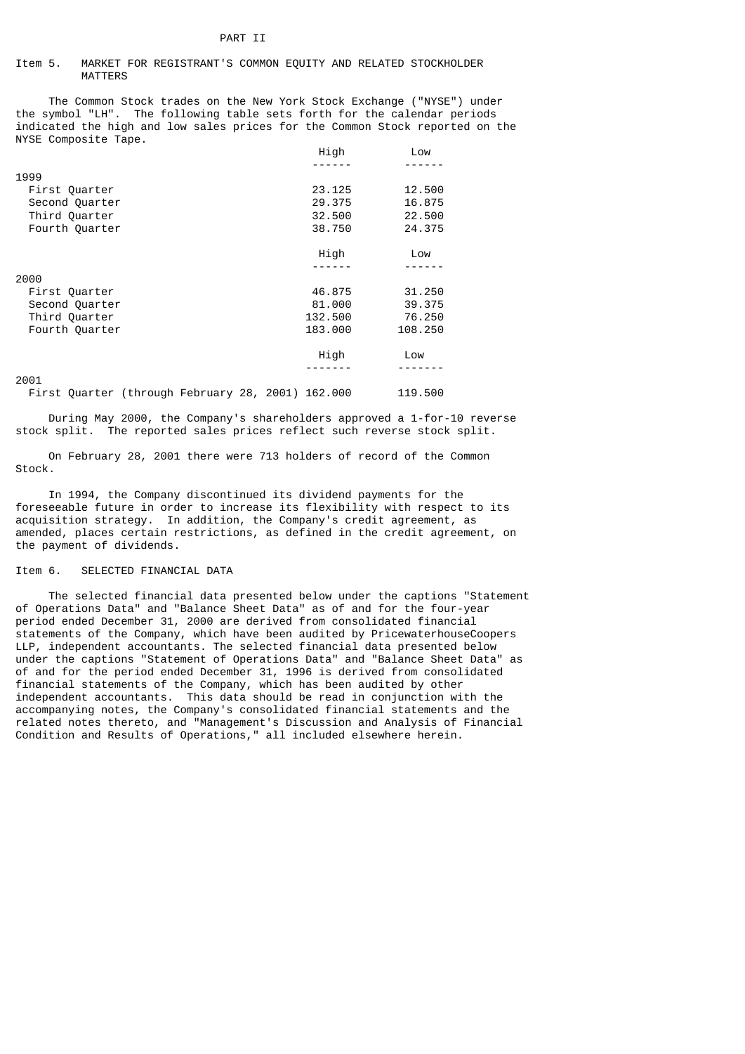#### Item 5. MARKET FOR REGISTRANT'S COMMON EQUITY AND RELATED STOCKHOLDER MATTERS

 The Common Stock trades on the New York Stock Exchange ("NYSE") under the symbol "LH". The following table sets forth for the calendar periods indicated the high and low sales prices for the Common Stock reported on the NYSE Composite Tape.

|                | High    | Low     |
|----------------|---------|---------|
|                |         |         |
| 1999           |         |         |
| First Quarter  | 23,125  | 12.500  |
| Second Quarter | 29,375  | 16.875  |
| Third Quarter  | 32.500  | 22.500  |
| Fourth Quarter | 38,750  | 24,375  |
|                | High    | Low     |
|                |         |         |
| 2000           |         |         |
| First Quarter  | 46.875  | 31,250  |
| Second Quarter | 81,000  | 39,375  |
| Third Quarter  | 132.500 | 76.250  |
| Fourth Quarter | 183,000 | 108,250 |
|                | High    | Low     |
|                |         |         |
| 2001           |         |         |

First Quarter (through February 28, 2001) 162.000 119.500

 During May 2000, the Company's shareholders approved a 1-for-10 reverse stock split. The reported sales prices reflect such reverse stock split.

 On February 28, 2001 there were 713 holders of record of the Common Stock.

 In 1994, the Company discontinued its dividend payments for the foreseeable future in order to increase its flexibility with respect to its acquisition strategy. In addition, the Company's credit agreement, as amended, places certain restrictions, as defined in the credit agreement, on the payment of dividends.

# Item 6. SELECTED FINANCIAL DATA

 The selected financial data presented below under the captions "Statement of Operations Data" and "Balance Sheet Data" as of and for the four-year period ended December 31, 2000 are derived from consolidated financial statements of the Company, which have been audited by PricewaterhouseCoopers LLP, independent accountants. The selected financial data presented below under the captions "Statement of Operations Data" and "Balance Sheet Data" as of and for the period ended December 31, 1996 is derived from consolidated financial statements of the Company, which has been audited by other independent accountants. This data should be read in conjunction with the accompanying notes, the Company's consolidated financial statements and the related notes thereto, and "Management's Discussion and Analysis of Financial Condition and Results of Operations," all included elsewhere herein.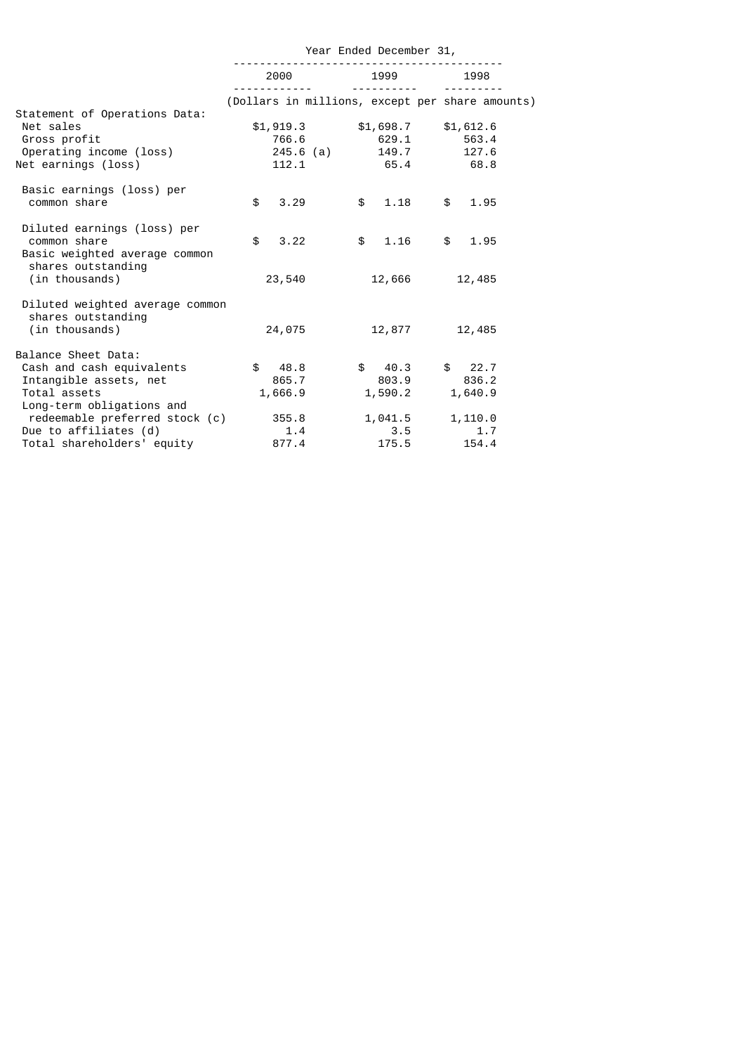|                                                                              | Year Ended December 31, |                 |                                   |                                                 |  |
|------------------------------------------------------------------------------|-------------------------|-----------------|-----------------------------------|-------------------------------------------------|--|
|                                                                              | 2000                    |                 | 1999<br><u> - - - - - - - - -</u> | 1998                                            |  |
| Statement of Operations Data:                                                |                         |                 |                                   | (Dollars in millions, except per share amounts) |  |
| Net sales                                                                    |                         |                 |                                   | $$1,919.3$ $$1,698.7$ $$1,612.6$                |  |
| Gross profit                                                                 |                         |                 |                                   | 766.6 629.1 563.4                               |  |
| Operating income (loss)                                                      |                         | 245.6 (a) 149.7 |                                   | 127.6                                           |  |
| Net earnings (loss)                                                          | 112.1                   |                 | 65.4                              | 68.8                                            |  |
| Basic earnings (loss) per<br>common share                                    | $\mathbf{f}$<br>3.29    |                 | 1.18<br>$\mathbb{S}$              | $\mathsf{s}$<br>1.95                            |  |
|                                                                              |                         |                 |                                   |                                                 |  |
| Diluted earnings (loss) per<br>common share<br>Basic weighted average common | 3.22<br>\$              |                 | 1.16<br>$\mathbb{S}$              | 1.95<br>\$                                      |  |
| shares outstanding<br>(in thousands)                                         | 23,540                  |                 | 12,666                            | 12,485                                          |  |
| Diluted weighted average common<br>shares outstanding<br>(in thousands)      | 24,075                  |                 | 12,877                            | 12,485                                          |  |
| Balance Sheet Data:                                                          |                         |                 |                                   |                                                 |  |
| Cash and cash equivalents                                                    | \$ 48.8                 |                 | \$40.3                            | \$22.7                                          |  |
| Intangible assets, net                                                       | 865.7                   |                 | 803.9                             | 836.2                                           |  |
| Total assets                                                                 | 1,666.9                 |                 | 1,590.2                           | 1,640.9                                         |  |
| Long-term obligations and                                                    |                         |                 |                                   |                                                 |  |
| redeemable preferred stock (c)                                               | 355.8                   |                 | 1,041.5                           | 1,110.0                                         |  |
| Due to affiliates (d)                                                        | 1.4                     |                 | 3.5                               | 1.7                                             |  |
| Total shareholders' equity                                                   | 877.4                   |                 | 175.5                             | 154.4                                           |  |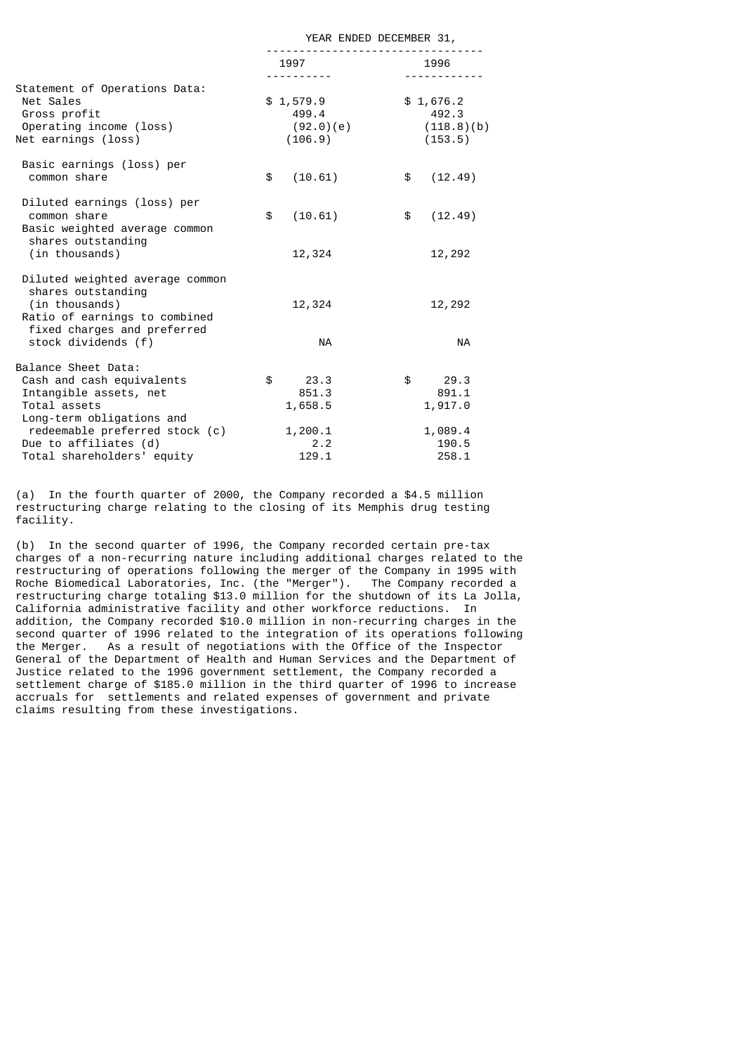| YEAR ENDED DECEMBER 31,                          |                                                             |
|--------------------------------------------------|-------------------------------------------------------------|
| 1997 — 1997                                      | 1996                                                        |
| \$1,579.9<br>499.4<br>(92.0)(e)<br>(106.9)       | \$1,676.2<br>492.3<br>(118.8)(b)<br>(153.5)                 |
| \$<br>(10.61)                                    | \$<br>(12.49)                                               |
| \$<br>(10.61)                                    | \$<br>(12.49)                                               |
| 12,324<br><b>NA</b>                              | 12,292<br>12,292<br>NA                                      |
| \$<br>23.3<br>851.3<br>1,658.5<br>1,200.1<br>2.2 | 29.3<br>\$<br>891.1<br>1,917.0<br>1,089.4<br>190.5<br>258.1 |
|                                                  | .<br>12,324<br>129.1                                        |

(a) In the fourth quarter of 2000, the Company recorded a \$4.5 million restructuring charge relating to the closing of its Memphis drug testing facility.

(b) In the second quarter of 1996, the Company recorded certain pre-tax charges of a non-recurring nature including additional charges related to the restructuring of operations following the merger of the Company in 1995 with Roche Biomedical Laboratories, Inc. (the "Merger"). The Company recorded a restructuring charge totaling \$13.0 million for the shutdown of its La Jolla, California administrative facility and other workforce reductions. In addition, the Company recorded \$10.0 million in non-recurring charges in the second quarter of 1996 related to the integration of its operations following the Merger. As a result of negotiations with the Office of the Inspector General of the Department of Health and Human Services and the Department of Justice related to the 1996 government settlement, the Company recorded a settlement charge of \$185.0 million in the third quarter of 1996 to increase accruals for settlements and related expenses of government and private claims resulting from these investigations.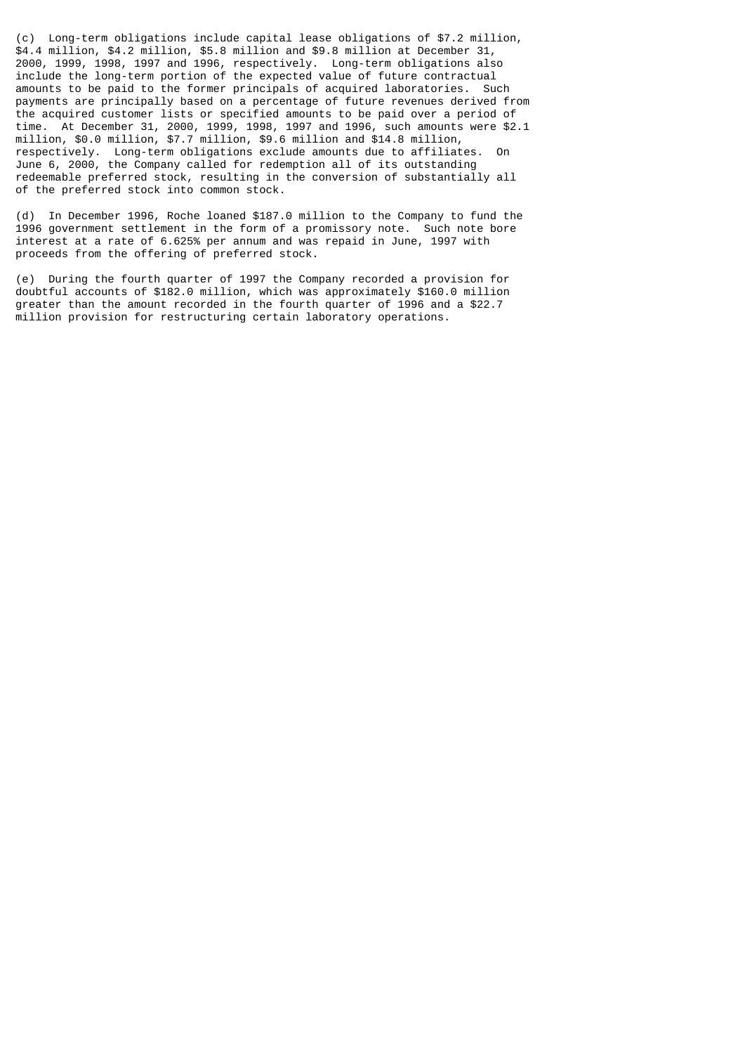(c) Long-term obligations include capital lease obligations of \$7.2 million, \$4.4 million, \$4.2 million, \$5.8 million and \$9.8 million at December 31, 2000, 1999, 1998, 1997 and 1996, respectively. Long-term obligations also include the long-term portion of the expected value of future contractual amounts to be paid to the former principals of acquired laboratories. Such payments are principally based on a percentage of future revenues derived from the acquired customer lists or specified amounts to be paid over a period of time. At December 31, 2000, 1999, 1998, 1997 and 1996, such amounts were \$2.1 million, \$0.0 million, \$7.7 million, \$9.6 million and \$14.8 million, respectively. Long-term obligations exclude amounts due to affiliates. On June 6, 2000, the Company called for redemption all of its outstanding redeemable preferred stock, resulting in the conversion of substantially all of the preferred stock into common stock.

(d) In December 1996, Roche loaned \$187.0 million to the Company to fund the 1996 government settlement in the form of a promissory note. Such note bore interest at a rate of 6.625% per annum and was repaid in June, 1997 with proceeds from the offering of preferred stock.

(e) During the fourth quarter of 1997 the Company recorded a provision for doubtful accounts of \$182.0 million, which was approximately \$160.0 million greater than the amount recorded in the fourth quarter of 1996 and a \$22.7 million provision for restructuring certain laboratory operations.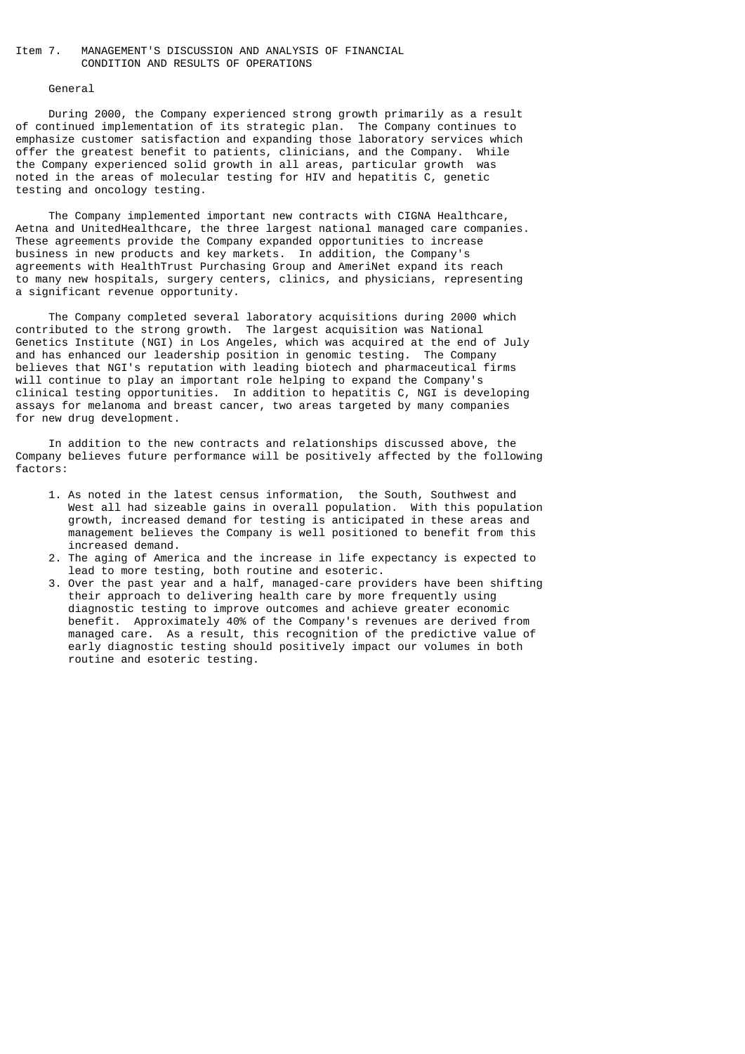# Item 7. MANAGEMENT'S DISCUSSION AND ANALYSIS OF FINANCIAL CONDITION AND RESULTS OF OPERATIONS

#### General

 During 2000, the Company experienced strong growth primarily as a result of continued implementation of its strategic plan. The Company continues to emphasize customer satisfaction and expanding those laboratory services which offer the greatest benefit to patients, clinicians, and the Company. While the Company experienced solid growth in all areas, particular growth was noted in the areas of molecular testing for HIV and hepatitis C, genetic testing and oncology testing.

 The Company implemented important new contracts with CIGNA Healthcare, Aetna and UnitedHealthcare, the three largest national managed care companies. These agreements provide the Company expanded opportunities to increase business in new products and key markets. In addition, the Company's agreements with HealthTrust Purchasing Group and AmeriNet expand its reach to many new hospitals, surgery centers, clinics, and physicians, representing a significant revenue opportunity.

 The Company completed several laboratory acquisitions during 2000 which contributed to the strong growth. The largest acquisition was National Genetics Institute (NGI) in Los Angeles, which was acquired at the end of July and has enhanced our leadership position in genomic testing. The Company believes that NGI's reputation with leading biotech and pharmaceutical firms will continue to play an important role helping to expand the Company's clinical testing opportunities. In addition to hepatitis C, NGI is developing assays for melanoma and breast cancer, two areas targeted by many companies for new drug development.

 In addition to the new contracts and relationships discussed above, the Company believes future performance will be positively affected by the following factors:

- 1. As noted in the latest census information, the South, Southwest and West all had sizeable gains in overall population. With this population growth, increased demand for testing is anticipated in these areas and management believes the Company is well positioned to benefit from this increased demand.
- 2. The aging of America and the increase in life expectancy is expected to lead to more testing, both routine and esoteric.
- 3. Over the past year and a half, managed-care providers have been shifting their approach to delivering health care by more frequently using diagnostic testing to improve outcomes and achieve greater economic benefit. Approximately 40% of the Company's revenues are derived from managed care. As a result, this recognition of the predictive value of early diagnostic testing should positively impact our volumes in both routine and esoteric testing.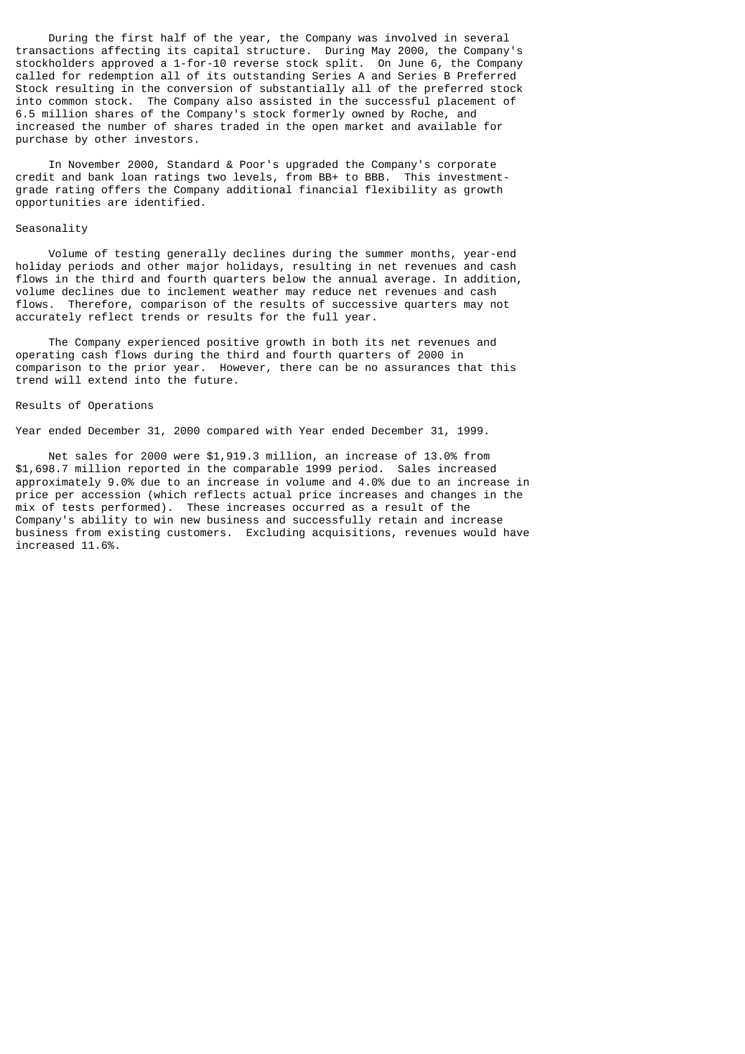During the first half of the year, the Company was involved in several transactions affecting its capital structure. During May 2000, the Company's stockholders approved a 1-for-10 reverse stock split. On June 6, the Company called for redemption all of its outstanding Series A and Series B Preferred Stock resulting in the conversion of substantially all of the preferred stock into common stock. The Company also assisted in the successful placement of 6.5 million shares of the Company's stock formerly owned by Roche, and increased the number of shares traded in the open market and available for purchase by other investors.

 In November 2000, Standard & Poor's upgraded the Company's corporate credit and bank loan ratings two levels, from BB+ to BBB. This investmentgrade rating offers the Company additional financial flexibility as growth opportunities are identified.

# Seasonality

 Volume of testing generally declines during the summer months, year-end holiday periods and other major holidays, resulting in net revenues and cash flows in the third and fourth quarters below the annual average. In addition, volume declines due to inclement weather may reduce net revenues and cash flows. Therefore, comparison of the results of successive quarters may not accurately reflect trends or results for the full year.

 The Company experienced positive growth in both its net revenues and operating cash flows during the third and fourth quarters of 2000 in comparison to the prior year. However, there can be no assurances that this trend will extend into the future.

### Results of Operations

Year ended December 31, 2000 compared with Year ended December 31, 1999.

 Net sales for 2000 were \$1,919.3 million, an increase of 13.0% from \$1,698.7 million reported in the comparable 1999 period. Sales increased approximately 9.0% due to an increase in volume and 4.0% due to an increase in price per accession (which reflects actual price increases and changes in the mix of tests performed). These increases occurred as a result of the Company's ability to win new business and successfully retain and increase business from existing customers. Excluding acquisitions, revenues would have increased 11.6%.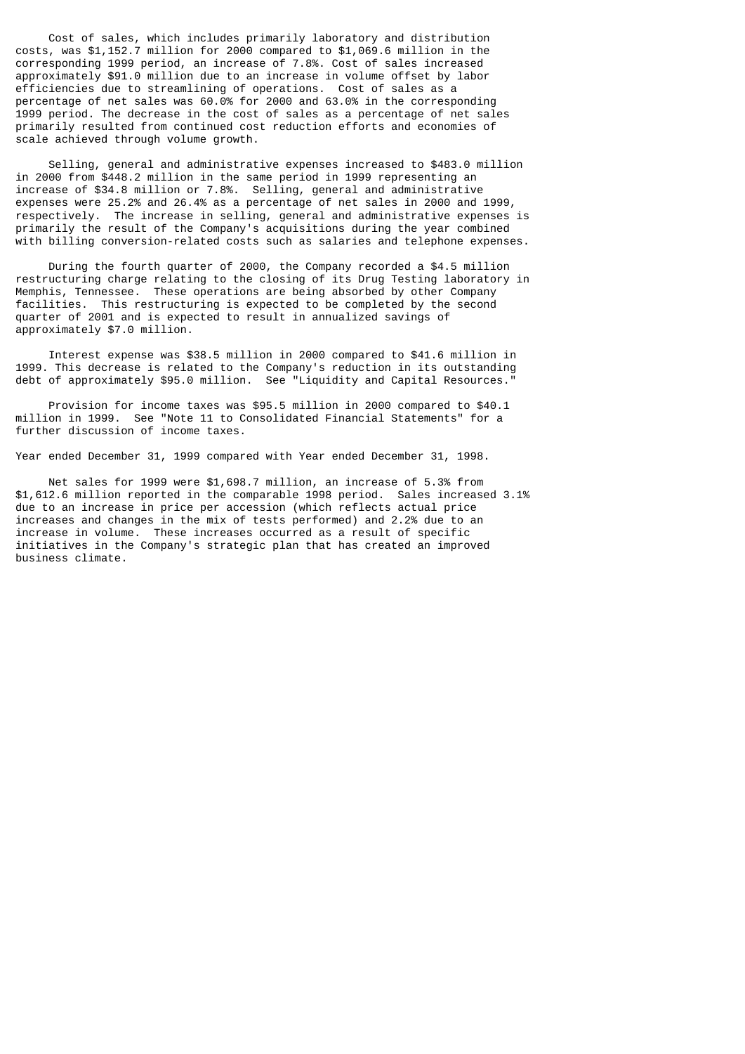Cost of sales, which includes primarily laboratory and distribution costs, was \$1,152.7 million for 2000 compared to \$1,069.6 million in the corresponding 1999 period, an increase of 7.8%. Cost of sales increased approximately \$91.0 million due to an increase in volume offset by labor efficiencies due to streamlining of operations. Cost of sales as a percentage of net sales was 60.0% for 2000 and 63.0% in the corresponding 1999 period. The decrease in the cost of sales as a percentage of net sales primarily resulted from continued cost reduction efforts and economies of scale achieved through volume growth.

 Selling, general and administrative expenses increased to \$483.0 million in 2000 from \$448.2 million in the same period in 1999 representing an increase of \$34.8 million or 7.8%. Selling, general and administrative expenses were 25.2% and 26.4% as a percentage of net sales in 2000 and 1999, respectively. The increase in selling, general and administrative expenses is primarily the result of the Company's acquisitions during the year combined with billing conversion-related costs such as salaries and telephone expenses.

 During the fourth quarter of 2000, the Company recorded a \$4.5 million restructuring charge relating to the closing of its Drug Testing laboratory in Memphis, Tennessee. These operations are being absorbed by other Company facilities. This restructuring is expected to be completed by the second quarter of 2001 and is expected to result in annualized savings of approximately \$7.0 million.

 Interest expense was \$38.5 million in 2000 compared to \$41.6 million in 1999. This decrease is related to the Company's reduction in its outstanding debt of approximately \$95.0 million. See "Liquidity and Capital Resources.

 Provision for income taxes was \$95.5 million in 2000 compared to \$40.1 million in 1999. See "Note 11 to Consolidated Financial Statements" for a further discussion of income taxes.

Year ended December 31, 1999 compared with Year ended December 31, 1998.

 Net sales for 1999 were \$1,698.7 million, an increase of 5.3% from \$1,612.6 million reported in the comparable 1998 period. Sales increased 3.1% due to an increase in price per accession (which reflects actual price increases and changes in the mix of tests performed) and 2.2% due to an increase in volume. These increases occurred as a result of specific initiatives in the Company's strategic plan that has created an improved business climate.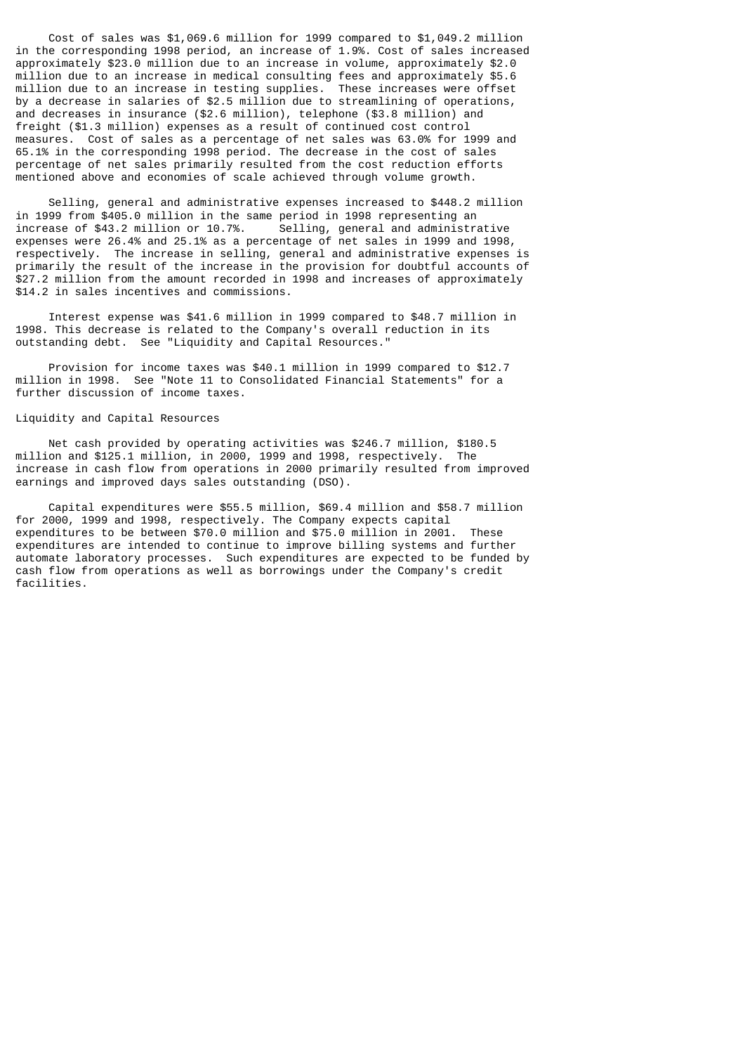Cost of sales was \$1,069.6 million for 1999 compared to \$1,049.2 million in the corresponding 1998 period, an increase of 1.9%. Cost of sales increased approximately \$23.0 million due to an increase in volume, approximately \$2.0 million due to an increase in medical consulting fees and approximately \$5.6 million due to an increase in testing supplies. These increases were offset by a decrease in salaries of \$2.5 million due to streamlining of operations, and decreases in insurance (\$2.6 million), telephone (\$3.8 million) and freight (\$1.3 million) expenses as a result of continued cost control measures. Cost of sales as a percentage of net sales was 63.0% for 1999 and 65.1% in the corresponding 1998 period. The decrease in the cost of sales percentage of net sales primarily resulted from the cost reduction efforts mentioned above and economies of scale achieved through volume growth.

 Selling, general and administrative expenses increased to \$448.2 million in 1999 from \$405.0 million in the same period in 1998 representing an increase of  $$43.2$  million or 10.7%. expenses were 26.4% and 25.1% as a percentage of net sales in 1999 and 1998, respectively. The increase in selling, general and administrative expenses is primarily the result of the increase in the provision for doubtful accounts of \$27.2 million from the amount recorded in 1998 and increases of approximately \$14.2 in sales incentives and commissions.

 Interest expense was \$41.6 million in 1999 compared to \$48.7 million in 1998. This decrease is related to the Company's overall reduction in its outstanding debt. See "Liquidity and Capital Resources."

 Provision for income taxes was \$40.1 million in 1999 compared to \$12.7 million in 1998. See "Note 11 to Consolidated Financial Statements" for a further discussion of income taxes.

# Liquidity and Capital Resources

 Net cash provided by operating activities was \$246.7 million, \$180.5 million and \$125.1 million, in 2000, 1999 and 1998, respectively. The increase in cash flow from operations in 2000 primarily resulted from improved earnings and improved days sales outstanding (DSO).

 Capital expenditures were \$55.5 million, \$69.4 million and \$58.7 million for 2000, 1999 and 1998, respectively. The Company expects capital expenditures to be between \$70.0 million and \$75.0 million in 2001. These expenditures are intended to continue to improve billing systems and further automate laboratory processes. Such expenditures are expected to be funded by cash flow from operations as well as borrowings under the Company's credit facilities.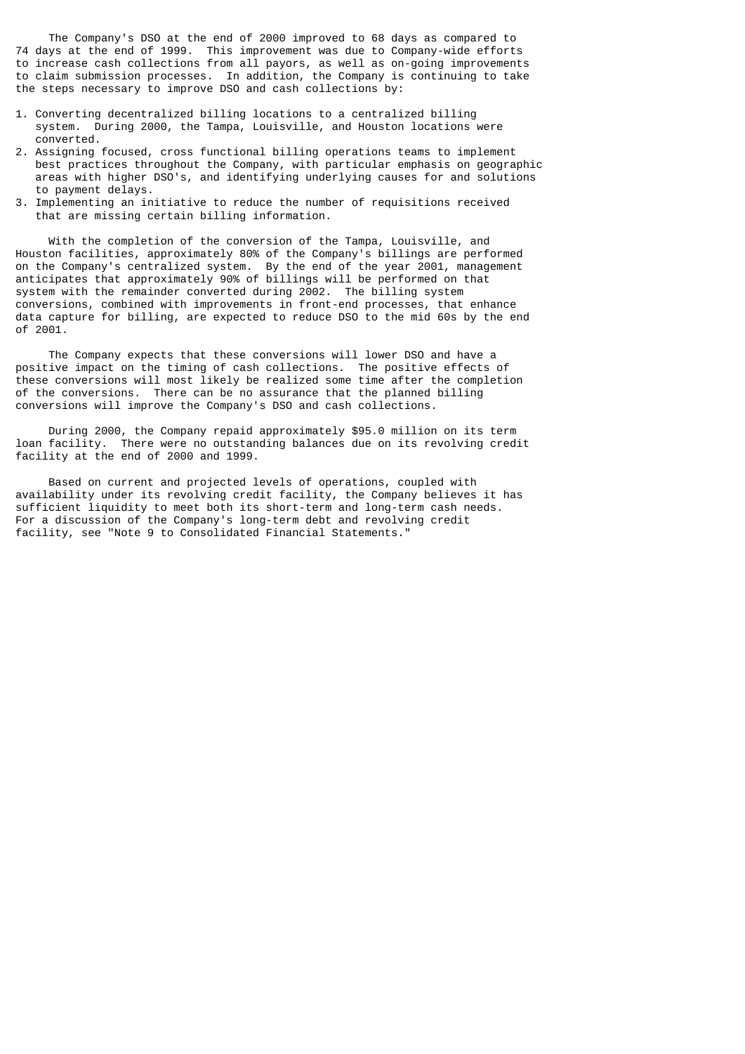The Company's DSO at the end of 2000 improved to 68 days as compared to 74 days at the end of 1999. This improvement was due to Company-wide efforts to increase cash collections from all payors, as well as on-going improvements to claim submission processes. In addition, the Company is continuing to take the steps necessary to improve DSO and cash collections by:

- 1. Converting decentralized billing locations to a centralized billing system. During 2000, the Tampa, Louisville, and Houston locations were converted.
- 2. Assigning focused, cross functional billing operations teams to implement best practices throughout the Company, with particular emphasis on geographic areas with higher DSO's, and identifying underlying causes for and solutions to payment delays.
- 3. Implementing an initiative to reduce the number of requisitions received that are missing certain billing information.

 With the completion of the conversion of the Tampa, Louisville, and Houston facilities, approximately 80% of the Company's billings are performed on the Company's centralized system. By the end of the year 2001, management anticipates that approximately 90% of billings will be performed on that system with the remainder converted during 2002. The billing system conversions, combined with improvements in front-end processes, that enhance data capture for billing, are expected to reduce DSO to the mid 60s by the end of 2001.

 The Company expects that these conversions will lower DSO and have a positive impact on the timing of cash collections. The positive effects of these conversions will most likely be realized some time after the completion of the conversions. There can be no assurance that the planned billing conversions will improve the Company's DSO and cash collections.

 During 2000, the Company repaid approximately \$95.0 million on its term loan facility. There were no outstanding balances due on its revolving credit facility at the end of 2000 and 1999.

 Based on current and projected levels of operations, coupled with availability under its revolving credit facility, the Company believes it has sufficient liquidity to meet both its short-term and long-term cash needs. For a discussion of the Company's long-term debt and revolving credit facility, see "Note 9 to Consolidated Financial Statements."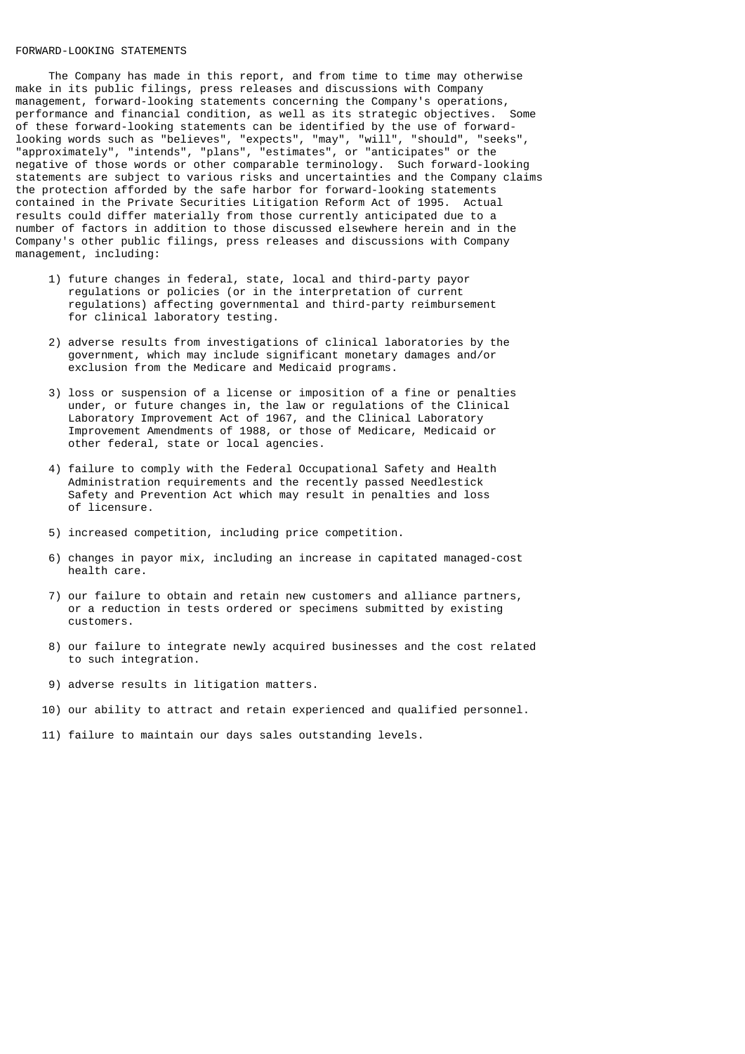# FORWARD-LOOKING STATEMENTS

 The Company has made in this report, and from time to time may otherwise make in its public filings, press releases and discussions with Company management, forward-looking statements concerning the Company's operations, performance and financial condition, as well as its strategic objectives. Some of these forward-looking statements can be identified by the use of forwardlooking words such as "believes", "expects", "may", "will", "should", "seeks", "approximately", "intends", "plans", "estimates", or "anticipates" or the negative of those words or other comparable terminology. Such forward-looking statements are subject to various risks and uncertainties and the Company claims the protection afforded by the safe harbor for forward-looking statements contained in the Private Securities Litigation Reform Act of 1995. Actual results could differ materially from those currently anticipated due to a number of factors in addition to those discussed elsewhere herein and in the Company's other public filings, press releases and discussions with Company management, including:

- 1) future changes in federal, state, local and third-party payor regulations or policies (or in the interpretation of current regulations) affecting governmental and third-party reimbursement for clinical laboratory testing.
- 2) adverse results from investigations of clinical laboratories by the government, which may include significant monetary damages and/or exclusion from the Medicare and Medicaid programs.
- 3) loss or suspension of a license or imposition of a fine or penalties under, or future changes in, the law or regulations of the Clinical Laboratory Improvement Act of 1967, and the Clinical Laboratory Improvement Amendments of 1988, or those of Medicare, Medicaid or other federal, state or local agencies.
	- 4) failure to comply with the Federal Occupational Safety and Health Administration requirements and the recently passed Needlestick Safety and Prevention Act which may result in penalties and loss of licensure.
	- 5) increased competition, including price competition.
	- 6) changes in payor mix, including an increase in capitated managed-cost health care.
	- 7) our failure to obtain and retain new customers and alliance partners, or a reduction in tests ordered or specimens submitted by existing customers.
	- 8) our failure to integrate newly acquired businesses and the cost related to such integration.
	- 9) adverse results in litigation matters.
	- 10) our ability to attract and retain experienced and qualified personnel.
	- 11) failure to maintain our days sales outstanding levels.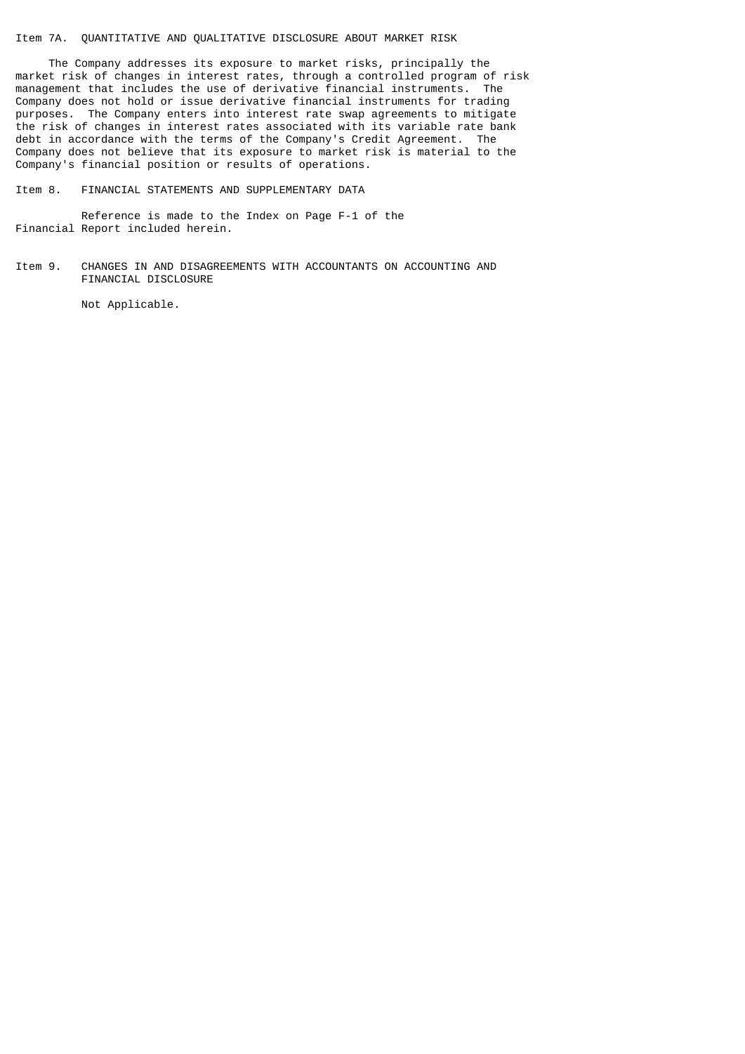# Item 7A. QUANTITATIVE AND QUALITATIVE DISCLOSURE ABOUT MARKET RISK

 The Company addresses its exposure to market risks, principally the market risk of changes in interest rates, through a controlled program of risk management that includes the use of derivative financial instruments. The Company does not hold or issue derivative financial instruments for trading purposes. The Company enters into interest rate swap agreements to mitigate the risk of changes in interest rates associated with its variable rate bank debt in accordance with the terms of the Company's Credit Agreement. The Company does not believe that its exposure to market risk is material to the Company's financial position or results of operations.

Item 8. FINANCIAL STATEMENTS AND SUPPLEMENTARY DATA

 Reference is made to the Index on Page F-1 of the Financial Report included herein.

Item 9. CHANGES IN AND DISAGREEMENTS WITH ACCOUNTANTS ON ACCOUNTING AND FINANCIAL DISCLOSURE

Not Applicable.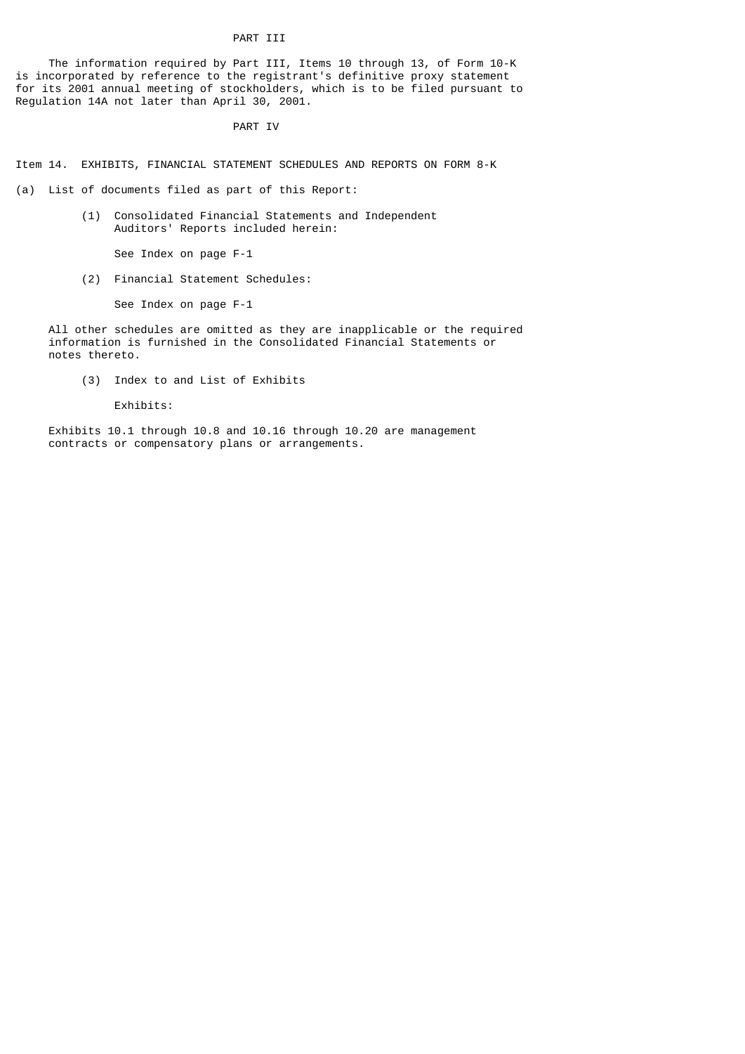# PART TIT

 The information required by Part III, Items 10 through 13, of Form 10-K is incorporated by reference to the registrant's definitive proxy statement for its 2001 annual meeting of stockholders, which is to be filed pursuant to Regulation 14A not later than April 30, 2001.

PART IV

Item 14. EXHIBITS, FINANCIAL STATEMENT SCHEDULES AND REPORTS ON FORM 8-K

(a) List of documents filed as part of this Report:

 (1) Consolidated Financial Statements and Independent Auditors' Reports included herein:

See Index on page F-1

(2) Financial Statement Schedules:

See Index on page F-1

 All other schedules are omitted as they are inapplicable or the required information is furnished in the Consolidated Financial Statements or notes thereto.

(3) Index to and List of Exhibits

Exhibits:

 Exhibits 10.1 through 10.8 and 10.16 through 10.20 are management contracts or compensatory plans or arrangements.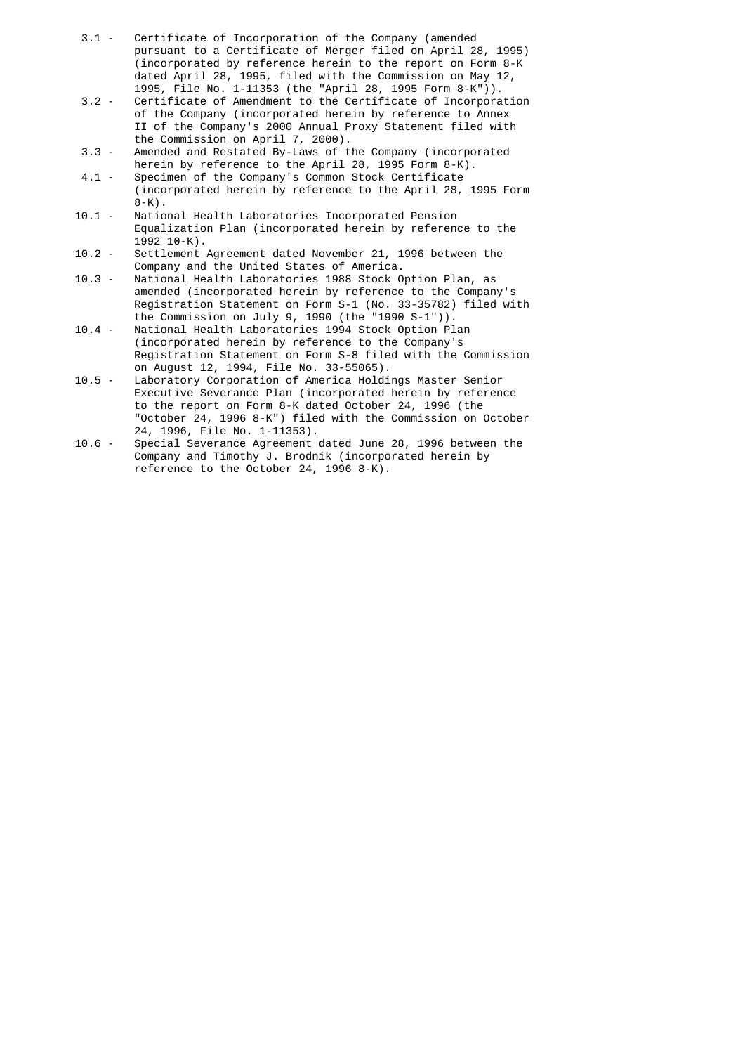- 3.1 Certificate of Incorporation of the Company (amended pursuant to a Certificate of Merger filed on April 28, 1995) (incorporated by reference herein to the report on Form 8-K dated April 28, 1995, filed with the Commission on May 12,
- 1995, File No. 1-11353 (the "April 28, 1995 Form 8-K")). Certificate of Amendment to the Certificate of Incorporation of the Company (incorporated herein by reference to Annex II of the Company's 2000 Annual Proxy Statement filed with the Commission on April 7, 2000).<br>3.3 - Amended and Restated By-Laws of t
- Amended and Restated By-Laws of the Company (incorporated herein by reference to the April 28, 1995 Form 8-K).
- 4.1 Specimen of the Company's Common Stock Certificate (incorporated herein by reference to the April 28, 1995 Form 8-K).<br>10.1 - Natio
- National Health Laboratories Incorporated Pension Equalization Plan (incorporated herein by reference to the .(1992 10-K<br>10.2 - Settlement
- Settlement Agreement dated November 21, 1996 between the Company and the United States of America.<br>10.3 - National Health Laboratories 1988 Stock O
- National Health Laboratories 1988 Stock Option Plan, as amended (incorporated herein by reference to the Company's Registration Statement on Form S-1 (No. 33-35782) filed with the Commission on July 9, 1990 (the "1990 S-1")).
- 10.4 National Health Laboratories 1994 Stock Option Plan (incorporated herein by reference to the Company's Registration Statement on Form S-8 filed with the Commission
- on August 12, 1994, File No. 33-55065).<br>10.5 Laboratory Corporation of America Holdi Laboratory Corporation of America Holdings Master Senior Executive Severance Plan (incorporated herein by reference to the report on Form 8-K dated October 24, 1996 (the "October 24, 1996 8-K") filed with the Commission on October 24, 1996, File No. 1-11353).<br>10.6 - Special Severance Agreement
- Special Severance Agreement dated June 28, 1996 between the Company and Timothy J. Brodnik (incorporated herein by reference to the October 24, 1996 8-K).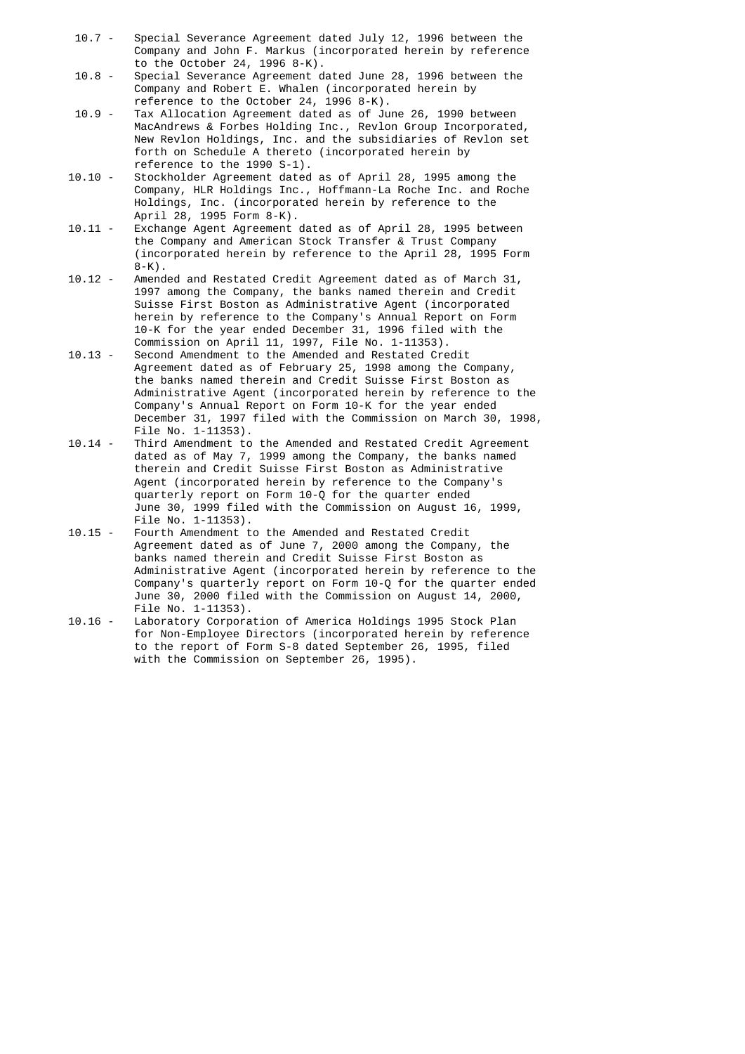- 10.7 Special Severance Agreement dated July 12, 1996 between the Company and John F. Markus (incorporated herein by reference to the October 24, 1996 8-K).
	- 10.8 Special Severance Agreement dated June 28, 1996 between the Company and Robert E. Whalen (incorporated herein by reference to the October 24, 1996 8-K).<br>10.9 - Tax Allocation Agreement dated as of Ju
	- Tax Allocation Agreement dated as of June 26, 1990 between MacAndrews & Forbes Holding Inc., Revlon Group Incorporated, New Revlon Holdings, Inc. and the subsidiaries of Revlon set forth on Schedule A thereto (incorporated herein by reference to the 1990 S-1).<br>10.10 - Stockholder Agreement dated
	- Stockholder Agreement dated as of April 28, 1995 among the Company, HLR Holdings Inc., Hoffmann-La Roche Inc. and Roche Holdings, Inc. (incorporated herein by reference to the April 28, 1995 Form 8-K).<br>10.11 - Exchange Agent Agreement
	- Exchange Agent Agreement dated as of April 28, 1995 between the Company and American Stock Transfer & Trust Company (incorporated herein by reference to the April 28, 1995 Form 8-K).<br>10.12 - Amend
	- Amended and Restated Credit Agreement dated as of March 31, 1997 among the Company, the banks named therein and Credit Suisse First Boston as Administrative Agent (incorporated herein by reference to the Company's Annual Report on Form 10-K for the year ended December 31, 1996 filed with the Commission on April 11, 1997, File No. 1-11353).<br>10.13 - Second Amendment to the Amended and Restated Cre
	- Second Amendment to the Amended and Restated Credit Agreement dated as of February 25, 1998 among the Company, the banks named therein and Credit Suisse First Boston as Administrative Agent (incorporated herein by reference to the Company's Annual Report on Form 10-K for the year ended December 31, 1997 filed with the Commission on March 30, 1998, File No. 1-11353).<br>10.14 - Third Amendment to
- Third Amendment to the Amended and Restated Credit Agreement dated as of May 7, 1999 among the Company, the banks named therein and Credit Suisse First Boston as Administrative Agent (incorporated herein by reference to the Company's quarterly report on Form 10-Q for the quarter ended June 30, 1999 filed with the Commission on August 16, 1999, File No. 1-11353).<br>10.15 - Fourth Amendment t
	- Fourth Amendment to the Amended and Restated Credit Agreement dated as of June 7, 2000 among the Company, the banks named therein and Credit Suisse First Boston as Administrative Agent (incorporated herein by reference to the Company's quarterly report on Form 10-Q for the quarter ended June 30, 2000 filed with the Commission on August 14, 2000, File No. 1-11353).<br>10.16 - Laboratory Corpora
	- Laboratory Corporation of America Holdings 1995 Stock Plan for Non-Employee Directors (incorporated herein by reference to the report of Form S-8 dated September 26, 1995, filed with the Commission on September 26, 1995).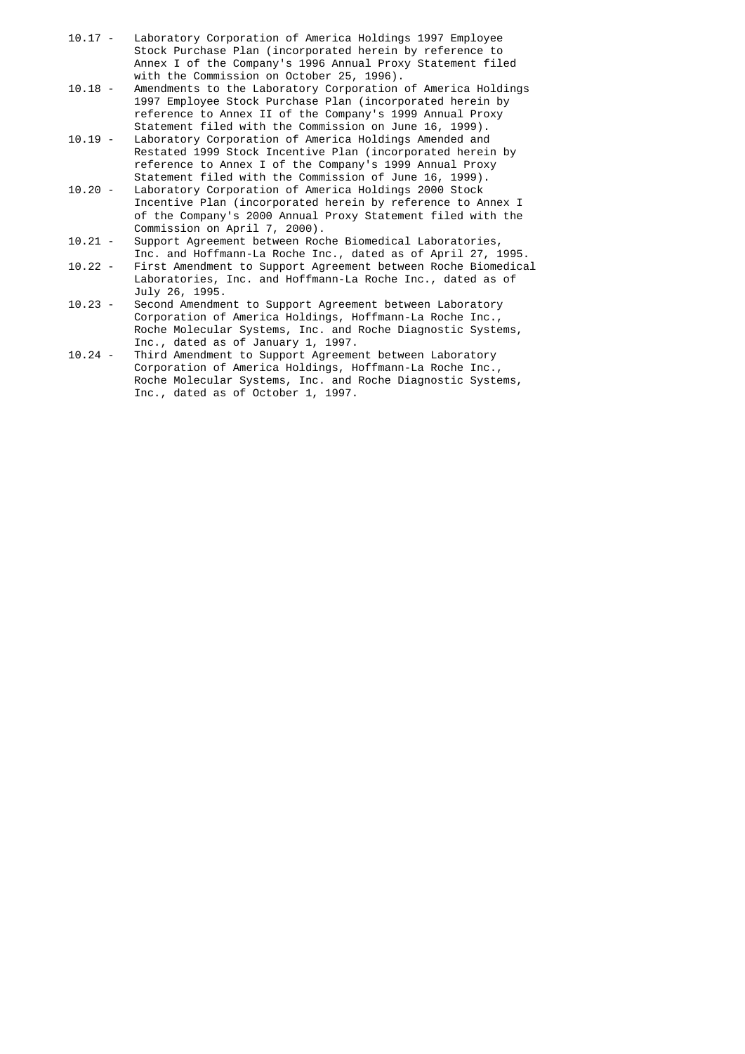- 10.17 Laboratory Corporation of America Holdings 1997 Employee Stock Purchase Plan (incorporated herein by reference to Annex I of the Company's 1996 Annual Proxy Statement filed with the Commission on October 25, 1996).<br>10.18 - Amendments to the Laboratory Corporation
- Amendments to the Laboratory Corporation of America Holdings 1997 Employee Stock Purchase Plan (incorporated herein by reference to Annex II of the Company's 1999 Annual Proxy Statement filed with the Commission on June 16, 1999).
- 10.19 Laboratory Corporation of America Holdings Amended and Restated 1999 Stock Incentive Plan (incorporated herein by reference to Annex I of the Company's 1999 Annual Proxy
- Statement filed with the Commission of June 16, 1999). Laboratory Corporation of America Holdings 2000 Stock Incentive Plan (incorporated herein by reference to Annex I of the Company's 2000 Annual Proxy Statement filed with the Commission on April 7, 2000).
- 10.21 Support Agreement between Roche Biomedical Laboratories,
- Inc. and Hoffmann-La Roche Inc., dated as of April 27, 1995.<br>10.22 First Amendment to Support Agreement between Roche Biomedica First Amendment to Support Agreement between Roche Biomedical Laboratories, Inc. and Hoffmann-La Roche Inc., dated as of July 26, 1995.
- 10.23 Second Amendment to Support Agreement between Laboratory Corporation of America Holdings, Hoffmann-La Roche Inc., Roche Molecular Systems, Inc. and Roche Diagnostic Systems, Inc., dated as of January 1, 1997.<br>10.24 - Third Amendment to Support Agreeme
- Third Amendment to Support Agreement between Laboratory Corporation of America Holdings, Hoffmann-La Roche Inc., Roche Molecular Systems, Inc. and Roche Diagnostic Systems, Inc., dated as of October 1, 1997.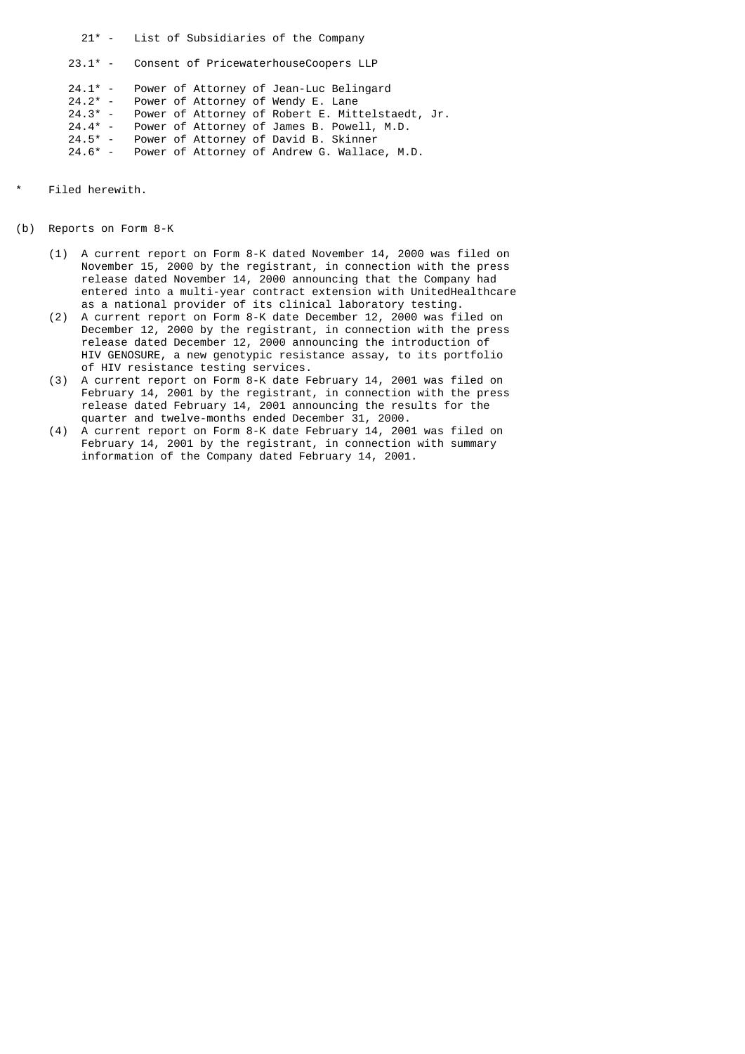21\* - List of Subsidiaries of the Company 23.1\* - Consent of PricewaterhouseCoopers LLP  $24.1*$  - Power of Attorney of Jean-Luc Belingard<br> $24.2*$  - Power of Attorney of Wendy E. Lane  $24.2^*$  - Power of Attorney of Wendy E. Lane<br> $24.3^*$  - Power of Attorney of Robert E. Mit  $24.3*$  - Power of Attorney of Robert E. Mittelstaedt, Jr.<br> $24.4*$  - Power of Attorney of James B. Powell, M.D. 24.4\* - Power of Attorney of James B. Powell, M.D. 24.5\* - Power of Attorney of David B. Skinner 24.6\* - Power of Attorney of Andrew G. Wallace, M.D.

- Filed herewith.
- (b) Reports on Form 8-K
	- (1) A current report on Form 8-K dated November 14, 2000 was filed on November 15, 2000 by the registrant, in connection with the press release dated November 14, 2000 announcing that the Company had entered into a multi-year contract extension with UnitedHealthcare as a national provider of its clinical laboratory testing.
	- (2) A current report on Form 8-K date December 12, 2000 was filed on December 12, 2000 by the registrant, in connection with the press release dated December 12, 2000 announcing the introduction of HIV GENOSURE, a new genotypic resistance assay, to its portfolio of HIV resistance testing services.
	- (3) A current report on Form 8-K date February 14, 2001 was filed on February 14, 2001 by the registrant, in connection with the press release dated February 14, 2001 announcing the results for the quarter and twelve-months ended December 31, 2000.
	- (4) A current report on Form 8-K date February 14, 2001 was filed on February 14, 2001 by the registrant, in connection with summary information of the Company dated February 14, 2001.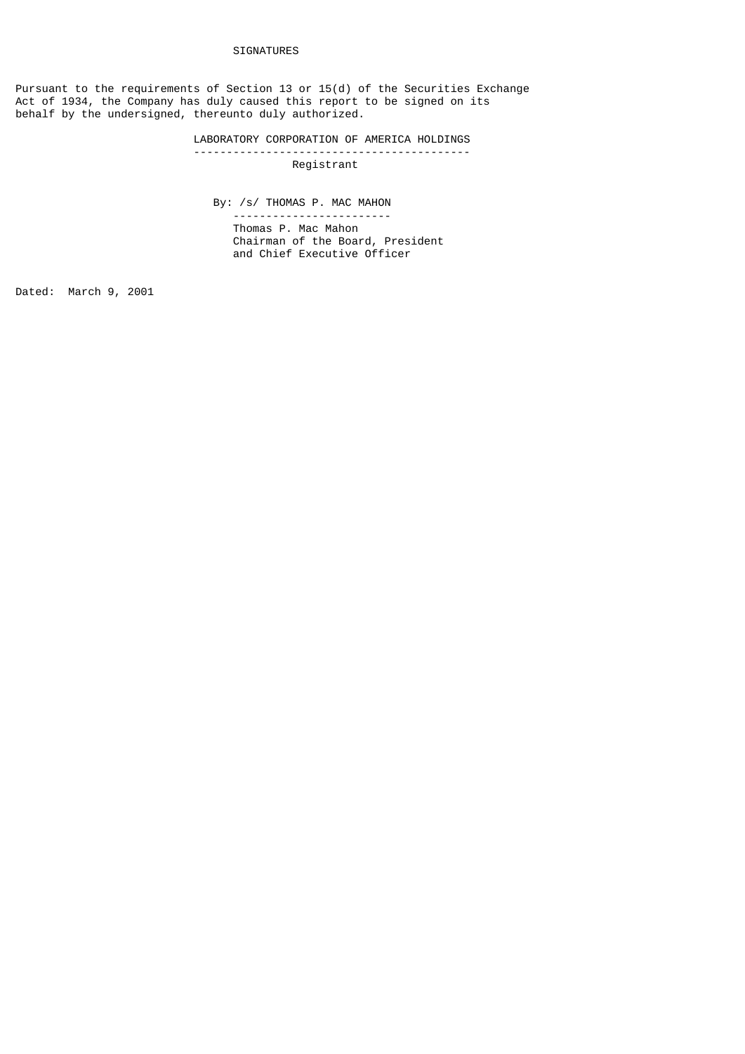Pursuant to the requirements of Section 13 or 15(d) of the Securities Exchange Act of 1934, the Company has duly caused this report to be signed on its behalf by the undersigned, thereunto duly authorized.

#### LABORATORY CORPORATION OF AMERICA HOLDINGS ------------------------------------------

Registrant

By: /s/ THOMAS P. MAC MAHON

 ------------------------ Thomas P. Mac Mahon Chairman of the Board, President and Chief Executive Officer

Dated: March 9, 2001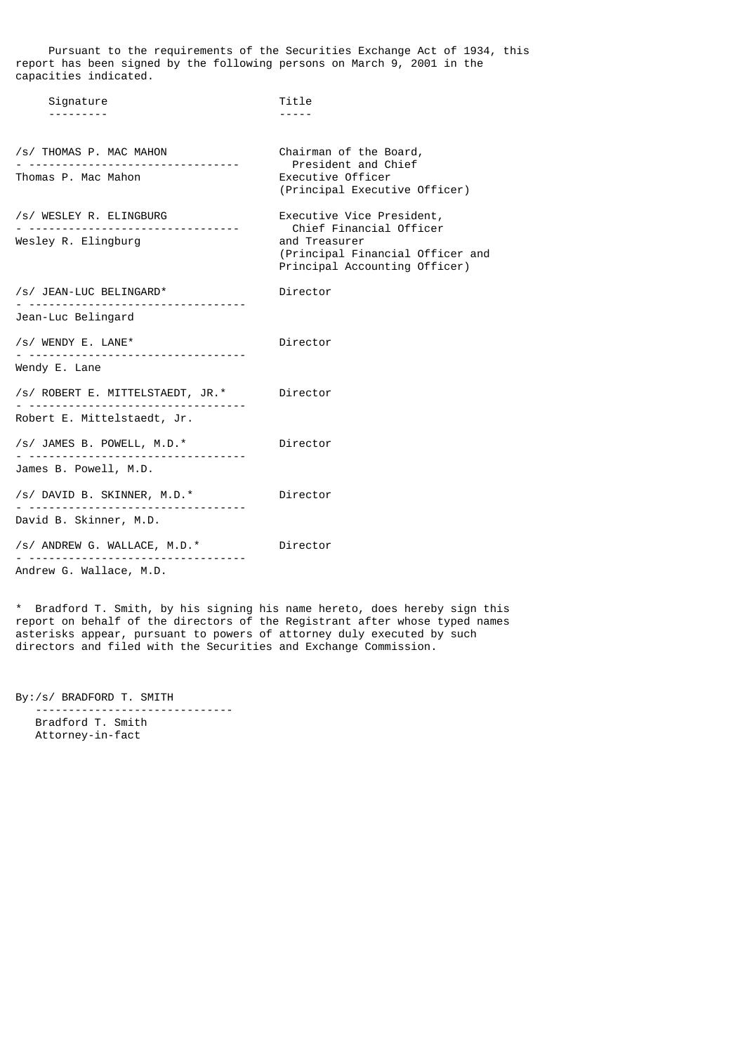Pursuant to the requirements of the Securities Exchange Act of 1934, this report has been signed by the following persons on March 9, 2001 in the capacities indicated.

| Signature                                                                                    | Title                                                                                                                                      |
|----------------------------------------------------------------------------------------------|--------------------------------------------------------------------------------------------------------------------------------------------|
| /s/ THOMAS P. MAC MAHON<br>Thomas P. Mac Mahon                                               | Chairman of the Board,<br>President and Chief<br>Executive Officer<br>(Principal Executive Officer)                                        |
| /s/ WESLEY R. ELINGBURG<br>- ----------------------------------<br>Wesley R. Elingburg       | Executive Vice President,<br>Chief Financial Officer<br>and Treasurer<br>(Principal Financial Officer and<br>Principal Accounting Officer) |
| /s/ JEAN-LUC BELINGARD*<br>Jean-Luc Belingard                                                | Director                                                                                                                                   |
| /s/ WENDY E. LANE*<br>----------------------------------<br>Wendy E. Lane                    | Director                                                                                                                                   |
| /s/ ROBERT E. MITTELSTAEDT, JR.*<br>Robert E. Mittelstaedt, Jr.                              | Director                                                                                                                                   |
| /s/ JAMES B. POWELL, M.D.*<br>James B. Powell, M.D.                                          | Director                                                                                                                                   |
| /s/ DAVID B. SKINNER, M.D.*<br>.<br>David B. Skinner, M.D.                                   | Director                                                                                                                                   |
| /s/ ANDREW G. WALLACE, M.D.*<br>---------------------------------<br>Andrew G. Wallace, M.D. | Director                                                                                                                                   |

\* Bradford T. Smith, by his signing his name hereto, does hereby sign this report on behalf of the directors of the Registrant after whose typed names asterisks appear, pursuant to powers of attorney duly executed by such directors and filed with the Securities and Exchange Commission.

By:/s/ BRADFORD T. SMITH

 ------------------------------ Bradford T. Smith Attorney-in-fact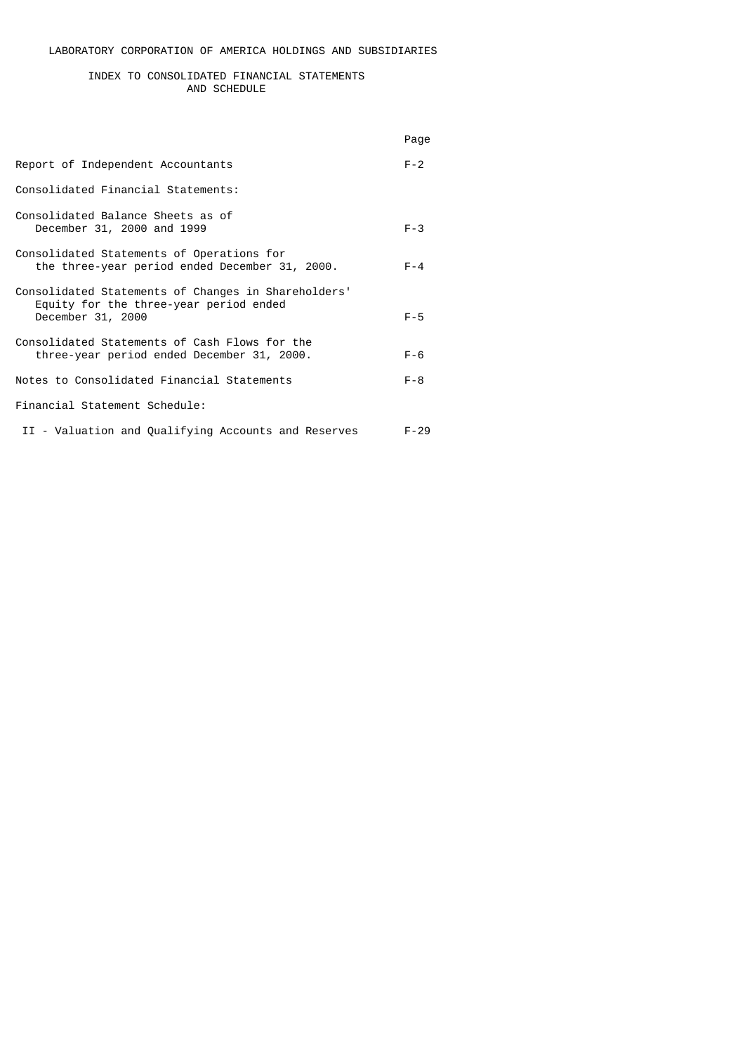# INDEX TO CONSOLIDATED FINANCIAL STATEMENTS AND SCHEDULE

|                                                                                                                    | Page     |
|--------------------------------------------------------------------------------------------------------------------|----------|
| Report of Independent Accountants                                                                                  | $F - 2$  |
| Consolidated Financial Statements:                                                                                 |          |
| Consolidated Balance Sheets as of<br>December 31, 2000 and 1999                                                    | $F - 3$  |
| Consolidated Statements of Operations for<br>the three-year period ended December 31, 2000.                        | $F - 4$  |
| Consolidated Statements of Changes in Shareholders'<br>Equity for the three-year period ended<br>December 31, 2000 | $F - 5$  |
| Consolidated Statements of Cash Flows for the<br>three-year period ended December 31, 2000.                        | $F - 6$  |
| Notes to Consolidated Financial Statements                                                                         | $F - 8$  |
| Financial Statement Schedule:                                                                                      |          |
| II - Valuation and Qualifying Accounts and Reserves                                                                | $F - 29$ |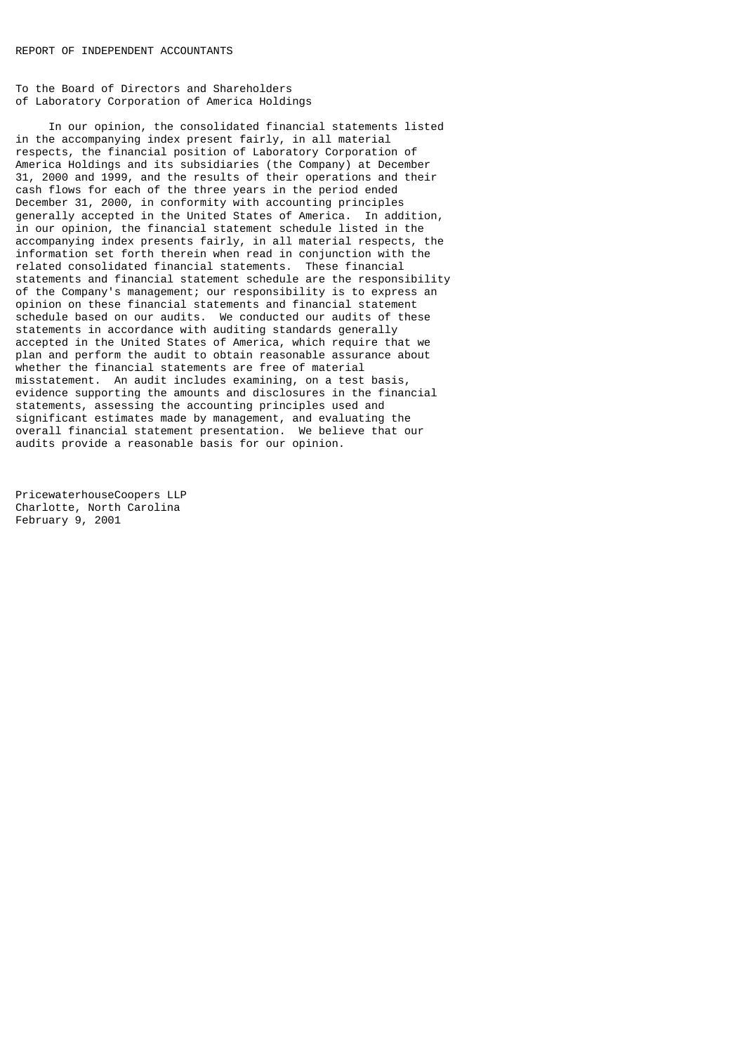To the Board of Directors and Shareholders of Laboratory Corporation of America Holdings

 In our opinion, the consolidated financial statements listed in the accompanying index present fairly, in all material respects, the financial position of Laboratory Corporation of America Holdings and its subsidiaries (the Company) at December 31, 2000 and 1999, and the results of their operations and their cash flows for each of the three years in the period ended December 31, 2000, in conformity with accounting principles generally accepted in the United States of America. In addition, in our opinion, the financial statement schedule listed in the accompanying index presents fairly, in all material respects, the information set forth therein when read in conjunction with the related consolidated financial statements. These financial statements and financial statement schedule are the responsibility of the Company's management; our responsibility is to express an opinion on these financial statements and financial statement schedule based on our audits. We conducted our audits of these statements in accordance with auditing standards generally accepted in the United States of America, which require that we plan and perform the audit to obtain reasonable assurance about whether the financial statements are free of material misstatement. An audit includes examining, on a test basis, evidence supporting the amounts and disclosures in the financial statements, assessing the accounting principles used and significant estimates made by management, and evaluating the overall financial statement presentation. We believe that our audits provide a reasonable basis for our opinion.

PricewaterhouseCoopers LLP Charlotte, North Carolina February 9, 2001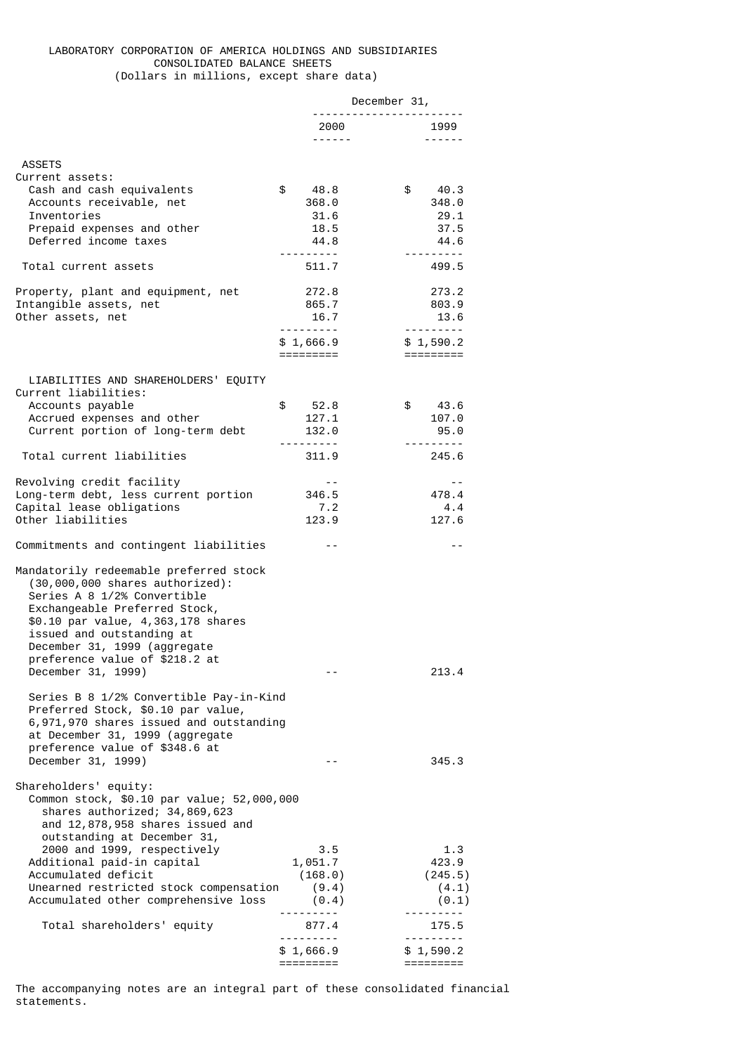## LABORATORY CORPORATION OF AMERICA HOLDINGS AND SUBSIDIARIES CONSOLIDATED BALANCE SHEETS (Dollars in millions, except share data)

|                                                                                                                                                                                                                                                                                  |                                    | December 31,          |
|----------------------------------------------------------------------------------------------------------------------------------------------------------------------------------------------------------------------------------------------------------------------------------|------------------------------------|-----------------------|
|                                                                                                                                                                                                                                                                                  | 2000<br>------                     | 1999<br>$\frac{1}{2}$ |
|                                                                                                                                                                                                                                                                                  |                                    |                       |
| <b>ASSETS</b>                                                                                                                                                                                                                                                                    |                                    |                       |
| Current assets:                                                                                                                                                                                                                                                                  |                                    |                       |
| Cash and cash equivalents<br>Accounts receivable, net                                                                                                                                                                                                                            | \$<br>48.8<br>368.0                | \$<br>40.3<br>348.0   |
| Inventories                                                                                                                                                                                                                                                                      | 31.6                               | 29.1                  |
| Prepaid expenses and other                                                                                                                                                                                                                                                       | 18.5                               | 37.5                  |
| Deferred income taxes                                                                                                                                                                                                                                                            | 44.8                               | 44.6                  |
|                                                                                                                                                                                                                                                                                  |                                    |                       |
| Total current assets                                                                                                                                                                                                                                                             | 511.7                              | 499.5                 |
| Property, plant and equipment, net                                                                                                                                                                                                                                               | 272.8                              | 273.2                 |
| Intangible assets, net                                                                                                                                                                                                                                                           | 865.7                              | 803.9                 |
| Other assets, net                                                                                                                                                                                                                                                                | 16.7                               | 13.6                  |
|                                                                                                                                                                                                                                                                                  |                                    | <u>.</u>              |
|                                                                                                                                                                                                                                                                                  | \$1,666.9                          | \$1,590.2             |
|                                                                                                                                                                                                                                                                                  | =========                          | $=$ =========         |
| LIABILITIES AND SHAREHOLDERS' EQUITY                                                                                                                                                                                                                                             |                                    |                       |
| Current liabilities:                                                                                                                                                                                                                                                             |                                    |                       |
| Accounts payable                                                                                                                                                                                                                                                                 | \$<br>52.8                         | \$<br>43.6            |
| Accrued expenses and other                                                                                                                                                                                                                                                       | 127.1                              | 107.0                 |
| Current portion of long-term debt                                                                                                                                                                                                                                                | 132.0                              | 95.0                  |
| Total current liabilities                                                                                                                                                                                                                                                        | <u> - - - - - - - - -</u><br>311.9 | 245.6                 |
|                                                                                                                                                                                                                                                                                  |                                    |                       |
| Revolving credit facility                                                                                                                                                                                                                                                        | $- -$                              | $ -$                  |
| Long-term debt, less current portion                                                                                                                                                                                                                                             | 346.5                              | 478.4                 |
| Capital lease obligations                                                                                                                                                                                                                                                        | 7.2                                | 4.4                   |
| Other liabilities                                                                                                                                                                                                                                                                | 123.9                              | 127.6                 |
| Commitments and contingent liabilities                                                                                                                                                                                                                                           | $\sim$ $-$                         | $ -$                  |
| Mandatorily redeemable preferred stock<br>$(30,000,000$ shares authorized):<br>Series A 8 1/2% Convertible<br>Exchangeable Preferred Stock,<br>\$0.10 par value, 4,363,178 shares<br>issued and outstanding at<br>December 31, 1999 (aggregate<br>preference value of \$218.2 at |                                    |                       |
| December 31, 1999)                                                                                                                                                                                                                                                               | - -                                | 213.4                 |
| Series B 8 1/2% Convertible Pay-in-Kind<br>Preferred Stock, \$0.10 par value,<br>6,971,970 shares issued and outstanding<br>at December 31, 1999 (aggregate<br>preference value of \$348.6 at<br>December 31, 1999)                                                              |                                    | 345.3                 |
| Shareholders' equity:                                                                                                                                                                                                                                                            |                                    |                       |
| Common stock, \$0.10 par value; 52,000,000<br>shares authorized; 34,869,623<br>and 12,878,958 shares issued and<br>outstanding at December 31,                                                                                                                                   |                                    |                       |
| 2000 and 1999, respectively<br>Additional paid-in capital                                                                                                                                                                                                                        | 3.5<br>1,051.7                     | 1.3<br>423.9          |
| Accumulated deficit                                                                                                                                                                                                                                                              | (168.0)                            | (245.5)               |
| Unearned restricted stock compensation                                                                                                                                                                                                                                           | (9.4)                              | (4.1)                 |
| Accumulated other comprehensive loss                                                                                                                                                                                                                                             | (0.4)                              | (0.1)                 |
|                                                                                                                                                                                                                                                                                  |                                    | ------                |
| Total shareholders' equity                                                                                                                                                                                                                                                       | 877.4<br>. <u>.</u>                | 175.5<br>.            |
|                                                                                                                                                                                                                                                                                  | \$1,666.9                          | \$1,590.2             |
|                                                                                                                                                                                                                                                                                  | =========                          | =========             |

The accompanying notes are an integral part of these consolidated financial statements.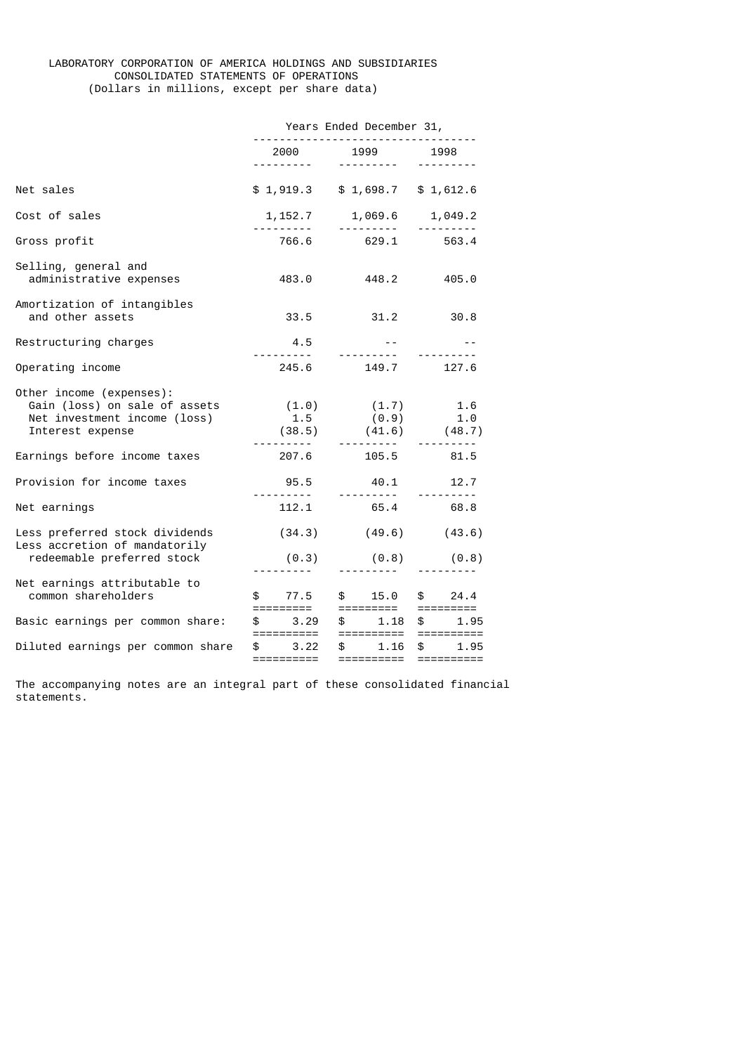# LABORATORY CORPORATION OF AMERICA HOLDINGS AND SUBSIDIARIES CONSOLIDATED STATEMENTS OF OPERATIONS (Dollars in millions, except per share data)

|                                                                                                               | Years Ended December 31,<br>------------------------------- |                                                                                                                                     |                   |  |
|---------------------------------------------------------------------------------------------------------------|-------------------------------------------------------------|-------------------------------------------------------------------------------------------------------------------------------------|-------------------|--|
|                                                                                                               |                                                             | 2000 1999 1998<br><u> - - - - - - - - - -</u>                                                                                       |                   |  |
| Net sales                                                                                                     |                                                             | $$1,919.3$ $$1,698.7$ $$1,612.6$                                                                                                    |                   |  |
| Cost of sales                                                                                                 |                                                             | $1,152.7$ $1,069.6$ $1,049.2$                                                                                                       | <u> 111111111</u> |  |
| Gross profit                                                                                                  |                                                             | 766.6 629.1 563.4                                                                                                                   |                   |  |
| Selling, general and<br>administrative expenses                                                               | 483.0                                                       | 448.2                                                                                                                               | 405.0             |  |
| Amortization of intangibles<br>and other assets                                                               | 33.5                                                        | $31.2$ $30.8$                                                                                                                       |                   |  |
| Restructuring charges                                                                                         | 4.5                                                         | and the state of<br>----------                                                                                                      |                   |  |
| Operating income                                                                                              | 245.6                                                       | 149.7 127.6                                                                                                                         |                   |  |
| Other income (expenses):<br>Gain (loss) on sale of assets<br>Net investment income (loss)<br>Interest expense |                                                             | $(1.0)$ $(1.7)$ $1.6$<br>$1.5$ $(0.9)$ $1.0$<br>$(38.5)$ $(41.6)$ $(48.7)$                                                          |                   |  |
| Earnings before income taxes                                                                                  |                                                             | <br>207.6 105.5                                                                                                                     | 81.5              |  |
| Provision for income taxes                                                                                    | 95.5                                                        | 40.1 12.7                                                                                                                           |                   |  |
| Net earnings                                                                                                  | $\frac{1}{2}$<br>112.1                                      |                                                                                                                                     | 65.4 68.8         |  |
| Less preferred stock dividends<br>Less accretion of mandatorily                                               |                                                             | $(34.3)$ $(49.6)$ $(43.6)$                                                                                                          |                   |  |
| redeemable preferred stock                                                                                    | (0.3)                                                       | $(0.8)$ $(0.8)$<br><u> - - - - - - - - - - - -</u>                                                                                  |                   |  |
| Net earnings attributable to<br>common shareholders                                                           |                                                             | $$77.5$ $$15.0$ $$24.4$<br>$$77.5$ $$15.0$ $$24.4$<br>$$77.5$ $$15.0$ $$24.4$<br>$$77.5$ $$15.0$ $$24.4$<br>$$77.5$ $$15.0$ $$24.4$ |                   |  |
| Basic earnings per common share:                                                                              |                                                             | ---------- --------- ---------                                                                                                      |                   |  |
| Diluted earnings per common share                                                                             | ==========                                                  | $$3.22$ \$ 1.16 \$ 1.95<br>==========                                                                                               |                   |  |

The accompanying notes are an integral part of these consolidated financial statements.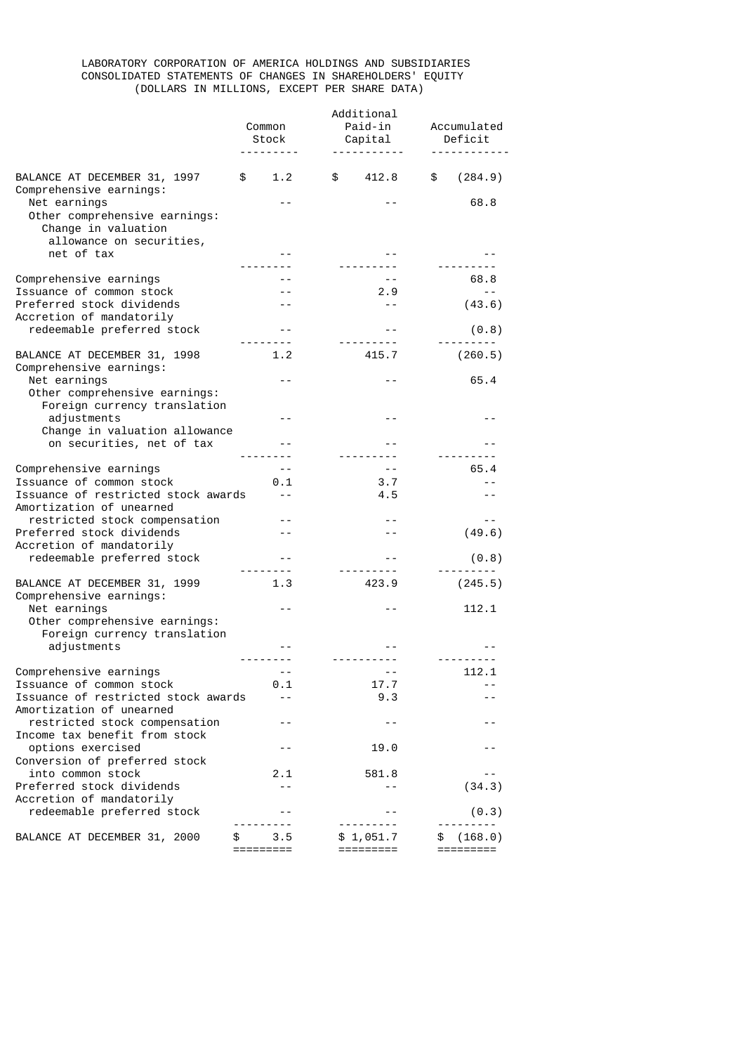# LABORATORY CORPORATION OF AMERICA HOLDINGS AND SUBSIDIARIES CONSOLIDATED STATEMENTS OF CHANGES IN SHAREHOLDERS' EQUITY (DOLLARS IN MILLIONS, EXCEPT PER SHARE DATA)

|                                                                                                  | Additional |               |  |                             |             |                      |
|--------------------------------------------------------------------------------------------------|------------|---------------|--|-----------------------------|-------------|----------------------|
|                                                                                                  | Common     |               |  | Paid-in                     | Accumulated |                      |
|                                                                                                  |            | Stock         |  | Capital                     |             | Deficit              |
|                                                                                                  |            | .             |  |                             |             |                      |
|                                                                                                  |            |               |  |                             |             |                      |
| BALANCE AT DECEMBER 31, 1997<br>Comprehensive earnings:                                          | \$         | 1.2           |  | \$ 412.8                    | \$          | (284.9)              |
| Net earnings<br>Other comprehensive earnings:<br>Change in valuation<br>allowance on securities, |            |               |  |                             |             | 68.8                 |
| net of tax                                                                                       |            |               |  |                             |             |                      |
| Comprehensive earnings                                                                           |            |               |  | ----------<br>$ -$          |             | 68.8                 |
| Issuance of common stock                                                                         |            | $- -$         |  | 2.9                         |             | $- -$                |
| Preferred stock dividends<br>Accretion of mandatorily                                            |            | $- -$         |  | $\sim$ $\sim$               |             | (43.6)               |
| redeemable preferred stock                                                                       |            | $- -$         |  | <u>.</u>                    |             | (0.8)                |
|                                                                                                  |            |               |  |                             |             |                      |
| BALANCE AT DECEMBER 31, 1998<br>Comprehensive earnings:                                          |            | 1.2           |  | 415.7                       |             | (260.5)              |
| Net earnings<br>Other comprehensive earnings:                                                    |            |               |  | $- -$                       |             | 65.4                 |
| Foreign currency translation                                                                     |            | $- -$         |  | $- -$                       |             |                      |
| adjustments<br>Change in valuation allowance                                                     |            |               |  |                             |             | - -                  |
| on securities, net of tax                                                                        |            |               |  |                             |             |                      |
|                                                                                                  |            |               |  | ---------                   |             |                      |
| Comprehensive earnings                                                                           |            | $- -$         |  | $\sim$ $-$                  |             | 65.4                 |
| Issuance of common stock                                                                         |            | 0.1           |  | 3.7                         |             |                      |
| Issuance of restricted stock awards<br>Amortization of unearned                                  |            | $\sim$ $\sim$ |  | 4.5                         |             | $ -$                 |
| restricted stock compensation                                                                    |            | $- -$         |  | $- -$                       |             | $- -$                |
| Preferred stock dividends                                                                        |            | $ -$          |  |                             |             | (49.6)               |
| Accretion of mandatorily                                                                         |            |               |  |                             |             |                      |
| redeemable preferred stock                                                                       | --------   | $- -$         |  |                             |             | (0.8)                |
| BALANCE AT DECEMBER 31, 1999<br>Comprehensive earnings:                                          |            | 1.3           |  | 423.9                       |             | (245.5)              |
| Net earnings<br>Other comprehensive earnings:                                                    |            |               |  |                             |             | 112.1                |
| Foreign currency translation                                                                     |            |               |  |                             |             |                      |
| adjustments                                                                                      |            |               |  |                             |             |                      |
|                                                                                                  | --------   |               |  | <u> - - - - - - - - - -</u> |             | ---------            |
| Comprehensive earnings                                                                           |            |               |  |                             |             | 112.1                |
| Issuance of common stock                                                                         |            | 0.1           |  | 17.7                        |             | $ -$                 |
| Issuance of restricted stock awards<br>Amortization of unearned                                  |            | $ -$          |  | 9.3                         |             | $-$                  |
| restricted stock compensation<br>Income tax benefit from stock                                   |            |               |  | - -                         |             | - -                  |
| options exercised<br>Conversion of preferred stock                                               |            |               |  | 19.0                        |             |                      |
| into common stock                                                                                |            | 2.1           |  | 581.8                       |             |                      |
| Preferred stock dividends                                                                        |            | $ -$          |  | - -                         |             | (34.3)               |
| Accretion of mandatorily<br>redeemable preferred stock                                           |            |               |  |                             |             | (0.3)                |
|                                                                                                  |            |               |  |                             |             |                      |
| BALANCE AT DECEMBER 31, 2000                                                                     | =========  | 3.5           |  | \$1,051.7<br>=========      | \$          | (168.0)<br>========= |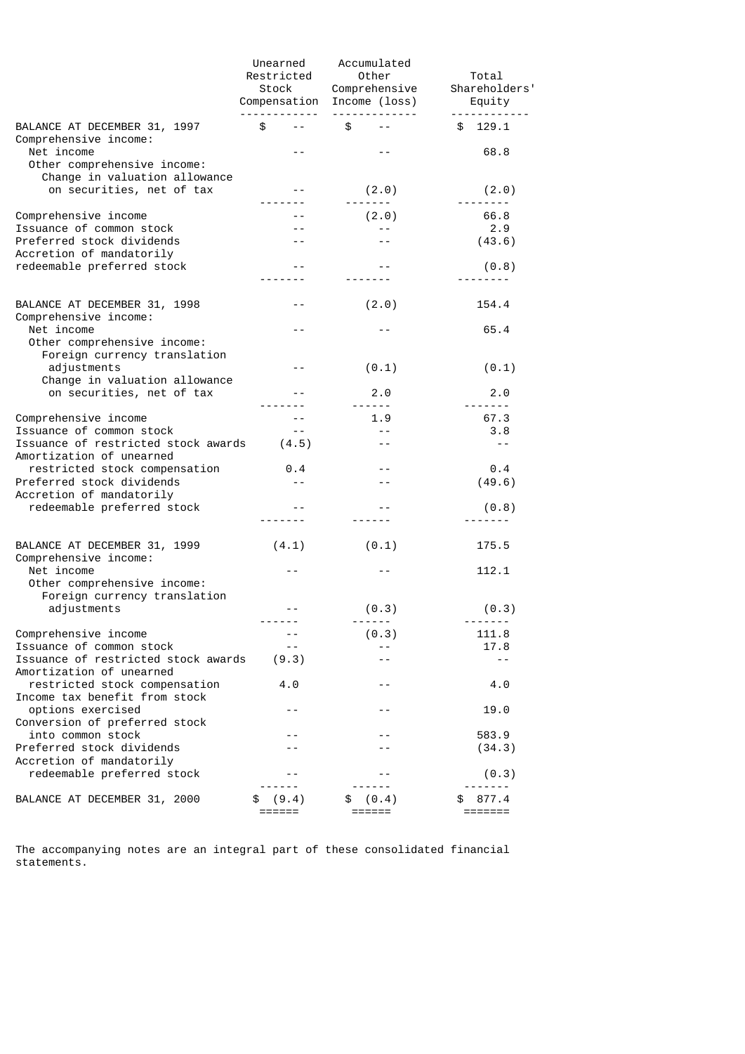|                                                                                        | Unearned<br>Restricted | Accumulated<br>Other<br>Comprehensive<br>Stock Comprehensive<br>Compensation Income (loss)<br>-------------                                                                                                                                                                                                                                                                                                                                                                       | Total<br>Shareholders'<br>Equity<br>------------                                                                                                                                                                                                                                                                                                                                                                                                                                               |
|----------------------------------------------------------------------------------------|------------------------|-----------------------------------------------------------------------------------------------------------------------------------------------------------------------------------------------------------------------------------------------------------------------------------------------------------------------------------------------------------------------------------------------------------------------------------------------------------------------------------|------------------------------------------------------------------------------------------------------------------------------------------------------------------------------------------------------------------------------------------------------------------------------------------------------------------------------------------------------------------------------------------------------------------------------------------------------------------------------------------------|
| BALANCE AT DECEMBER 31, 1997<br>Comprehensive income:                                  | \$<br>$ -$             | \$                                                                                                                                                                                                                                                                                                                                                                                                                                                                                | 129.1<br>\$                                                                                                                                                                                                                                                                                                                                                                                                                                                                                    |
| Net income<br>Other comprehensive income:                                              |                        |                                                                                                                                                                                                                                                                                                                                                                                                                                                                                   | 68.8                                                                                                                                                                                                                                                                                                                                                                                                                                                                                           |
| Change in valuation allowance<br>on securities, net of tax                             | $- -$                  | (2.0)<br>-------                                                                                                                                                                                                                                                                                                                                                                                                                                                                  | (2.0)                                                                                                                                                                                                                                                                                                                                                                                                                                                                                          |
| Comprehensive income                                                                   | $- -$                  | (2.0)                                                                                                                                                                                                                                                                                                                                                                                                                                                                             | 66.8                                                                                                                                                                                                                                                                                                                                                                                                                                                                                           |
| Issuance of common stock<br>Preferred stock dividends<br>Accretion of mandatorily      | $- -$                  | $- -$                                                                                                                                                                                                                                                                                                                                                                                                                                                                             | 2.9<br>(43.6)                                                                                                                                                                                                                                                                                                                                                                                                                                                                                  |
| redeemable preferred stock                                                             | $- -$                  | $- -$                                                                                                                                                                                                                                                                                                                                                                                                                                                                             | (0.8)                                                                                                                                                                                                                                                                                                                                                                                                                                                                                          |
|                                                                                        |                        |                                                                                                                                                                                                                                                                                                                                                                                                                                                                                   |                                                                                                                                                                                                                                                                                                                                                                                                                                                                                                |
| BALANCE AT DECEMBER 31, 1998<br>Comprehensive income:                                  | $- -$                  | (2.0)                                                                                                                                                                                                                                                                                                                                                                                                                                                                             | 154.4                                                                                                                                                                                                                                                                                                                                                                                                                                                                                          |
| Net income<br>Other comprehensive income:                                              | $- -$                  |                                                                                                                                                                                                                                                                                                                                                                                                                                                                                   | 65.4                                                                                                                                                                                                                                                                                                                                                                                                                                                                                           |
| Foreign currency translation<br>adjustments<br>Change in valuation allowance           | $- -$                  | (0.1)                                                                                                                                                                                                                                                                                                                                                                                                                                                                             | (0.1)                                                                                                                                                                                                                                                                                                                                                                                                                                                                                          |
| on securities, net of tax                                                              | $- -$                  | 2.0                                                                                                                                                                                                                                                                                                                                                                                                                                                                               | 2.0                                                                                                                                                                                                                                                                                                                                                                                                                                                                                            |
| Comprehensive income                                                                   |                        | $\frac{1}{2} \left( \frac{1}{2} \right) \left( \frac{1}{2} \right) \left( \frac{1}{2} \right) \left( \frac{1}{2} \right) \left( \frac{1}{2} \right) \left( \frac{1}{2} \right) \left( \frac{1}{2} \right) \left( \frac{1}{2} \right) \left( \frac{1}{2} \right) \left( \frac{1}{2} \right) \left( \frac{1}{2} \right) \left( \frac{1}{2} \right) \left( \frac{1}{2} \right) \left( \frac{1}{2} \right) \left( \frac{1}{2} \right) \left( \frac{1}{2} \right) \left( \frac$<br>1.9 | $\begin{array}{cccccccccccccc} \multicolumn{2}{c}{} & \multicolumn{2}{c}{} & \multicolumn{2}{c}{} & \multicolumn{2}{c}{} & \multicolumn{2}{c}{} & \multicolumn{2}{c}{} & \multicolumn{2}{c}{} & \multicolumn{2}{c}{} & \multicolumn{2}{c}{} & \multicolumn{2}{c}{} & \multicolumn{2}{c}{} & \multicolumn{2}{c}{} & \multicolumn{2}{c}{} & \multicolumn{2}{c}{} & \multicolumn{2}{c}{} & \multicolumn{2}{c}{} & \multicolumn{2}{c}{} & \multicolumn{2}{c}{} & \multicolumn{2}{c}{} & \$<br>67.3 |
| Issuance of common stock                                                               | $- -$                  | $- -$                                                                                                                                                                                                                                                                                                                                                                                                                                                                             | 3.8                                                                                                                                                                                                                                                                                                                                                                                                                                                                                            |
| Issuance of restricted stock awards<br>Amortization of unearned                        | (4.5)                  | $\sim$ $\sim$                                                                                                                                                                                                                                                                                                                                                                                                                                                                     | $\sim$ $\sim$                                                                                                                                                                                                                                                                                                                                                                                                                                                                                  |
| restricted stock compensation<br>Preferred stock dividends<br>Accretion of mandatorily | $\theta$ .4<br>$- -$   | $- -$                                                                                                                                                                                                                                                                                                                                                                                                                                                                             | 0.4<br>(49.6)                                                                                                                                                                                                                                                                                                                                                                                                                                                                                  |
| redeemable preferred stock                                                             | $- -$                  |                                                                                                                                                                                                                                                                                                                                                                                                                                                                                   | (0.8)                                                                                                                                                                                                                                                                                                                                                                                                                                                                                          |
|                                                                                        |                        |                                                                                                                                                                                                                                                                                                                                                                                                                                                                                   |                                                                                                                                                                                                                                                                                                                                                                                                                                                                                                |
| BALANCE AT DECEMBER 31, 1999<br>Comprehensive income:                                  | (4.1)                  | (0.1)                                                                                                                                                                                                                                                                                                                                                                                                                                                                             | 175.5                                                                                                                                                                                                                                                                                                                                                                                                                                                                                          |
| Net income<br>Other comprehensive income:                                              |                        |                                                                                                                                                                                                                                                                                                                                                                                                                                                                                   | 112.1                                                                                                                                                                                                                                                                                                                                                                                                                                                                                          |
| Foreign currency translation<br>adjustments                                            | $- -$                  | (0.3)<br>------                                                                                                                                                                                                                                                                                                                                                                                                                                                                   | (0.3)<br>-------                                                                                                                                                                                                                                                                                                                                                                                                                                                                               |
| Comprehensive income                                                                   |                        | (0.3)                                                                                                                                                                                                                                                                                                                                                                                                                                                                             | 111.8                                                                                                                                                                                                                                                                                                                                                                                                                                                                                          |
| Issuance of common stock<br>Issuance of restricted stock awards                        | (9.3)                  |                                                                                                                                                                                                                                                                                                                                                                                                                                                                                   | 17.8<br>$- -$                                                                                                                                                                                                                                                                                                                                                                                                                                                                                  |
| Amortization of unearned                                                               |                        |                                                                                                                                                                                                                                                                                                                                                                                                                                                                                   |                                                                                                                                                                                                                                                                                                                                                                                                                                                                                                |
| restricted stock compensation<br>Income tax benefit from stock                         | 4.0                    |                                                                                                                                                                                                                                                                                                                                                                                                                                                                                   | 4.0                                                                                                                                                                                                                                                                                                                                                                                                                                                                                            |
| options exercised<br>Conversion of preferred stock                                     | - -                    | $- -$                                                                                                                                                                                                                                                                                                                                                                                                                                                                             | 19.0                                                                                                                                                                                                                                                                                                                                                                                                                                                                                           |
| into common stock                                                                      |                        |                                                                                                                                                                                                                                                                                                                                                                                                                                                                                   | 583.9                                                                                                                                                                                                                                                                                                                                                                                                                                                                                          |
| Preferred stock dividends<br>Accretion of mandatorily                                  |                        |                                                                                                                                                                                                                                                                                                                                                                                                                                                                                   | (34.3)                                                                                                                                                                                                                                                                                                                                                                                                                                                                                         |
| redeemable preferred stock                                                             |                        |                                                                                                                                                                                                                                                                                                                                                                                                                                                                                   | (0.3)                                                                                                                                                                                                                                                                                                                                                                                                                                                                                          |
| BALANCE AT DECEMBER 31, 2000                                                           | (9.4)<br>====          | (0.4)                                                                                                                                                                                                                                                                                                                                                                                                                                                                             | 877.4<br>=======                                                                                                                                                                                                                                                                                                                                                                                                                                                                               |

The accompanying notes are an integral part of these consolidated financial statements.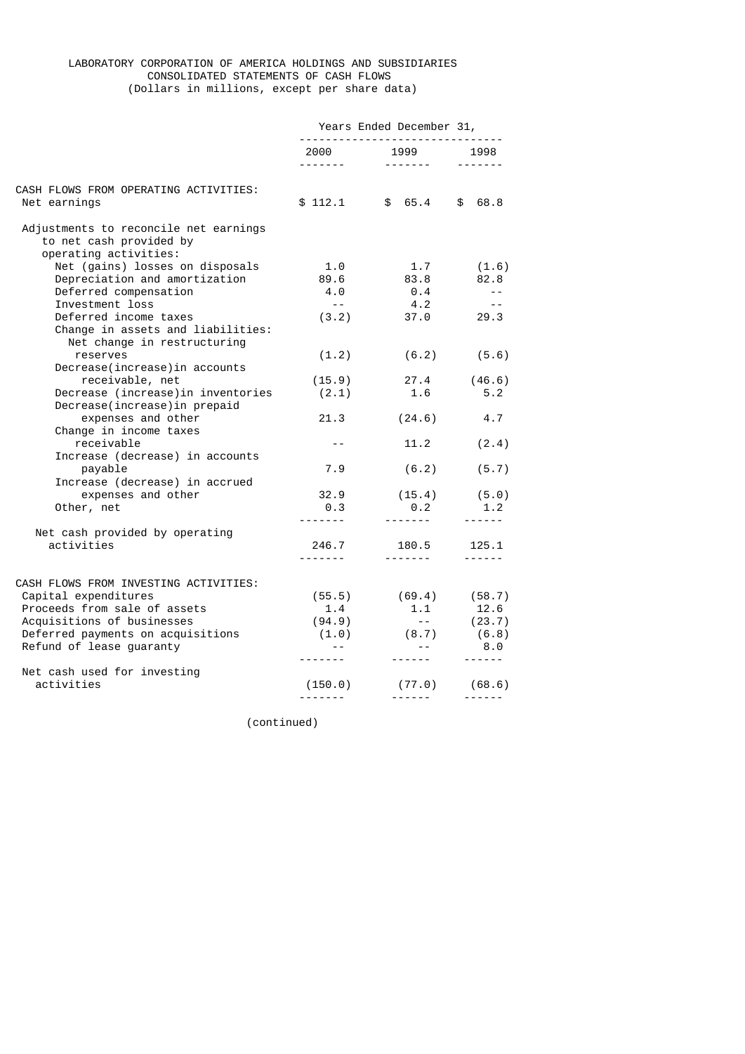# LABORATORY CORPORATION OF AMERICA HOLDINGS AND SUBSIDIARIES CONSOLIDATED STATEMENTS OF CASH FLOWS (Dollars in millions, except per share data)

|                                                                                           | Years Ended December 31,<br>------------------------------- |                             |                       |
|-------------------------------------------------------------------------------------------|-------------------------------------------------------------|-----------------------------|-----------------------|
|                                                                                           |                                                             |                             | $- - - - - - -$       |
| CASH FLOWS FROM OPERATING ACTIVITIES:                                                     |                                                             |                             |                       |
| Net earnings                                                                              | \$112.1                                                     | \$65.4                      | $\frac{1}{2}$<br>68.8 |
| Adjustments to reconcile net earnings<br>to net cash provided by<br>operating activities: |                                                             |                             |                       |
| Net (gains) losses on disposals                                                           | 1.0                                                         | 1.7                         | (1.6)                 |
| Depreciation and amortization                                                             | 89.6                                                        | 83.8                        | 82.8                  |
| Deferred compensation                                                                     | 4.0                                                         | 0.4                         | $\sim$ $-$            |
| Investment loss                                                                           | $\sim$ $ \sim$                                              | 4.2                         | $- -$                 |
| Deferred income taxes                                                                     | (3.2)                                                       | 37.0                        | 29.3                  |
| Change in assets and liabilities:<br>Net change in restructuring                          |                                                             |                             |                       |
| reserves<br>Decrease(increase) in accounts                                                | (1.2)                                                       | (6.2)                       | (5.6)                 |
| receivable, net                                                                           | (15.9)                                                      | 27.4                        | (46.6)                |
| Decrease (increase) in inventories<br>Decrease(increase) in prepaid                       | (2.1)                                                       | 1.6                         | 5.2                   |
| expenses and other<br>Change in income taxes                                              | 21.3                                                        | (24.6)                      | 4.7                   |
| receivable<br>Increase (decrease) in accounts                                             | $- -$                                                       | 11.2                        | (2.4)                 |
| payable<br>Increase (decrease) in accrued                                                 | 7.9                                                         | (6.2)                       | (5.7)                 |
| expenses and other                                                                        | 32.9                                                        | $(15.4)$ $(5.0)$            |                       |
| Other, net                                                                                | 0.3<br><u>.</u>                                             | 0.2<br><u>.</u>             | 1.2<br>$- - - - - -$  |
| Net cash provided by operating                                                            |                                                             |                             |                       |
| activities                                                                                | 246.7<br><u>.</u>                                           | 180.5<br><u>.</u>           | 125.1                 |
| CASH FLOWS FROM INVESTING ACTIVITIES:                                                     |                                                             |                             |                       |
| Capital expenditures                                                                      | (55.5)                                                      | $(69.4)$ $(58.7)$           |                       |
| Proceeds from sale of assets                                                              | 1.4                                                         | 1.1                         | 12.6                  |
| Acquisitions of businesses                                                                | (94.9)                                                      | $\sim$ 100 $\sim$           |                       |
| Deferred payments on acquisitions                                                         | (1.0)                                                       | $(8.7)$ $(23.7)$<br>$(6.8)$ |                       |
| Refund of lease guaranty                                                                  | $- -$                                                       | $\sim$ $ \sim$              | 8.0                   |
| Net cash used for investing                                                               |                                                             |                             | $- - - - - -$         |
| activities                                                                                | (150.0)                                                     | (77.0)                      | (68.6)                |
|                                                                                           | -------                                                     |                             | ------                |
|                                                                                           |                                                             |                             |                       |

(continued)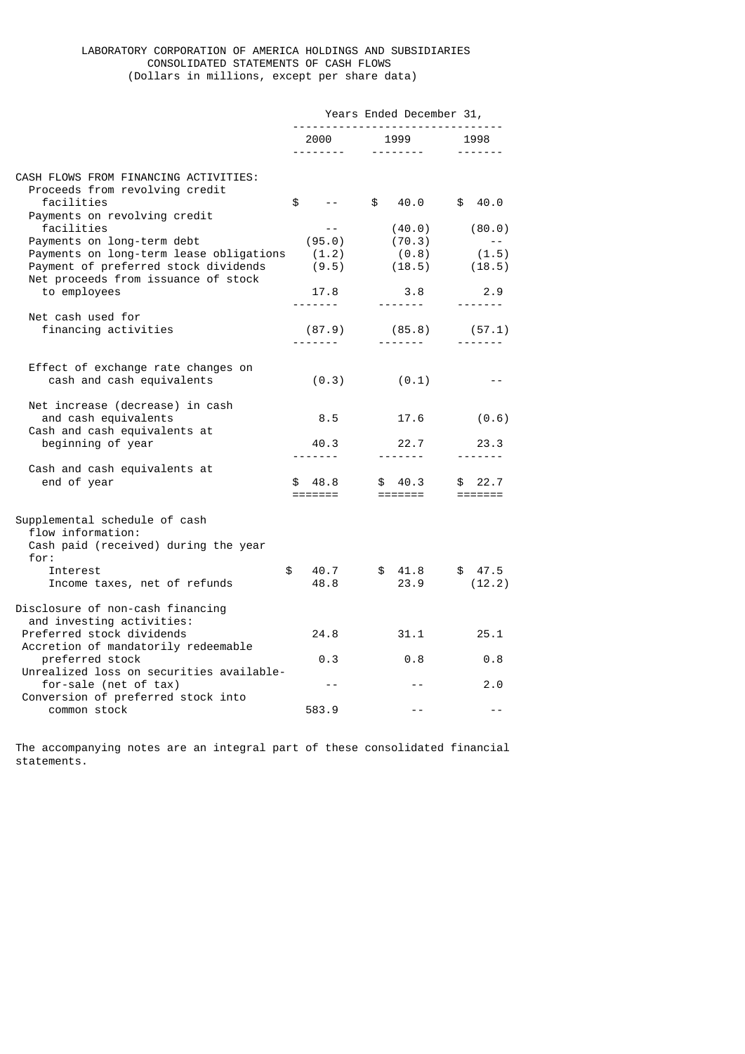### LABORATORY CORPORATION OF AMERICA HOLDINGS AND SUBSIDIARIES CONSOLIDATED STATEMENTS OF CASH FLOWS (Dollars in millions, except per share data)

|                                                                             | Years Ended December 31,<br>------------------------------- |                                 |                             |
|-----------------------------------------------------------------------------|-------------------------------------------------------------|---------------------------------|-----------------------------|
|                                                                             | 2000                                                        | 1999<br><u> - - - - - - - -</u> | 1998<br>-------             |
| CASH FLOWS FROM FINANCING ACTIVITIES:<br>Proceeds from revolving credit     |                                                             |                                 |                             |
| facilities<br>Payments on revolving credit                                  | \$<br>$ -$                                                  | \$<br>40.0                      | \$40.0                      |
| facilities                                                                  | $- -$                                                       | (40.0)                          | (80.0)                      |
| Payments on long-term debt                                                  | (95.0)                                                      | (70.3)                          |                             |
| Payments on long-term lease obligations                                     | (1.2)                                                       | (0.8)                           | (1.5)                       |
| Payment of preferred stock dividends<br>Net proceeds from issuance of stock | (9.5)                                                       | (18.5)                          | (18.5)                      |
| to employees                                                                | 17.8<br><u>.</u>                                            | 3.8                             | 2.9<br>$- - - - - - - -$    |
| Net cash used for<br>financing activities                                   | (87.9)                                                      | (85.8)                          | (57.1)                      |
|                                                                             | <u>.</u>                                                    |                                 |                             |
| Effect of exchange rate changes on<br>cash and cash equivalents             | (0.3)                                                       | (0.1)                           | - -                         |
|                                                                             |                                                             |                                 |                             |
| Net increase (decrease) in cash<br>and cash equivalents                     | 8.5                                                         | 17.6                            | (0.6)                       |
| Cash and cash equivalents at                                                |                                                             |                                 |                             |
| beginning of year                                                           | 40.3<br>-------                                             | 22.7<br>--------                | 23.3<br>- - - - - - -       |
| Cash and cash equivalents at<br>end of year                                 | 48.8<br>\$                                                  | \$40.3                          | 22.7<br>\$                  |
|                                                                             | $=$ $=$ $=$ $=$ $=$ $=$ $=$                                 |                                 | $=$ $=$ $=$ $=$ $=$ $=$ $=$ |
| Supplemental schedule of cash                                               |                                                             |                                 |                             |
| flow information:<br>Cash paid (received) during the year                   |                                                             |                                 |                             |
| for:                                                                        |                                                             |                                 |                             |
| Interest                                                                    | \$<br>40.7                                                  | \$41.8                          | \$47.5                      |
| Income taxes, net of refunds                                                | 48.8                                                        | 23.9                            | (12.2)                      |
| Disclosure of non-cash financing<br>and investing activities:               |                                                             |                                 |                             |
| Preferred stock dividends                                                   | 24.8                                                        | 31.1                            | 25.1                        |
| Accretion of mandatorily redeemable<br>preferred stock                      | 0.3                                                         | 0.8                             | 0.8                         |
| Unrealized loss on securities available-                                    |                                                             |                                 |                             |
| for-sale (net of tax)<br>Conversion of preferred stock into                 | $ -$                                                        |                                 | 2.0                         |
| common stock                                                                | 583.9                                                       | $ -$                            | $ -$                        |

The accompanying notes are an integral part of these consolidated financial statements.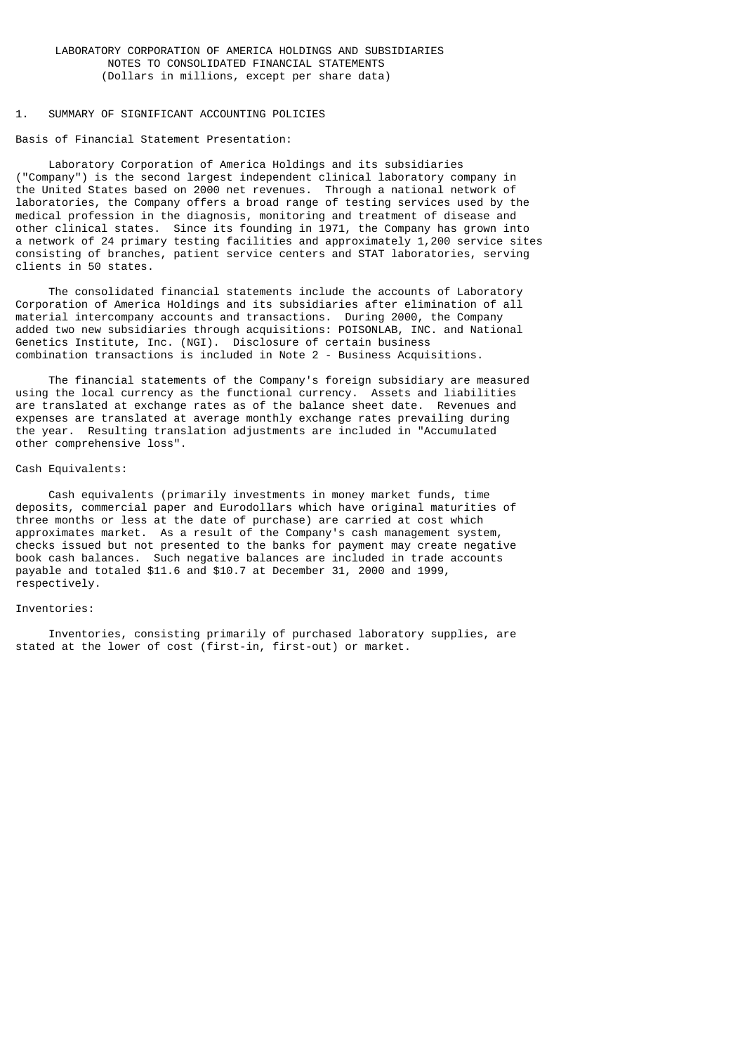#### 1. SUMMARY OF SIGNIFICANT ACCOUNTING POLICIES

Basis of Financial Statement Presentation:

 Laboratory Corporation of America Holdings and its subsidiaries ("Company") is the second largest independent clinical laboratory company in the United States based on 2000 net revenues. Through a national network of laboratories, the Company offers a broad range of testing services used by the medical profession in the diagnosis, monitoring and treatment of disease and other clinical states. Since its founding in 1971, the Company has grown into a network of 24 primary testing facilities and approximately 1,200 service sites consisting of branches, patient service centers and STAT laboratories, serving clients in 50 states.

 The consolidated financial statements include the accounts of Laboratory Corporation of America Holdings and its subsidiaries after elimination of all material intercompany accounts and transactions. During 2000, the Company added two new subsidiaries through acquisitions: POISONLAB, INC. and National Genetics Institute, Inc. (NGI). Disclosure of certain business combination transactions is included in Note 2 - Business Acquisitions.

 The financial statements of the Company's foreign subsidiary are measured using the local currency as the functional currency. Assets and liabilities are translated at exchange rates as of the balance sheet date. Revenues and expenses are translated at average monthly exchange rates prevailing during the year. Resulting translation adjustments are included in "Accumulated other comprehensive loss".

#### Cash Equivalents:

 Cash equivalents (primarily investments in money market funds, time deposits, commercial paper and Eurodollars which have original maturities of three months or less at the date of purchase) are carried at cost which approximates market. As a result of the Company's cash management system, checks issued but not presented to the banks for payment may create negative book cash balances. Such negative balances are included in trade accounts payable and totaled \$11.6 and \$10.7 at December 31, 2000 and 1999, respectively.

### Inventories:

 Inventories, consisting primarily of purchased laboratory supplies, are stated at the lower of cost (first-in, first-out) or market.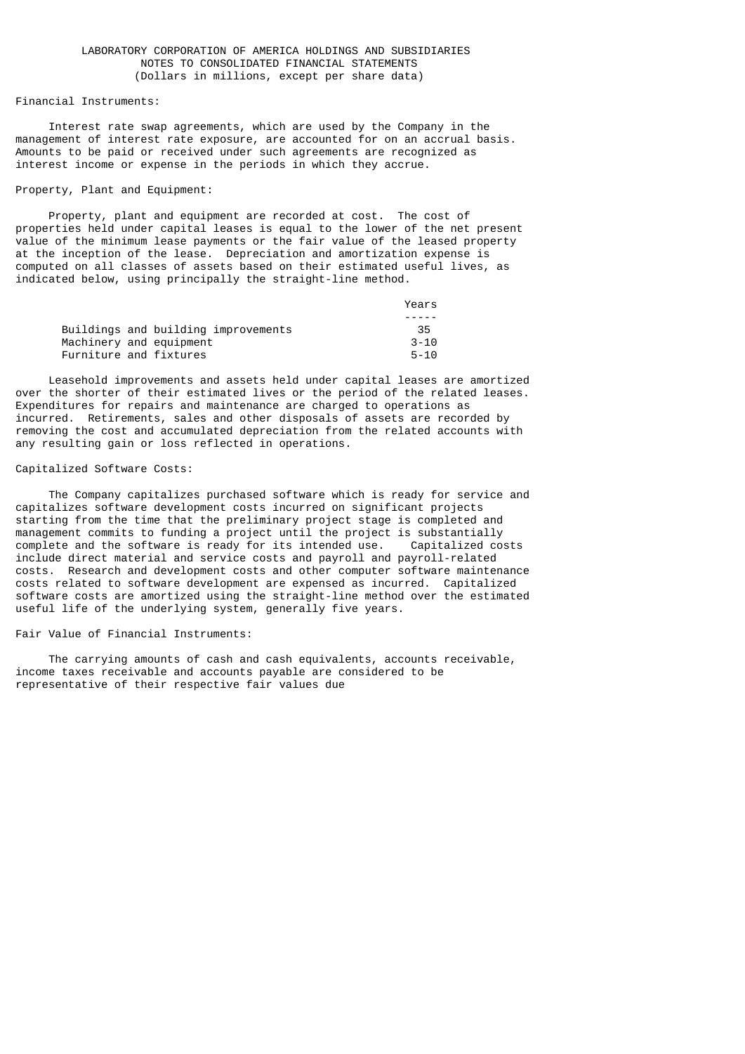Financial Instruments:

 Interest rate swap agreements, which are used by the Company in the management of interest rate exposure, are accounted for on an accrual basis. Amounts to be paid or received under such agreements are recognized as interest income or expense in the periods in which they accrue.

Property, Plant and Equipment:

 Property, plant and equipment are recorded at cost. The cost of properties held under capital leases is equal to the lower of the net present value of the minimum lease payments or the fair value of the leased property at the inception of the lease. Depreciation and amortization expense is computed on all classes of assets based on their estimated useful lives, as indicated below, using principally the straight-line method.

|                                     | Years    |
|-------------------------------------|----------|
|                                     |          |
| Buildings and building improvements | -35      |
| Machinery and equipment             | $3 - 10$ |
| Furniture and fixtures              | $5 - 10$ |

 Leasehold improvements and assets held under capital leases are amortized over the shorter of their estimated lives or the period of the related leases. Expenditures for repairs and maintenance are charged to operations as incurred. Retirements, sales and other disposals of assets are recorded by removing the cost and accumulated depreciation from the related accounts with any resulting gain or loss reflected in operations.

#### Capitalized Software Costs:

 The Company capitalizes purchased software which is ready for service and capitalizes software development costs incurred on significant projects starting from the time that the preliminary project stage is completed and management commits to funding a project until the project is substantially complete and the software is ready for its intended use. Capitalized costs include direct material and service costs and payroll and payroll-related costs. Research and development costs and other computer software maintenance costs related to software development are expensed as incurred. Capitalized software costs are amortized using the straight-line method over the estimated useful life of the underlying system, generally five years.

#### Fair Value of Financial Instruments:

 The carrying amounts of cash and cash equivalents, accounts receivable, income taxes receivable and accounts payable are considered to be representative of their respective fair values due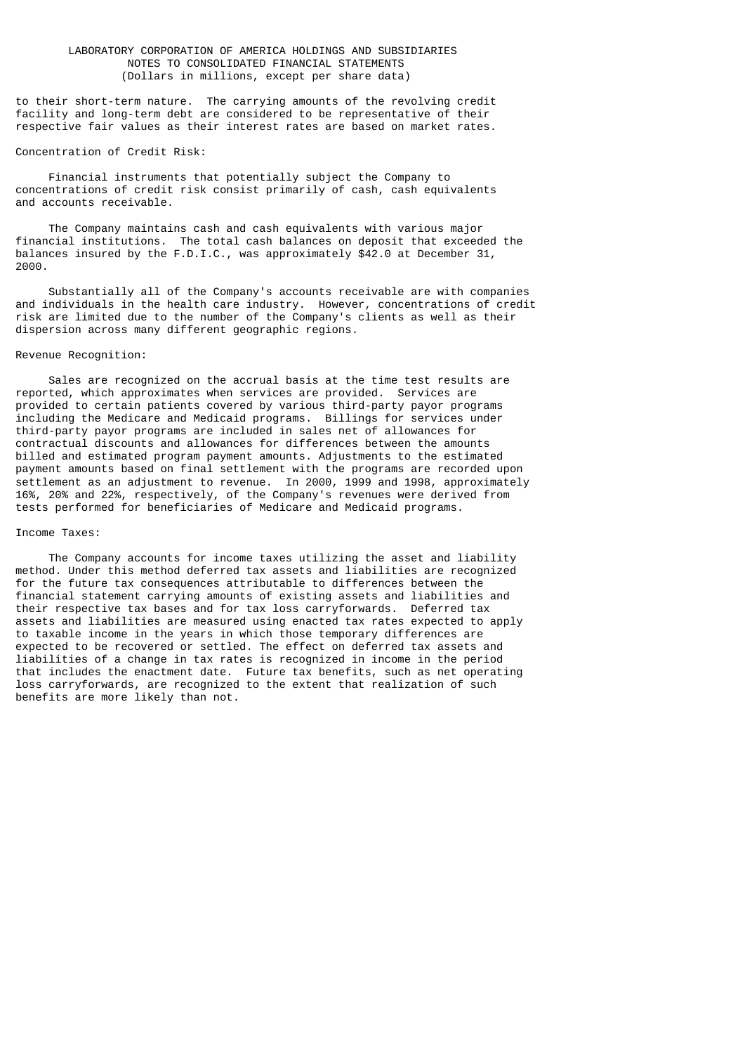to their short-term nature. The carrying amounts of the revolving credit facility and long-term debt are considered to be representative of their respective fair values as their interest rates are based on market rates.

#### Concentration of Credit Risk:

 Financial instruments that potentially subject the Company to concentrations of credit risk consist primarily of cash, cash equivalents and accounts receivable.

 The Company maintains cash and cash equivalents with various major financial institutions. The total cash balances on deposit that exceeded the balances insured by the F.D.I.C., was approximately \$42.0 at December 31, 2000.

 Substantially all of the Company's accounts receivable are with companies and individuals in the health care industry. However, concentrations of credit risk are limited due to the number of the Company's clients as well as their dispersion across many different geographic regions.

### Revenue Recognition:

 Sales are recognized on the accrual basis at the time test results are reported, which approximates when services are provided. Services are provided to certain patients covered by various third-party payor programs including the Medicare and Medicaid programs. Billings for services under third-party payor programs are included in sales net of allowances for contractual discounts and allowances for differences between the amounts billed and estimated program payment amounts. Adjustments to the estimated payment amounts based on final settlement with the programs are recorded upon settlement as an adjustment to revenue. In 2000, 1999 and 1998, approximately 16%, 20% and 22%, respectively, of the Company's revenues were derived from tests performed for beneficiaries of Medicare and Medicaid programs.

#### Income Taxes:

 The Company accounts for income taxes utilizing the asset and liability method. Under this method deferred tax assets and liabilities are recognized for the future tax consequences attributable to differences between the financial statement carrying amounts of existing assets and liabilities and their respective tax bases and for tax loss carryforwards. Deferred tax assets and liabilities are measured using enacted tax rates expected to apply to taxable income in the years in which those temporary differences are expected to be recovered or settled. The effect on deferred tax assets and liabilities of a change in tax rates is recognized in income in the period that includes the enactment date. Future tax benefits, such as net operating loss carryforwards, are recognized to the extent that realization of such benefits are more likely than not.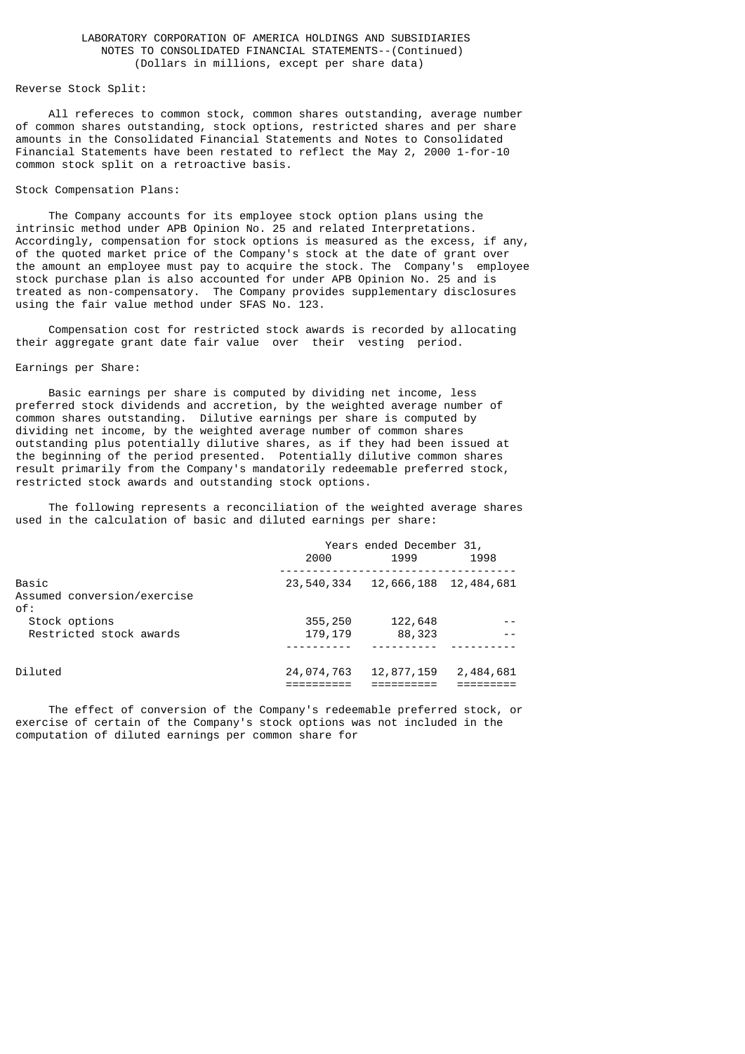## Reverse Stock Split:

 All refereces to common stock, common shares outstanding, average number of common shares outstanding, stock options, restricted shares and per share amounts in the Consolidated Financial Statements and Notes to Consolidated Financial Statements have been restated to reflect the May 2, 2000 1-for-10 common stock split on a retroactive basis.

#### Stock Compensation Plans:

 The Company accounts for its employee stock option plans using the intrinsic method under APB Opinion No. 25 and related Interpretations. Accordingly, compensation for stock options is measured as the excess, if any, of the quoted market price of the Company's stock at the date of grant over the amount an employee must pay to acquire the stock. The Company's employee stock purchase plan is also accounted for under APB Opinion No. 25 and is treated as non-compensatory. The Company provides supplementary disclosures using the fair value method under SFAS No. 123.

 Compensation cost for restricted stock awards is recorded by allocating their aggregate grant date fair value over their vesting period.

#### Earnings per Share:

 Basic earnings per share is computed by dividing net income, less preferred stock dividends and accretion, by the weighted average number of common shares outstanding. Dilutive earnings per share is computed by dividing net income, by the weighted average number of common shares outstanding plus potentially dilutive shares, as if they had been issued at the beginning of the period presented. Potentially dilutive common shares result primarily from the Company's mandatorily redeemable preferred stock, restricted stock awards and outstanding stock options.

 The following represents a reconciliation of the weighted average shares used in the calculation of basic and diluted earnings per share:

|                                                | Years ended December 31,<br>2000<br>1999<br>1998 |                   |            |
|------------------------------------------------|--------------------------------------------------|-------------------|------------|
| Basic<br>Assumed conversion/exercise<br>$0f$ : | 23,540,334                                       | 12,666,188        | 12,484,681 |
| Stock options<br>Restricted stock awards       | 355,250<br>179,179                               | 122,648<br>88,323 |            |
| Diluted                                        | 24,074,763                                       | 12,877,159        | 2,484,681  |

 The effect of conversion of the Company's redeemable preferred stock, or exercise of certain of the Company's stock options was not included in the computation of diluted earnings per common share for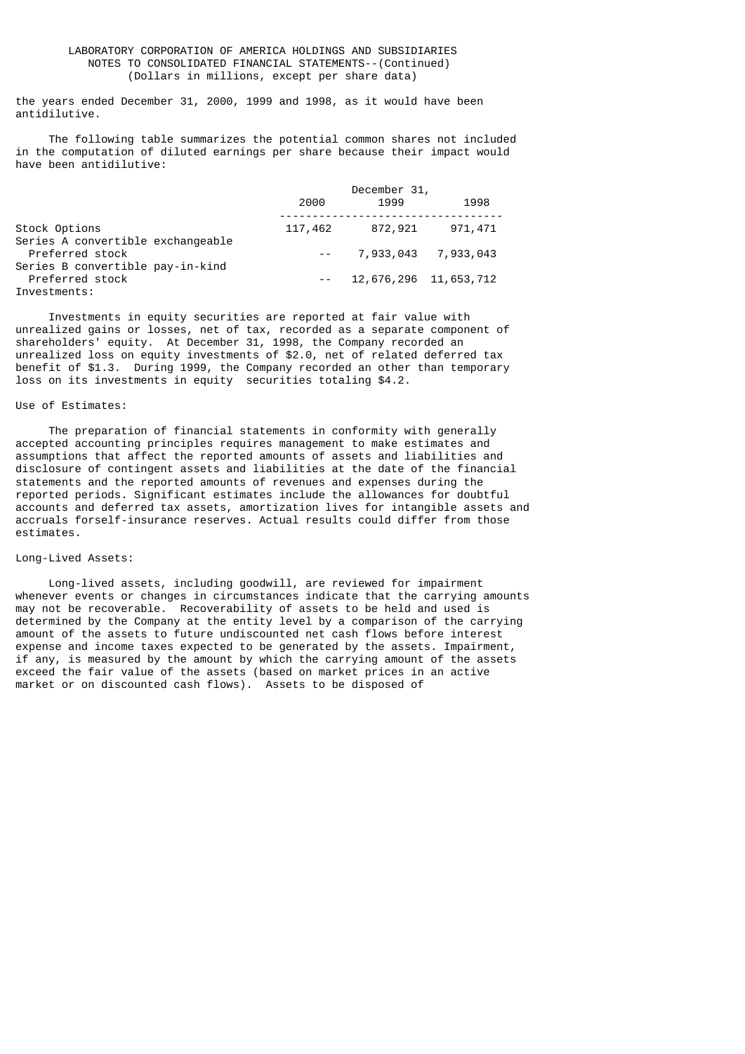the years ended December 31, 2000, 1999 and 1998, as it would have been antidilutive.

 The following table summarizes the potential common shares not included in the computation of diluted earnings per share because their impact would have been antidilutive:

|                                                      |         | December 31,          |                     |
|------------------------------------------------------|---------|-----------------------|---------------------|
|                                                      | 2000    | 1999                  | 1998                |
| Stock Options                                        | 117,462 | 872,921               | 971,471             |
| Series A convertible exchangeable<br>Preferred stock |         |                       | 7,933,043 7,933,043 |
| Series B convertible pay-in-kind<br>Preferred stock  |         | 12,676,296 11,653,712 |                     |
| Investments:                                         |         |                       |                     |

 Investments in equity securities are reported at fair value with unrealized gains or losses, net of tax, recorded as a separate component of shareholders' equity. At December 31, 1998, the Company recorded an unrealized loss on equity investments of \$2.0, net of related deferred tax benefit of \$1.3. During 1999, the Company recorded an other than temporary loss on its investments in equity securities totaling \$4.2.

### Use of Estimates:

 The preparation of financial statements in conformity with generally accepted accounting principles requires management to make estimates and assumptions that affect the reported amounts of assets and liabilities and disclosure of contingent assets and liabilities at the date of the financial statements and the reported amounts of revenues and expenses during the reported periods. Significant estimates include the allowances for doubtful accounts and deferred tax assets, amortization lives for intangible assets and accruals forself-insurance reserves. Actual results could differ from those estimates.

### Long-Lived Assets:

 Long-lived assets, including goodwill, are reviewed for impairment whenever events or changes in circumstances indicate that the carrying amounts may not be recoverable. Recoverability of assets to be held and used is determined by the Company at the entity level by a comparison of the carrying amount of the assets to future undiscounted net cash flows before interest expense and income taxes expected to be generated by the assets. Impairment, if any, is measured by the amount by which the carrying amount of the assets exceed the fair value of the assets (based on market prices in an active market or on discounted cash flows). Assets to be disposed of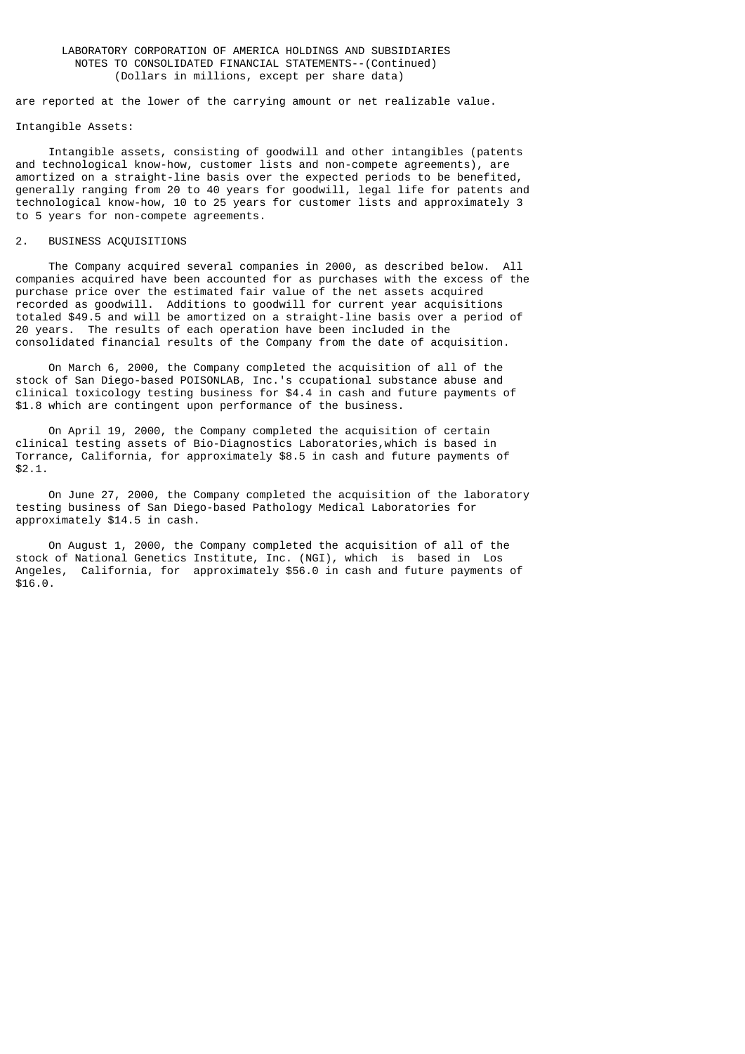are reported at the lower of the carrying amount or net realizable value.

#### Intangible Assets:

 Intangible assets, consisting of goodwill and other intangibles (patents and technological know-how, customer lists and non-compete agreements), are amortized on a straight-line basis over the expected periods to be benefited, generally ranging from 20 to 40 years for goodwill, legal life for patents and technological know-how, 10 to 25 years for customer lists and approximately 3 to 5 years for non-compete agreements.

#### 2. BUSINESS ACQUISITIONS

 The Company acquired several companies in 2000, as described below. All companies acquired have been accounted for as purchases with the excess of the purchase price over the estimated fair value of the net assets acquired recorded as goodwill. Additions to goodwill for current year acquisitions totaled \$49.5 and will be amortized on a straight-line basis over a period of 20 years. The results of each operation have been included in the consolidated financial results of the Company from the date of acquisition.

 On March 6, 2000, the Company completed the acquisition of all of the stock of San Diego-based POISONLAB, Inc.'s ccupational substance abuse and clinical toxicology testing business for \$4.4 in cash and future payments of \$1.8 which are contingent upon performance of the business.

 On April 19, 2000, the Company completed the acquisition of certain clinical testing assets of Bio-Diagnostics Laboratories,which is based in Torrance, California, for approximately \$8.5 in cash and future payments of \$2.1.

 On June 27, 2000, the Company completed the acquisition of the laboratory testing business of San Diego-based Pathology Medical Laboratories for approximately \$14.5 in cash.

 On August 1, 2000, the Company completed the acquisition of all of the stock of National Genetics Institute, Inc. (NGI), which is based in Los Angeles, California, for approximately \$56.0 in cash and future payments of \$16.0.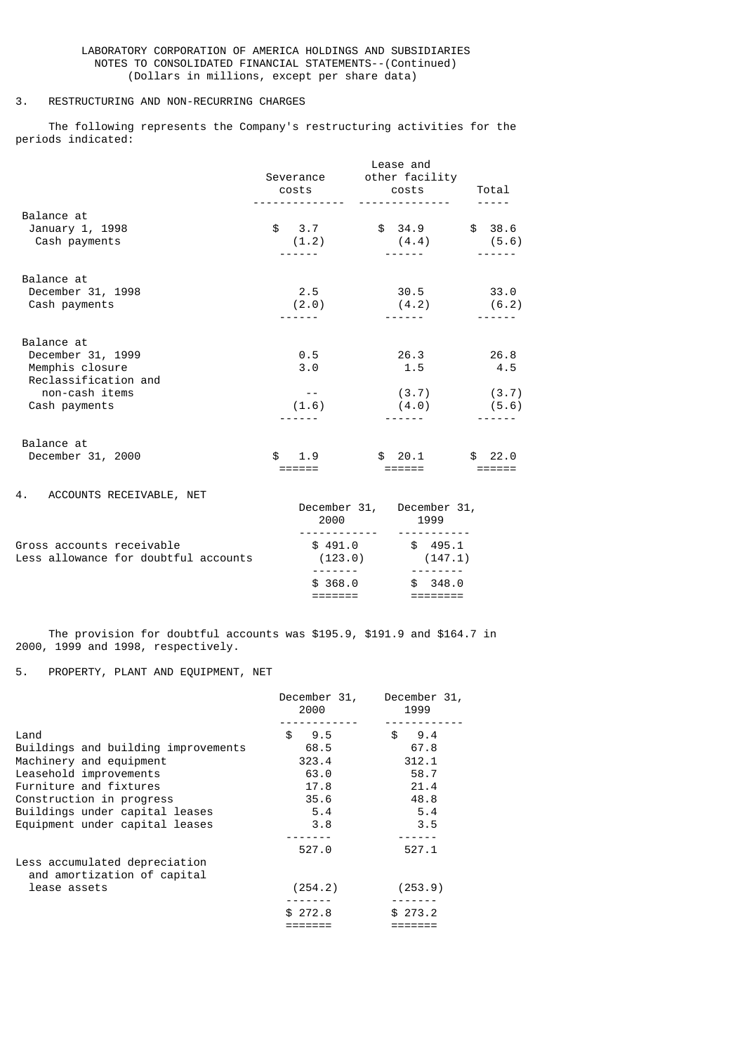## 3. RESTRUCTURING AND NON-RECURRING CHARGES

 The following represents the Company's restructuring activities for the periods indicated:

|                                                                                                               |                              | Lease and<br>Severance other facility<br>costs costs Total<br>_ _ _ _ _ _ _ _ _ _ _ _ _ _ | $- - - - -$          |
|---------------------------------------------------------------------------------------------------------------|------------------------------|-------------------------------------------------------------------------------------------|----------------------|
| Balance at<br>January 1, 1998<br>Cash payments                                                                | \$3.7<br>(1.2)               | $$34.9$ $$38.6$<br>$(4.4)$ $(5.6)$                                                        |                      |
| Balance at<br>December 31, 1998<br>Cash payments                                                              | 2.5<br>(2.0)                 | 30.5<br>(4.2)                                                                             | 33.0<br>(6.2)        |
| Balance at<br>December 31, 1999<br>Memphis closure<br>Reclassification and<br>non-cash items<br>Cash payments | 0.5<br>3.0<br>$- -$<br>(1.6) | 26.3<br>1.5<br>(3.7)<br>$(4.0)$ (5.6)                                                     | 26.8<br>4.5<br>(3.7) |
| Balance at<br>December 31, 2000                                                                               | \$.<br>1.9<br>======         | $$20.1$ $$22.0$<br>======                                                                 | ======               |
| 4. ACCOUNTS RECEIVABLE, NET                                                                                   | 2000 — 100                   | December 31, December 31,<br>1999                                                         |                      |
| Gross accounts receivable<br>Less allowance for doubtful accounts                                             |                              | $$491.0$ $$495.1$<br>$(123.0)$ $(147.1)$                                                  |                      |

 The provision for doubtful accounts was \$195.9, \$191.9 and \$164.7 in 2000, 1999 and 1998, respectively.

 $\frac{1}{368.0}$  \$ 368.0 \$ 348.0 ======= ========

# 5. PROPERTY, PLANT AND EQUIPMENT, NET

|                                                              | December 31,<br>2000 | December 31,<br>1999 |
|--------------------------------------------------------------|----------------------|----------------------|
|                                                              |                      |                      |
| Land                                                         | \$<br>9.5            | \$<br>9.4            |
| Buildings and building improvements                          | 68.5                 | 67.8                 |
| Machinery and equipment                                      | 323.4                | 312.1                |
| Leasehold improvements                                       | 63.0                 | 58.7                 |
| Furniture and fixtures                                       | 17.8                 | 21.4                 |
| Construction in progress                                     | 35.6                 | 48.8                 |
| Buildings under capital leases                               | 5.4                  | 5.4                  |
| Equipment under capital leases                               | 3.8                  | 3.5                  |
|                                                              |                      |                      |
|                                                              | 527.0                | 527.1                |
| Less accumulated depreciation<br>and amortization of capital |                      |                      |
| lease assets                                                 | (254.2)              | (253.9)              |
|                                                              | \$272.8              | \$273.2              |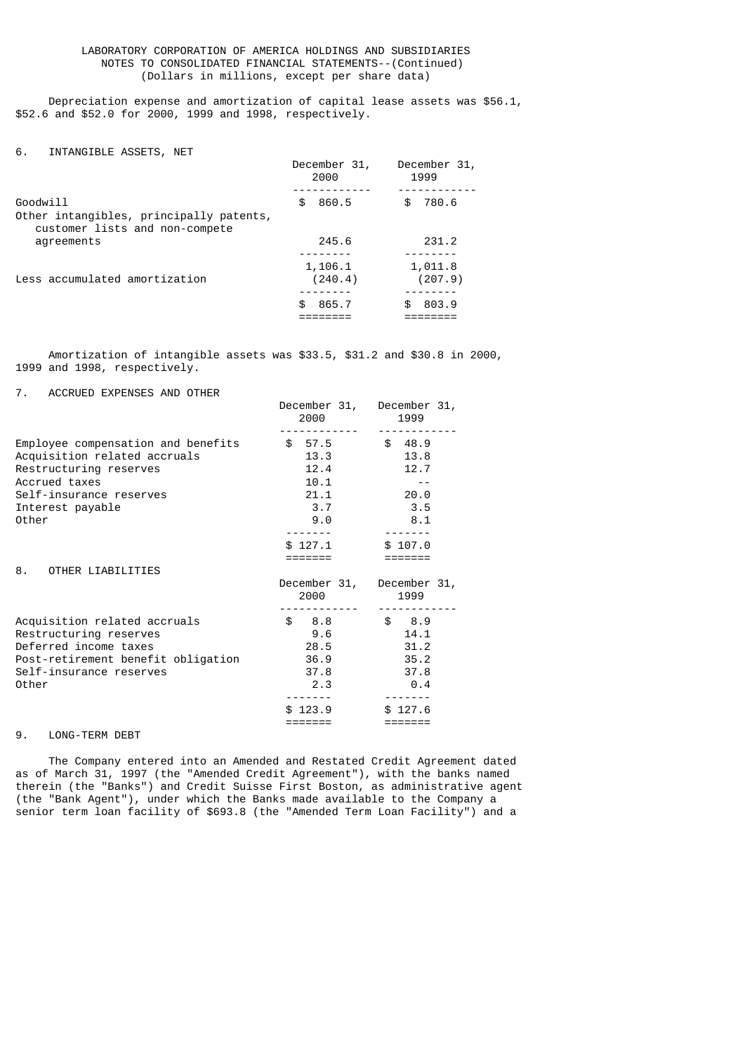Depreciation expense and amortization of capital lease assets was \$56.1, \$52.6 and \$52.0 for 2000, 1999 and 1998, respectively.

| INTANGIBLE ASSETS, NET | 6. |  |  |  |
|------------------------|----|--|--|--|
|------------------------|----|--|--|--|

|                                                                                       | December 31,<br>2000 | December 31,<br>1999 |
|---------------------------------------------------------------------------------------|----------------------|----------------------|
| Goodwill<br>Other intangibles, principally patents,<br>customer lists and non-compete | 860.5<br>\$          | 780.6                |
| agreements                                                                            | 245.6                | 231.2                |
|                                                                                       |                      |                      |
| Less accumulated amortization                                                         | 1,106.1<br>(240.4)   | 1,011.8<br>(207.9)   |
|                                                                                       |                      |                      |
|                                                                                       | \$.<br>865.7         | 803.9                |
|                                                                                       |                      |                      |

 Amortization of intangible assets was \$33.5, \$31.2 and \$30.8 in 2000, 1999 and 1998, respectively.

### 7. ACCRUED EXPENSES AND OTHER

| ACCAMOLO LA LITOLO ATTO CITILITY                                                                                                                                      | December 31,<br>2000                                              | December 31,<br>1999                                               |
|-----------------------------------------------------------------------------------------------------------------------------------------------------------------------|-------------------------------------------------------------------|--------------------------------------------------------------------|
| Employee compensation and benefits<br>Acquisition related accruals<br>Restructuring reserves<br>Accrued taxes<br>Self-insurance reserves<br>Interest payable<br>Other | \$57.5<br>13.3<br>12.4<br>10.1<br>21.1<br>3.7<br>9.0              | \$48.9<br>13.8<br>12.7<br>20.0<br>3.5<br>8.1                       |
| 8.<br>OTHER LIABILITIES                                                                                                                                               | \$127.1<br>December 31,<br>2000                                   | \$107.0<br>December 31,<br>1999                                    |
| Acquisition related accruals<br>Restructuring reserves<br>Deferred income taxes<br>Post-retirement benefit obligation<br>Self-insurance reserves<br>Other             | \$8.8<br>9.6<br>28.5<br>36.9<br>37.8<br>2.3<br>\$123.9<br>======= | \$8.9<br>14.1<br>31.2<br>35.2<br>37.8<br>0.4<br>\$127.6<br>======= |

## 9. LONG-TERM DEBT

 The Company entered into an Amended and Restated Credit Agreement dated as of March 31, 1997 (the "Amended Credit Agreement"), with the banks named therein (the "Banks") and Credit Suisse First Boston, as administrative agent (the "Bank Agent"), under which the Banks made available to the Company a senior term loan facility of \$693.8 (the "Amended Term Loan Facility") and a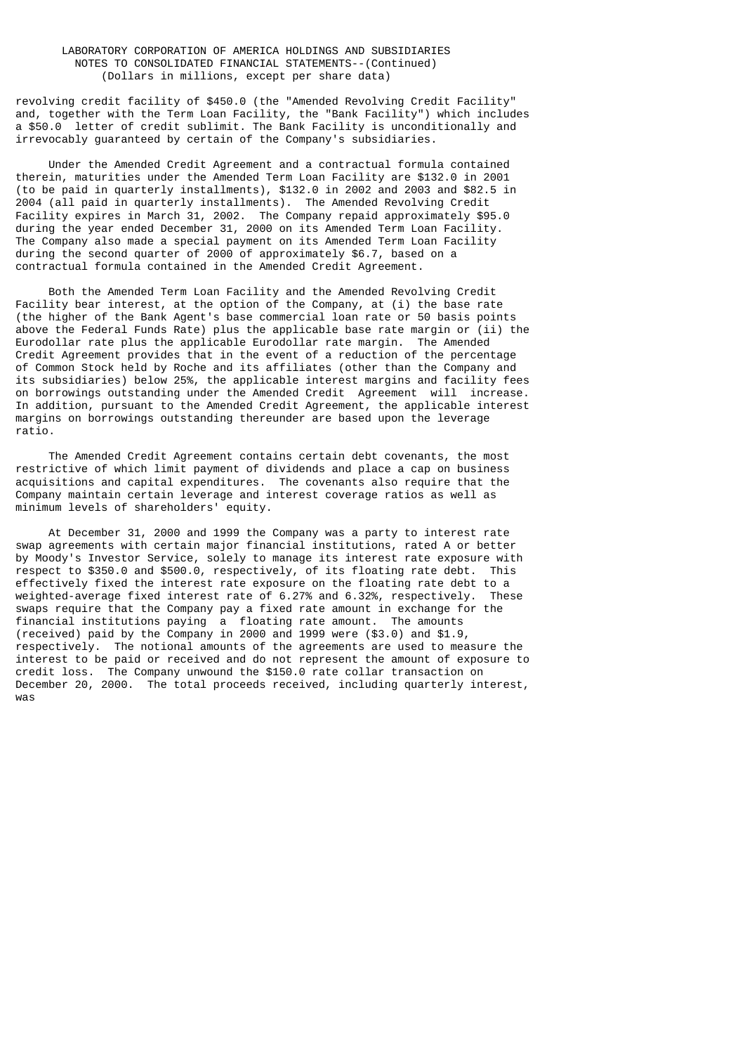revolving credit facility of \$450.0 (the "Amended Revolving Credit Facility" and, together with the Term Loan Facility, the "Bank Facility") which includes a \$50.0 letter of credit sublimit. The Bank Facility is unconditionally and irrevocably guaranteed by certain of the Company's subsidiaries.

 Under the Amended Credit Agreement and a contractual formula contained therein, maturities under the Amended Term Loan Facility are \$132.0 in 2001 (to be paid in quarterly installments), \$132.0 in 2002 and 2003 and \$82.5 in 2004 (all paid in quarterly installments). The Amended Revolving Credit Facility expires in March 31, 2002. The Company repaid approximately \$95.0 during the year ended December 31, 2000 on its Amended Term Loan Facility. The Company also made a special payment on its Amended Term Loan Facility during the second quarter of 2000 of approximately \$6.7, based on a contractual formula contained in the Amended Credit Agreement.

 Both the Amended Term Loan Facility and the Amended Revolving Credit Facility bear interest, at the option of the Company, at (i) the base rate (the higher of the Bank Agent's base commercial loan rate or 50 basis points above the Federal Funds Rate) plus the applicable base rate margin or (ii) the Eurodollar rate plus the applicable Eurodollar rate margin. The Amended Credit Agreement provides that in the event of a reduction of the percentage of Common Stock held by Roche and its affiliates (other than the Company and its subsidiaries) below 25%, the applicable interest margins and facility fees on borrowings outstanding under the Amended Credit Agreement will increase. In addition, pursuant to the Amended Credit Agreement, the applicable interest margins on borrowings outstanding thereunder are based upon the leverage ratio.

 The Amended Credit Agreement contains certain debt covenants, the most restrictive of which limit payment of dividends and place a cap on business acquisitions and capital expenditures. The covenants also require that the Company maintain certain leverage and interest coverage ratios as well as minimum levels of shareholders' equity.

 At December 31, 2000 and 1999 the Company was a party to interest rate swap agreements with certain major financial institutions, rated A or better by Moody's Investor Service, solely to manage its interest rate exposure with respect to \$350.0 and \$500.0, respectively, of its floating rate debt. This effectively fixed the interest rate exposure on the floating rate debt to a weighted-average fixed interest rate of 6.27% and 6.32%, respectively. These swaps require that the Company pay a fixed rate amount in exchange for the financial institutions paying a floating rate amount. The amounts (received) paid by the Company in 2000 and 1999 were (\$3.0) and \$1.9, respectively. The notional amounts of the agreements are used to measure the interest to be paid or received and do not represent the amount of exposure to credit loss. The Company unwound the \$150.0 rate collar transaction on December 20, 2000. The total proceeds received, including quarterly interest, was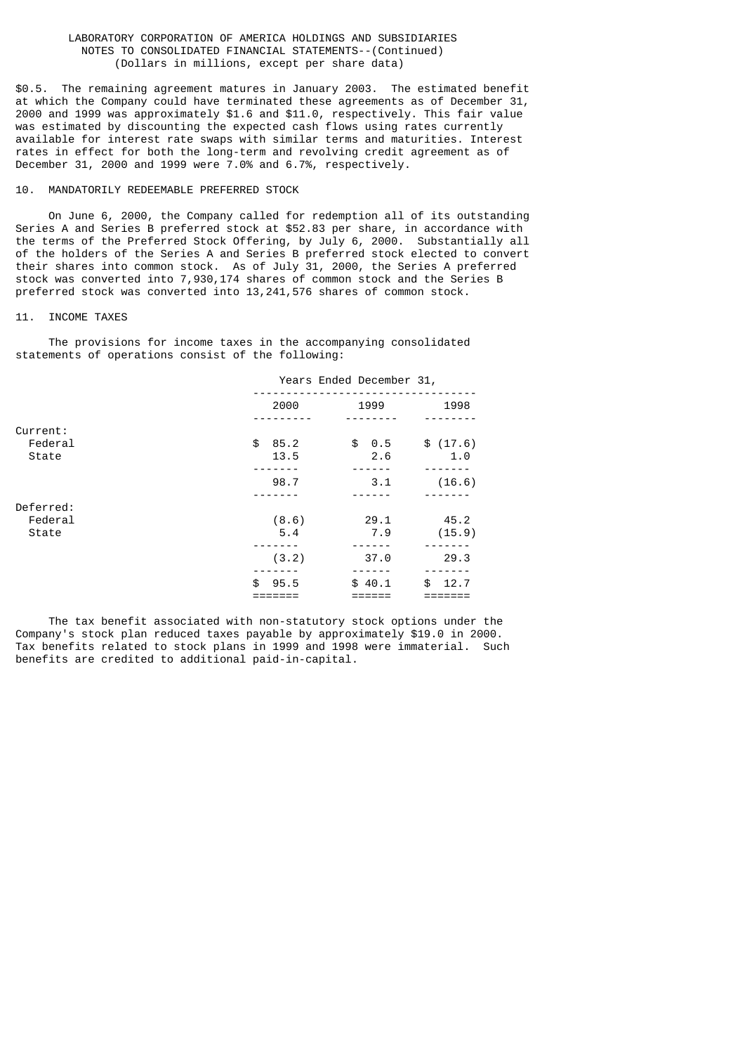\$0.5. The remaining agreement matures in January 2003. The estimated benefit at which the Company could have terminated these agreements as of December 31, 2000 and 1999 was approximately \$1.6 and \$11.0, respectively. This fair value was estimated by discounting the expected cash flows using rates currently available for interest rate swaps with similar terms and maturities. Interest rates in effect for both the long-term and revolving credit agreement as of December 31, 2000 and 1999 were 7.0% and 6.7%, respectively.

## 10. MANDATORILY REDEEMABLE PREFERRED STOCK

 On June 6, 2000, the Company called for redemption all of its outstanding Series A and Series B preferred stock at \$52.83 per share, in accordance with the terms of the Preferred Stock Offering, by July 6, 2000. Substantially all of the holders of the Series A and Series B preferred stock elected to convert their shares into common stock. As of July 31, 2000, the Series A preferred stock was converted into 7,930,174 shares of common stock and the Series B preferred stock was converted into 13,241,576 shares of common stock.

#### 11. INCOME TAXES

 The provisions for income taxes in the accompanying consolidated statements of operations consist of the following:

|                  | Years Ended December 31, |                  |                 |  |
|------------------|--------------------------|------------------|-----------------|--|
|                  | 2000                     | 1999             | 1998            |  |
| Current:         |                          |                  |                 |  |
| Federal<br>State | \$<br>85.2<br>13.5       | \$<br>0.5<br>2.6 | \$(17.6)<br>1.0 |  |
|                  | 98.7                     | 3.1              | (16.6)          |  |
| Deferred:        |                          |                  |                 |  |
| Federal<br>State | (8.6)<br>5.4             | 29.1<br>7.9      | 45.2<br>(15.9)  |  |
|                  | (3.2)                    | 37.0             | 29.3            |  |
|                  | \$<br>95.5               | \$40.1           | \$<br>12.7      |  |

 The tax benefit associated with non-statutory stock options under the Company's stock plan reduced taxes payable by approximately \$19.0 in 2000. Tax benefits related to stock plans in 1999 and 1998 were immaterial. Such benefits are credited to additional paid-in-capital.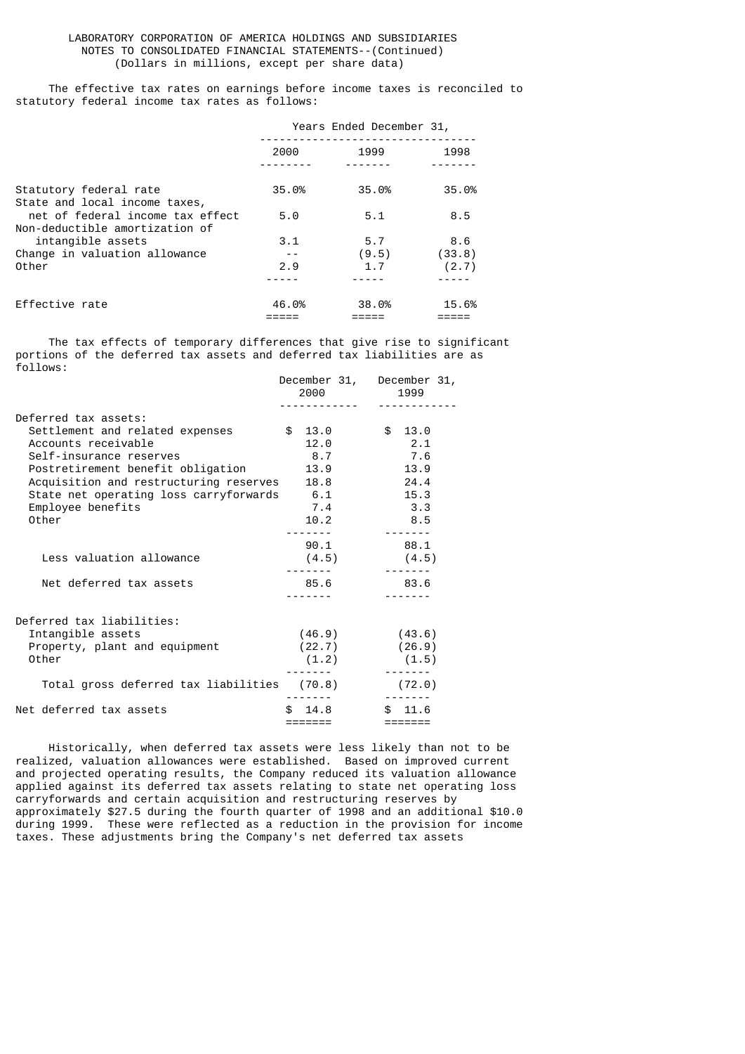The effective tax rates on earnings before income taxes is reconciled to statutory federal income tax rates as follows:

|                                                                    | Years Ended December 31, |       |        |
|--------------------------------------------------------------------|--------------------------|-------|--------|
|                                                                    | 2000                     | 1999  | 1998   |
| Statutory federal rate<br>State and local income taxes,            | 35.0%                    | 35.0% | 35.0%  |
| net of federal income tax effect<br>Non-deductible amortization of | 5.0                      | 5.1   | 8.5    |
| intangible assets                                                  | 3.1                      | 5.7   | 8.6    |
| Change in valuation allowance                                      |                          | (9.5) | (33.8) |
| Other                                                              | 2.9                      | 1.7   | (2.7)  |
|                                                                    |                          |       |        |
| Effective rate                                                     | 46.0%                    | 38.0% | 15.6%  |

 The tax effects of temporary differences that give rise to significant portions of the deferred tax assets and deferred tax liabilities are as follows:

|                                             |             | December 31, December 31, |
|---------------------------------------------|-------------|---------------------------|
|                                             | 2000        | 1999                      |
|                                             |             |                           |
| Deferred tax assets:                        |             |                           |
| Settlement and related expenses             | \$13.0      | \$13.0                    |
| Accounts receivable                         | 12.0        | 2.1                       |
| Self-insurance reserves                     | 8.7         | 7.6                       |
| Postretirement benefit obligation           | 13.9        | 13.9                      |
| Acquisition and restructuring reserves 18.8 |             | 24.4                      |
| State net operating loss carryforwards 6.1  |             | 15.3                      |
| Employee benefits                           | 7.4         | 3.3                       |
| Other                                       | 10.2        | 8.5                       |
|                                             |             |                           |
|                                             | 90.1        | 88.1                      |
| Less valuation allowance                    | (4.5)       | (4.5)                     |
|                                             |             |                           |
| Net deferred tax assets                     | 85.6        | 83.6                      |
|                                             |             |                           |
| Deferred tax liabilities:                   |             |                           |
| Intangible assets                           | (46.9)      | (43.6)                    |
| Property, plant and equipment               | (22.7)      | (26.9)                    |
| Other                                       | (1.2)       | (1.5)                     |
|                                             |             |                           |
| Total gross deferred tax liabilities        | (70.8)      | (72.0)                    |
|                                             |             |                           |
| Net deferred tax assets                     | \$.<br>14.8 | $\mathcal{L}$<br>11.6     |
|                                             | =======     | $=$ ======                |

 Historically, when deferred tax assets were less likely than not to be realized, valuation allowances were established. Based on improved current and projected operating results, the Company reduced its valuation allowance applied against its deferred tax assets relating to state net operating loss carryforwards and certain acquisition and restructuring reserves by approximately \$27.5 during the fourth quarter of 1998 and an additional \$10.0 during 1999. These were reflected as a reduction in the provision for income taxes. These adjustments bring the Company's net deferred tax assets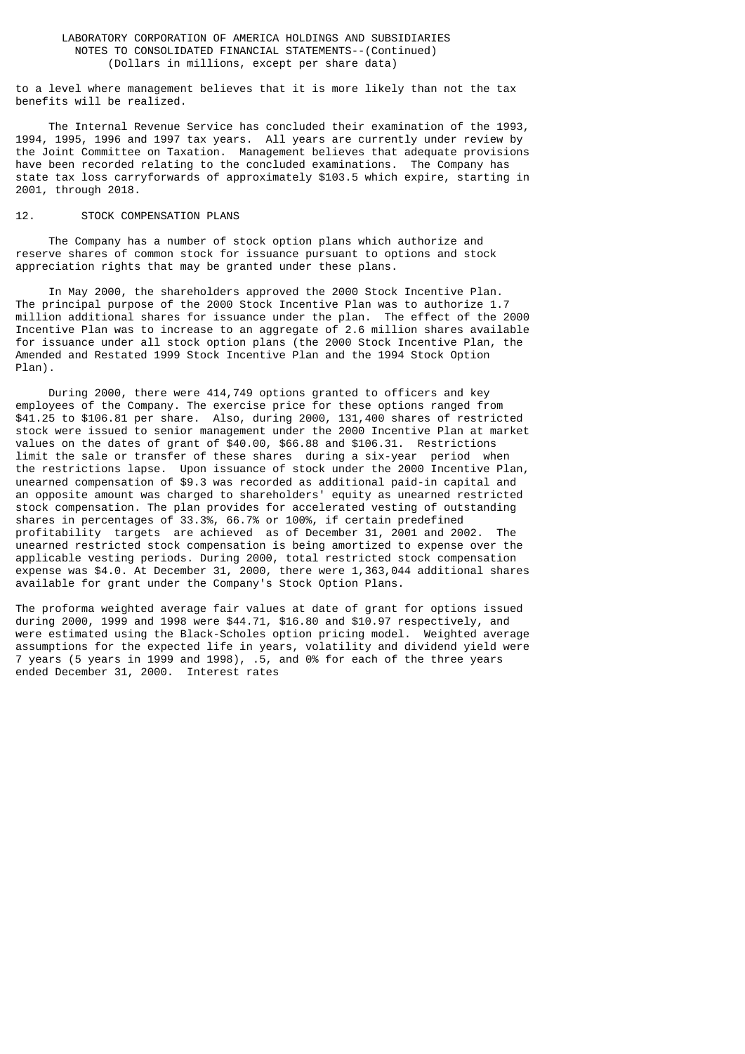to a level where management believes that it is more likely than not the tax benefits will be realized.

 The Internal Revenue Service has concluded their examination of the 1993, 1994, 1995, 1996 and 1997 tax years. All years are currently under review by the Joint Committee on Taxation. Management believes that adequate provisions have been recorded relating to the concluded examinations. The Company has state tax loss carryforwards of approximately \$103.5 which expire, starting in 2001, through 2018.

#### 12. STOCK COMPENSATION PLANS

 The Company has a number of stock option plans which authorize and reserve shares of common stock for issuance pursuant to options and stock appreciation rights that may be granted under these plans.

 In May 2000, the shareholders approved the 2000 Stock Incentive Plan. The principal purpose of the 2000 Stock Incentive Plan was to authorize 1.7 million additional shares for issuance under the plan. The effect of the 2000 Incentive Plan was to increase to an aggregate of 2.6 million shares available for issuance under all stock option plans (the 2000 Stock Incentive Plan, the Amended and Restated 1999 Stock Incentive Plan and the 1994 Stock Option Plan).

 During 2000, there were 414,749 options granted to officers and key employees of the Company. The exercise price for these options ranged from \$41.25 to \$106.81 per share. Also, during 2000, 131,400 shares of restricted stock were issued to senior management under the 2000 Incentive Plan at market values on the dates of grant of \$40.00, \$66.88 and \$106.31. Restrictions limit the sale or transfer of these shares during a six-year period when the restrictions lapse. Upon issuance of stock under the 2000 Incentive Plan, unearned compensation of \$9.3 was recorded as additional paid-in capital and an opposite amount was charged to shareholders' equity as unearned restricted stock compensation. The plan provides for accelerated vesting of outstanding shares in percentages of 33.3%, 66.7% or 100%, if certain predefined profitability targets are achieved as of December 31, 2001 and 2002. The unearned restricted stock compensation is being amortized to expense over the applicable vesting periods. During 2000, total restricted stock compensation expense was \$4.0. At December 31, 2000, there were 1,363,044 additional shares available for grant under the Company's Stock Option Plans.

The proforma weighted average fair values at date of grant for options issued during 2000, 1999 and 1998 were \$44.71, \$16.80 and \$10.97 respectively, and were estimated using the Black-Scholes option pricing model. Weighted average assumptions for the expected life in years, volatility and dividend yield were 7 years (5 years in 1999 and 1998), .5, and 0% for each of the three years ended December 31, 2000. Interest rates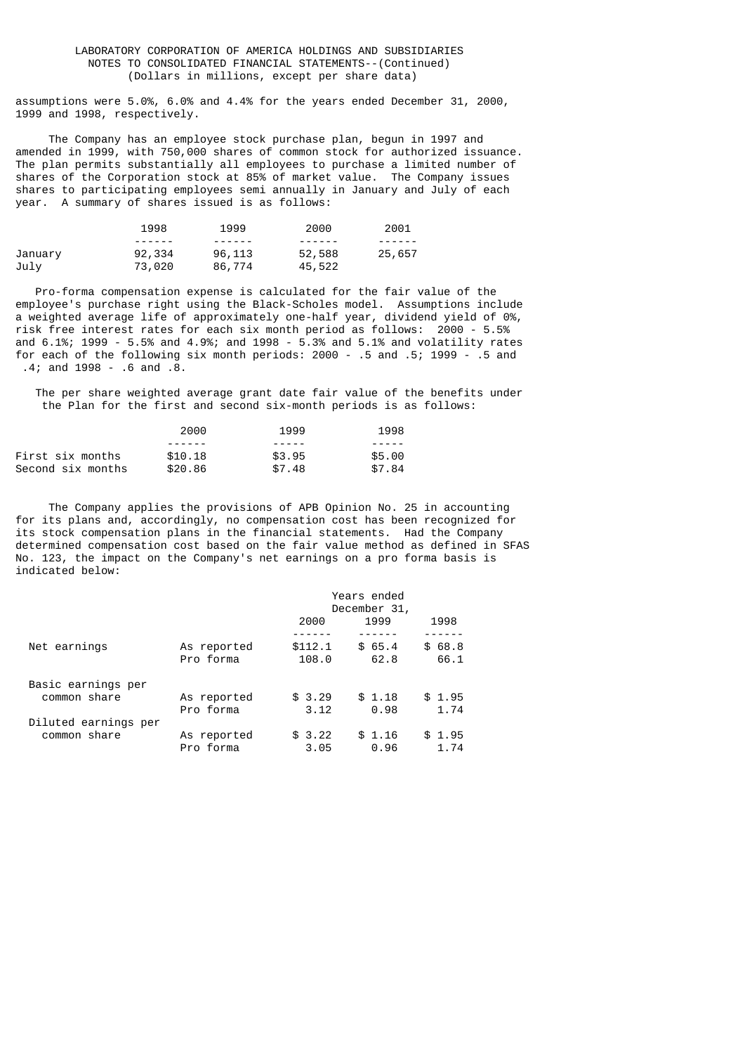assumptions were 5.0%, 6.0% and 4.4% for the years ended December 31, 2000, 1999 and 1998, respectively.

 The Company has an employee stock purchase plan, begun in 1997 and amended in 1999, with 750,000 shares of common stock for authorized issuance. The plan permits substantially all employees to purchase a limited number of shares of the Corporation stock at 85% of market value. The Company issues shares to participating employees semi annually in January and July of each year. A summary of shares issued is as follows:

|         | 1998    | 1999   | 2000    | 2001   |
|---------|---------|--------|---------|--------|
|         | ------- | ------ | ------- |        |
| January | 92,334  | 96,113 | 52,588  | 25,657 |
| July    | 73,020  | 86,774 | 45,522  |        |

 Pro-forma compensation expense is calculated for the fair value of the employee's purchase right using the Black-Scholes model. Assumptions include a weighted average life of approximately one-half year, dividend yield of 0%, risk free interest rates for each six month period as follows: 2000 - 5.5% and 6.1%; 1999 - 5.5% and 4.9%; and 1998 - 5.3% and 5.1% and volatility rates for each of the following six month periods: 2000 - .5 and .5; 1999 - .5 and .4; and 1998 - .6 and .8.

 The per share weighted average grant date fair value of the benefits under the Plan for the first and second six-month periods is as follows:

|                   | 2000    | 1999   | 1998   |
|-------------------|---------|--------|--------|
|                   |         | -----  |        |
| First six months  | \$10.18 | \$3.95 | \$5.00 |
| Second six months | \$20.86 | \$7.48 | \$7.84 |

 The Company applies the provisions of APB Opinion No. 25 in accounting for its plans and, accordingly, no compensation cost has been recognized for its stock compensation plans in the financial statements. Had the Company determined compensation cost based on the fair value method as defined in SFAS No. 123, the impact on the Company's net earnings on a pro forma basis is indicated below:

|                      |             | Years ended<br>December 31, |        |        |
|----------------------|-------------|-----------------------------|--------|--------|
|                      |             | 2000                        | 1999   | 1998   |
|                      |             |                             |        |        |
| Net earnings         | As reported | \$112.1                     | \$65.4 | \$68.8 |
|                      | Pro forma   | 108.0                       | 62.8   | 66.1   |
| Basic earnings per   |             |                             |        |        |
| common share         | As reported | \$3.29                      | \$1.18 | \$1.95 |
|                      | Pro forma   | 3.12                        | 0.98   | 1.74   |
| Diluted earnings per |             |                             |        |        |
| common share         | As reported | \$3.22                      | \$1.16 | \$1.95 |
|                      | Pro forma   | 3.05                        | 0.96   | 1.74   |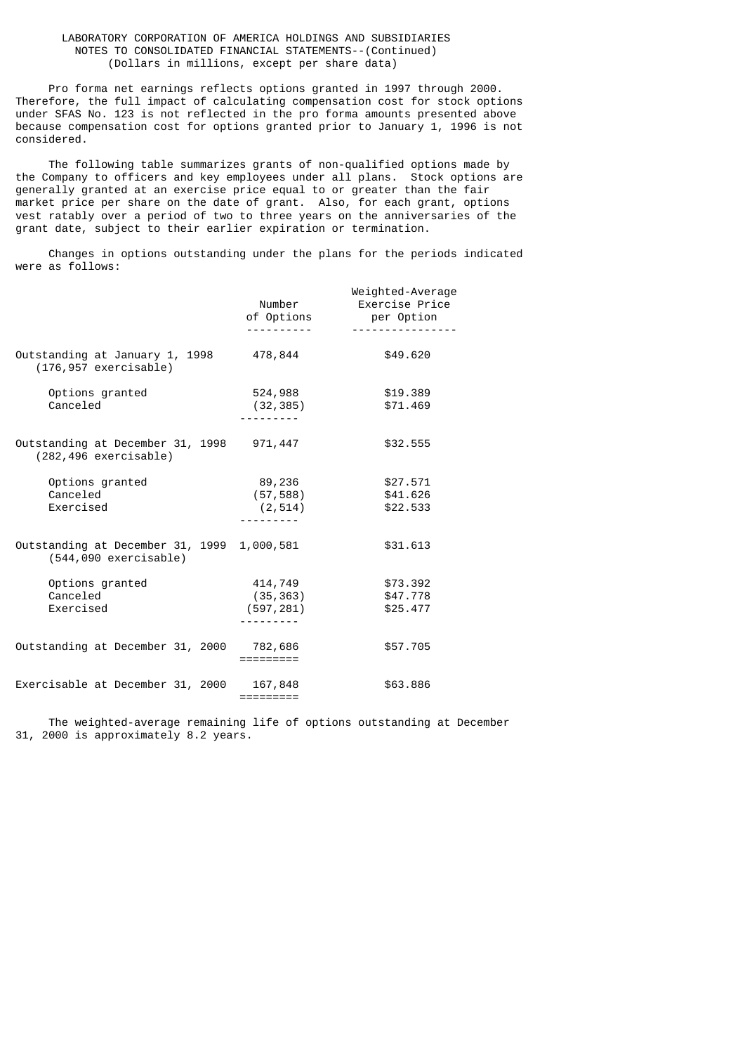Pro forma net earnings reflects options granted in 1997 through 2000. Therefore, the full impact of calculating compensation cost for stock options under SFAS No. 123 is not reflected in the pro forma amounts presented above because compensation cost for options granted prior to January 1, 1996 is not considered.

 The following table summarizes grants of non-qualified options made by the Company to officers and key employees under all plans. Stock options are generally granted at an exercise price equal to or greater than the fair market price per share on the date of grant. Also, for each grant, options vest ratably over a period of two to three years on the anniversaries of the grant date, subject to their earlier expiration or termination.

 Changes in options outstanding under the plans for the periods indicated were as follows:

|                                                                      | Number<br>of Options               | Weighted-Average<br>Exercise Price<br>per Option |
|----------------------------------------------------------------------|------------------------------------|--------------------------------------------------|
| Outstanding at January 1, 1998<br>$(176, 957$ exercisable)           | 478,844                            | \$49,620                                         |
| Options granted<br>Canceled                                          | 524,988<br>(32, 385)               | \$19.389<br>\$71,469                             |
| Outstanding at December 31, 1998 971,447<br>$(282, 496$ exercisable) |                                    | \$32.555                                         |
| Options granted<br>Canceled<br>Exercised                             | 89,236<br>(57, 588)<br>(2, 514)    | \$27.571<br>\$41.626<br>\$22.533                 |
| Outstanding at December 31, 1999<br>$(544,090$ exercisable)          | 1,000,581                          | \$31,613                                         |
| Options granted<br>Canceled<br>Exercised                             | 414,749<br>(35, 363)<br>(597, 281) | \$73.392<br>\$47.778<br>\$25.477                 |
| Outstanding at December 31, 2000 782,686                             | =========                          | \$57.705                                         |
| Exercisable at December 31, 2000                                     | 167,848<br>=========               | \$63.886                                         |

 The weighted-average remaining life of options outstanding at December 31, 2000 is approximately 8.2 years.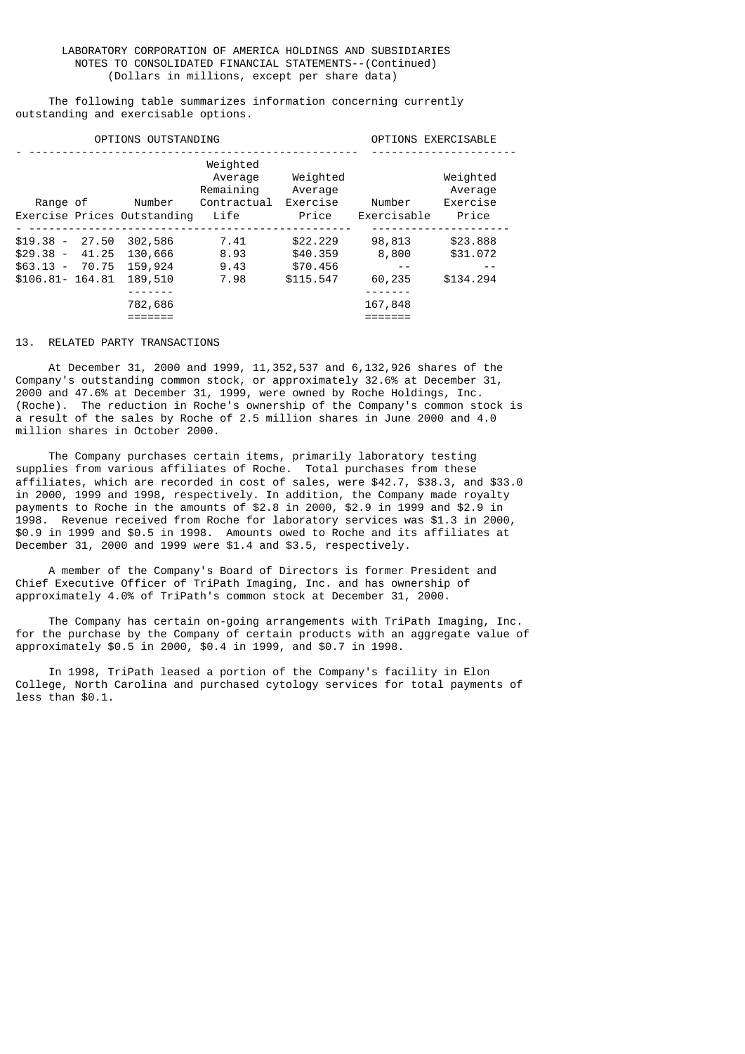The following table summarizes information concerning currently outstanding and exercisable options.

| OPTIONS OUTSTANDING                                                |                |                                                     | OPTIONS EXERCISABLE                                     |                                               |                                              |                                          |
|--------------------------------------------------------------------|----------------|-----------------------------------------------------|---------------------------------------------------------|-----------------------------------------------|----------------------------------------------|------------------------------------------|
| Range of                                                           |                | Number<br>Exercise Prices Outstanding               | Weighted<br>Average<br>Remaining<br>Contractual<br>Life | Weighted<br>Average<br>Exercise<br>Price      | Number<br>Exercisable                        | Weighted<br>Average<br>Exercise<br>Price |
| $$19.38 - 27.50$<br>$$29.38 -$<br>$$63.13 -$<br>$$106.81 - 164.81$ | 41.25<br>70.75 | 302,586<br>130,666<br>159,924<br>189,510<br>782,686 | 7.41<br>8.93<br>9.43<br>7.98                            | \$22.229<br>\$40,359<br>\$70,456<br>\$115.547 | 98,813<br>8,800<br>$ -$<br>60,235<br>167,848 | \$23,888<br>\$31,072<br>- -<br>\$134,294 |

### 13. RELATED PARTY TRANSACTIONS

 At December 31, 2000 and 1999, 11,352,537 and 6,132,926 shares of the Company's outstanding common stock, or approximately 32.6% at December 31, 2000 and 47.6% at December 31, 1999, were owned by Roche Holdings, Inc. (Roche). The reduction in Roche's ownership of the Company's common stock is a result of the sales by Roche of 2.5 million shares in June 2000 and 4.0 million shares in October 2000.

 The Company purchases certain items, primarily laboratory testing supplies from various affiliates of Roche. Total purchases from these affiliates, which are recorded in cost of sales, were \$42.7, \$38.3, and \$33.0 in 2000, 1999 and 1998, respectively. In addition, the Company made royalty payments to Roche in the amounts of \$2.8 in 2000, \$2.9 in 1999 and \$2.9 in 1998. Revenue received from Roche for laboratory services was \$1.3 in 2000, \$0.9 in 1999 and \$0.5 in 1998. Amounts owed to Roche and its affiliates at December 31, 2000 and 1999 were \$1.4 and \$3.5, respectively.

 A member of the Company's Board of Directors is former President and Chief Executive Officer of TriPath Imaging, Inc. and has ownership of approximately 4.0% of TriPath's common stock at December 31, 2000.

 The Company has certain on-going arrangements with TriPath Imaging, Inc. for the purchase by the Company of certain products with an aggregate value of approximately \$0.5 in 2000, \$0.4 in 1999, and \$0.7 in 1998.

 In 1998, TriPath leased a portion of the Company's facility in Elon College, North Carolina and purchased cytology services for total payments of less than \$0.1.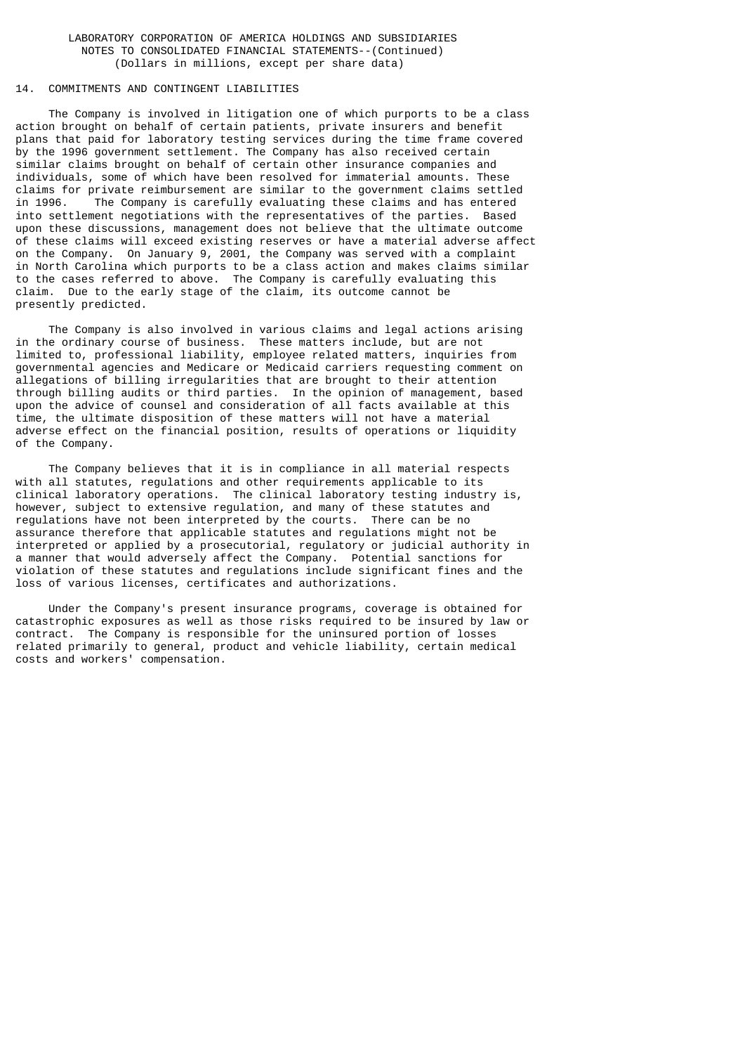# 14. COMMITMENTS AND CONTINGENT LIABILITIES

 The Company is involved in litigation one of which purports to be a class action brought on behalf of certain patients, private insurers and benefit plans that paid for laboratory testing services during the time frame covered by the 1996 government settlement. The Company has also received certain similar claims brought on behalf of certain other insurance companies and individuals, some of which have been resolved for immaterial amounts. These claims for private reimbursement are similar to the government claims settled in 1996. The Company is carefully evaluating these claims and has entered into settlement negotiations with the representatives of the parties. Based upon these discussions, management does not believe that the ultimate outcome of these claims will exceed existing reserves or have a material adverse affect on the Company. On January 9, 2001, the Company was served with a complaint in North Carolina which purports to be a class action and makes claims similar to the cases referred to above. The Company is carefully evaluating this claim. Due to the early stage of the claim, its outcome cannot be presently predicted.

 The Company is also involved in various claims and legal actions arising in the ordinary course of business. These matters include, but are not limited to, professional liability, employee related matters, inquiries from governmental agencies and Medicare or Medicaid carriers requesting comment on allegations of billing irregularities that are brought to their attention through billing audits or third parties. In the opinion of management, based upon the advice of counsel and consideration of all facts available at this time, the ultimate disposition of these matters will not have a material adverse effect on the financial position, results of operations or liquidity of the Company.

 The Company believes that it is in compliance in all material respects with all statutes, regulations and other requirements applicable to its clinical laboratory operations. The clinical laboratory testing industry is, however, subject to extensive regulation, and many of these statutes and regulations have not been interpreted by the courts. There can be no assurance therefore that applicable statutes and regulations might not be interpreted or applied by a prosecutorial, regulatory or judicial authority in a manner that would adversely affect the Company. Potential sanctions for violation of these statutes and regulations include significant fines and the loss of various licenses, certificates and authorizations.

 Under the Company's present insurance programs, coverage is obtained for catastrophic exposures as well as those risks required to be insured by law or contract. The Company is responsible for the uninsured portion of losses related primarily to general, product and vehicle liability, certain medical costs and workers' compensation.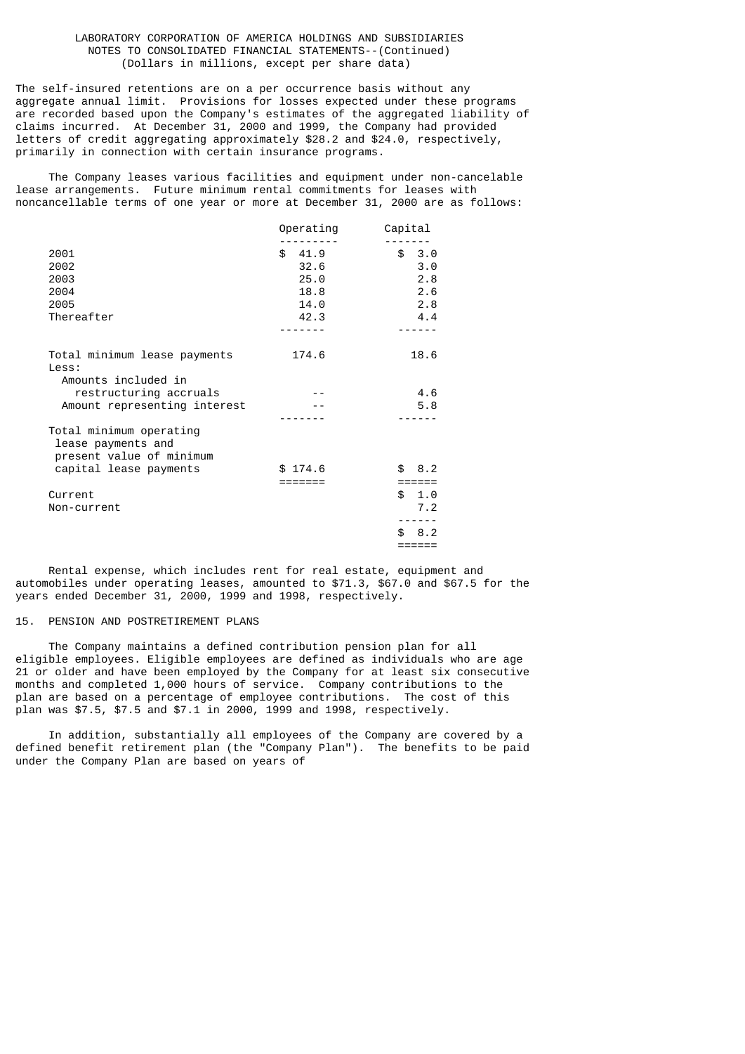The self-insured retentions are on a per occurrence basis without any aggregate annual limit. Provisions for losses expected under these programs are recorded based upon the Company's estimates of the aggregated liability of claims incurred. At December 31, 2000 and 1999, the Company had provided letters of credit aggregating approximately \$28.2 and \$24.0, respectively, primarily in connection with certain insurance programs.

 The Company leases various facilities and equipment under non-cancelable lease arrangements. Future minimum rental commitments for leases with noncancellable terms of one year or more at December 31, 2000 are as follows:

|                              | Operating | Capital    |
|------------------------------|-----------|------------|
|                              |           |            |
| 2001                         | \$41.9    | \$3.0      |
| 2002                         | 32.6      | 3.0        |
| 2003                         | 25.0      | 2.8        |
| 2004                         | 18.8      | 2.6        |
| 2005                         | 14.0      | 2.8        |
| Thereafter                   | 42.3      | 4.4        |
|                              |           |            |
| Total minimum lease payments | 174.6     | 18.6       |
| Less:                        |           |            |
| Amounts included in          |           |            |
| restructuring accruals       |           | 4.6        |
| Amount representing interest |           | 5.8        |
|                              |           |            |
| Total minimum operating      |           |            |
| lease payments and           |           |            |
| present value of minimum     |           |            |
| capital lease payments       | \$174.6   | \$8.2      |
|                              |           | ======     |
| Current                      |           | \$1.0      |
| Non-current                  |           | 7.2        |
|                              |           |            |
|                              |           | \$.<br>8.2 |
|                              |           | ======     |
|                              |           |            |

 Rental expense, which includes rent for real estate, equipment and automobiles under operating leases, amounted to \$71.3, \$67.0 and \$67.5 for the years ended December 31, 2000, 1999 and 1998, respectively.

### 15. PENSION AND POSTRETIREMENT PLANS

 The Company maintains a defined contribution pension plan for all eligible employees. Eligible employees are defined as individuals who are age 21 or older and have been employed by the Company for at least six consecutive months and completed 1,000 hours of service. Company contributions to the plan are based on a percentage of employee contributions. The cost of this plan was \$7.5, \$7.5 and \$7.1 in 2000, 1999 and 1998, respectively.

 In addition, substantially all employees of the Company are covered by a defined benefit retirement plan (the "Company Plan"). The benefits to be paid under the Company Plan are based on years of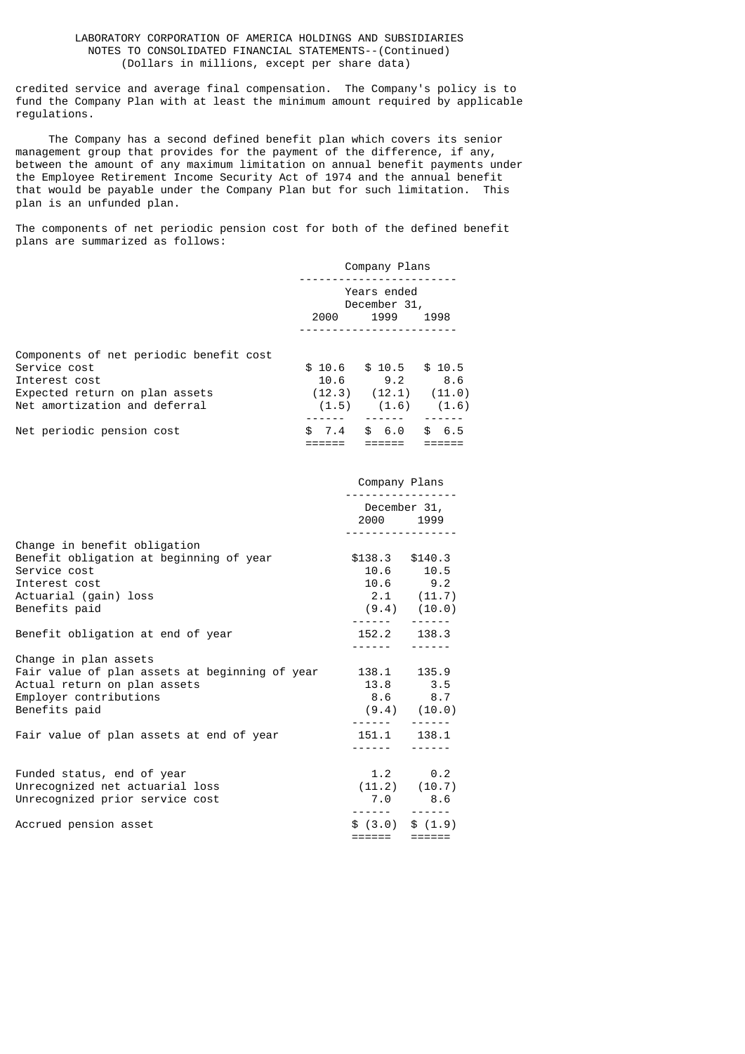credited service and average final compensation. The Company's policy is to fund the Company Plan with at least the minimum amount required by applicable regulations.

 The Company has a second defined benefit plan which covers its senior management group that provides for the payment of the difference, if any, between the amount of any maximum limitation on annual benefit payments under the Employee Retirement Income Security Act of 1974 and the annual benefit that would be payable under the Company Plan but for such limitation. This plan is an unfunded plan.

The components of net periodic pension cost for both of the defined benefit plans are summarized as follows:

|                                         | Company Plans               |                            |            |  |
|-----------------------------------------|-----------------------------|----------------------------|------------|--|
|                                         | Years ended<br>December 31, |                            |            |  |
|                                         | 1999<br>2000<br>1998        |                            |            |  |
|                                         |                             |                            |            |  |
| Components of net periodic benefit cost |                             |                            |            |  |
| Service cost                            | \$10.6                      | \$10.5                     | \$10.5     |  |
| Interest cost                           | 10.6                        | 9.2                        | 8.6        |  |
| Expected return on plan assets          |                             | $(12.3)$ $(12.1)$ $(11.0)$ |            |  |
| Net amortization and deferral           | (1.5)                       | (1.6)                      | (1.6)      |  |
|                                         |                             |                            |            |  |
| Net periodic pension cost               | \$.<br>7.4                  | \$ 6.0                     | 6.5<br>\$. |  |
|                                         |                             |                            |            |  |

|                                                | Company Plans<br><u> - - - - - - - - - - -</u> |                           |
|------------------------------------------------|------------------------------------------------|---------------------------|
|                                                |                                                | December 31,<br>2000 1999 |
| Change in benefit obligation                   | <u>.</u>                                       |                           |
| Benefit obligation at beginning of year        | $$138.3$ $$140.3$                              |                           |
| Service cost                                   |                                                | 10.6 10.5                 |
| Interest cost                                  |                                                | $10.6$ $9.2$              |
| Actuarial (gain) loss                          |                                                | $2.1$ (11.7)              |
| Benefits paid                                  |                                                | $(9.4)$ $(10.0)$          |
|                                                |                                                |                           |
| Benefit obligation at end of year              |                                                | 152.2 138.3               |
| Change in plan assets                          |                                                |                           |
| Fair value of plan assets at beginning of year |                                                | 138.1 135.9               |
| Actual return on plan assets                   |                                                | 13.8 3.5                  |
| Employer contributions                         |                                                | 8.6 8.7                   |
| Benefits paid                                  | $(9.4)$ $(10.0)$                               |                           |
|                                                |                                                |                           |
| Fair value of plan assets at end of year       | 151.1 138.1                                    |                           |
|                                                | <u> - - - - - - - - - - - - -</u>              |                           |
|                                                |                                                |                           |
| Funded status, end of year                     |                                                | $1.2 \t 0.2$              |
| Unrecognized net actuarial loss                |                                                | (11.2) (10.7)             |
| Unrecognized prior service cost                |                                                | $7.0$ 8.6                 |
| Accrued pension asset                          |                                                | \$(3.0) \$(1.9)           |
|                                                |                                                |                           |
|                                                |                                                |                           |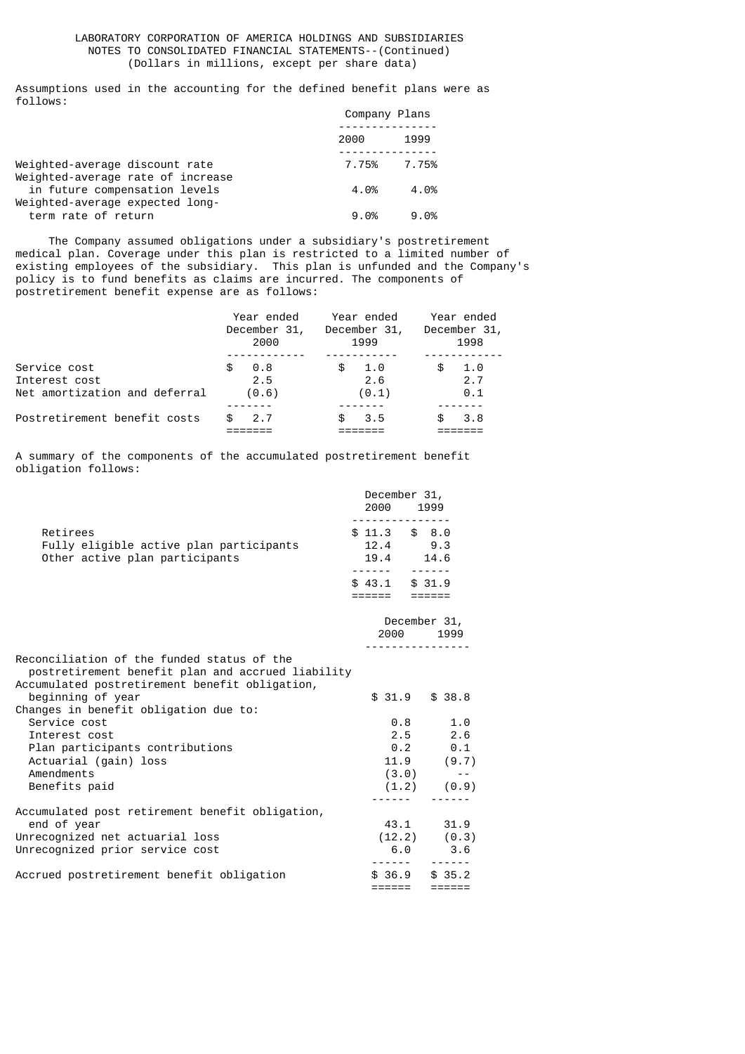Assumptions used in the accounting for the defined benefit plans were as follows:

|                                                                     | Company Plans |             |  |
|---------------------------------------------------------------------|---------------|-------------|--|
|                                                                     | 2000          | 1999        |  |
| Weighted-average discount rate<br>Weighted-average rate of increase |               | 7.75% 7.75% |  |
| in future compensation levels<br>Weighted-average expected long-    | 4.0%          | 4.0%        |  |
| term rate of return                                                 | 9.0%          | $9.0\%$     |  |

 The Company assumed obligations under a subsidiary's postretirement medical plan. Coverage under this plan is restricted to a limited number of existing employees of the subsidiary. This plan is unfunded and the Company's policy is to fund benefits as claims are incurred. The components of postretirement benefit expense are as follows:

|                               | Year ended<br>December 31, | Year ended<br>December 31, | Year ended<br>December 31, |  |
|-------------------------------|----------------------------|----------------------------|----------------------------|--|
|                               | 2000                       | 1999                       | 1998                       |  |
|                               |                            |                            |                            |  |
| Service cost                  | 0.8<br>£.                  | 1.0<br>\$                  | 1.0<br>\$                  |  |
| Interest cost                 | 2.5                        | 2.6                        | 2.7                        |  |
| Net amortization and deferral | (0.6)                      | (0.1)                      | 0.1                        |  |
|                               |                            |                            |                            |  |
| Postretirement benefit costs  | 2.7<br>\$.                 | 3.5<br>£.                  | 3.8<br>£.                  |  |
|                               |                            |                            |                            |  |

A summary of the components of the accumulated postretirement benefit obligation follows:

|                                                                                                                                                   | December 31,<br>2000 1999               |                           |
|---------------------------------------------------------------------------------------------------------------------------------------------------|-----------------------------------------|---------------------------|
| Retirees<br>Fully eligible active plan participants<br>Other active plan participants                                                             | $$11.3$ $$8.0$<br>12.4 9.3<br>19.4 14.6 | ------                    |
|                                                                                                                                                   | $$43.1$ $$31.9$<br>======               | $=$ $=$ $=$ $=$ $=$ $=$   |
|                                                                                                                                                   |                                         | December 31,<br>2000 1999 |
| Reconciliation of the funded status of the<br>postretirement benefit plan and accrued liability<br>Accumulated postretirement benefit obligation, |                                         |                           |
| beginning of year<br>Changes in benefit obligation due to:                                                                                        |                                         | $$31.9$ $$38.8$           |
| Service cost                                                                                                                                      | 0.8                                     | 1.0                       |
| Interest cost                                                                                                                                     |                                         | $2.5$ 2.6                 |
| Plan participants contributions                                                                                                                   |                                         | $0.2$ 0.1                 |
| Actuarial (gain) loss                                                                                                                             |                                         | $11.9$ (9.7)              |
| Amendments                                                                                                                                        | (3.0)                                   | $\sim$ $ -$               |
| Benefits paid                                                                                                                                     |                                         | (1.2) (0.9)               |
|                                                                                                                                                   |                                         |                           |
| Accumulated post retirement benefit obligation,                                                                                                   |                                         |                           |
| end of year                                                                                                                                       |                                         | 43.1 31.9                 |
| Unrecognized net actuarial loss                                                                                                                   |                                         | (12.2) (0.3)              |
| Unrecognized prior service cost                                                                                                                   |                                         | $6.0$ 3.6                 |
|                                                                                                                                                   |                                         |                           |
| Accrued postretirement benefit obligation                                                                                                         |                                         | $$36.9$ $$35.2$           |
|                                                                                                                                                   | ======                                  | $=$ $=$ $=$ $=$ $=$ $=$   |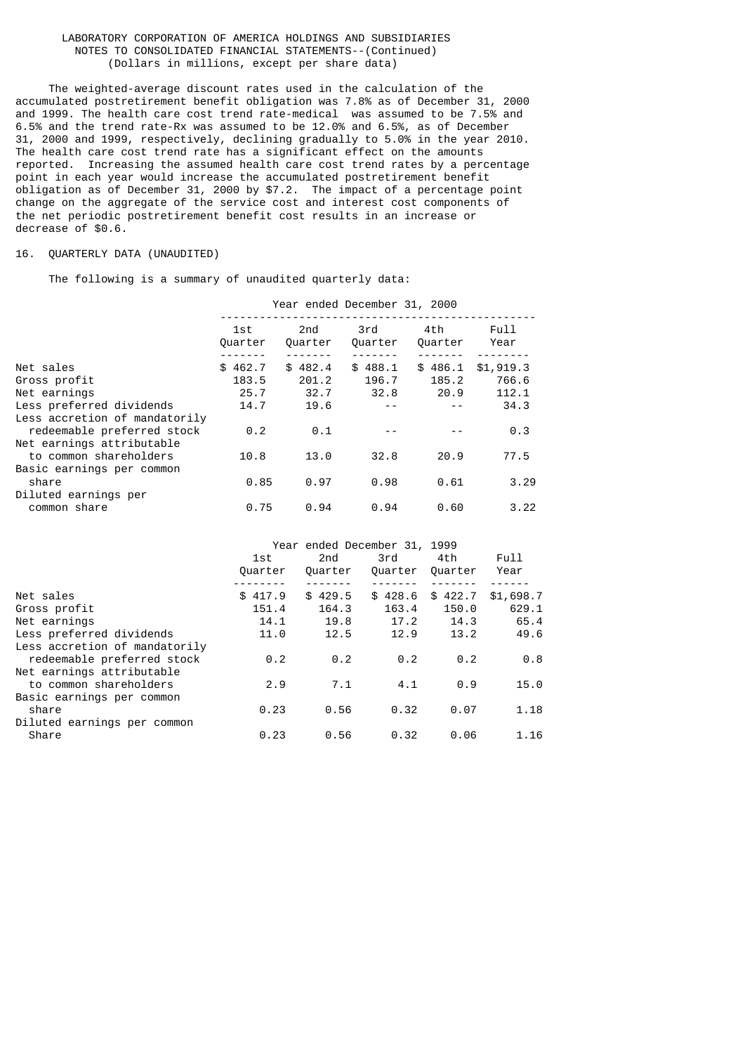The weighted-average discount rates used in the calculation of the accumulated postretirement benefit obligation was 7.8% as of December 31, 2000 and 1999. The health care cost trend rate-medical was assumed to be 7.5% and 6.5% and the trend rate-Rx was assumed to be 12.0% and 6.5%, as of December 31, 2000 and 1999, respectively, declining gradually to 5.0% in the year 2010. The health care cost trend rate has a significant effect on the amounts reported. Increasing the assumed health care cost trend rates by a percentage point in each year would increase the accumulated postretirement benefit obligation as of December 31, 2000 by \$7.2. The impact of a percentage point change on the aggregate of the service cost and interest cost components of the net periodic postretirement benefit cost results in an increase or decrease of \$0.6.

## 16. QUARTERLY DATA (UNAUDITED)

The following is a summary of unaudited quarterly data:

|                                                             | Year ended December 31, 2000 |                |                |                |              |  |
|-------------------------------------------------------------|------------------------------|----------------|----------------|----------------|--------------|--|
|                                                             | 1st<br>Quarter               | 2nd<br>Ouarter | 3rd<br>Quarter | 4th<br>Quarter | Full<br>Year |  |
| Net sales                                                   | \$462.7                      | \$482.4        | \$488.1        | \$486.1        | \$1,919.3    |  |
| Gross profit                                                | 183.5                        | 201.2          | 196.7          | 185.2          | 766.6        |  |
| Net earnings                                                | 25.7                         | 32.7           | 32.8           | 20.9           | 112.1        |  |
| Less preferred dividends                                    | 14.7                         | 19.6           |                |                | 34.3         |  |
| Less accretion of mandatorily<br>redeemable preferred stock | 0.2                          | 0.1            |                |                | 0.3          |  |
| Net earnings attributable<br>to common shareholders         | 10.8                         | 13.0           | 32.8           | 20.9           | 77.5         |  |
| Basic earnings per common<br>share<br>Diluted earnings per  | 0.85                         | 0.97           | 0.98           | 0.61           | 3.29         |  |
| common share                                                | 0.75                         | 0.94           | 0.94           | 0.60           | 3.22         |  |

|                               |         | Year ended December 31, 1999 |         |                   |           |
|-------------------------------|---------|------------------------------|---------|-------------------|-----------|
|                               | 1st     | 2nd                          | 3rd     | 4th               | Full      |
|                               | Quarter | Ouarter                      | Quarter | Ouarter           | Year      |
|                               |         |                              |         |                   |           |
| Net sales                     | \$417.9 | \$429.5                      |         | $$428.6$ $$422.7$ | \$1,698.7 |
| Gross profit                  | 151.4   | 164.3                        | 163.4   | 150.0             | 629.1     |
| Net earnings                  | 14.1    | 19.8                         | 17.2    | 14.3              | 65.4      |
| Less preferred dividends      | 11.0    | 12.5                         | 12.9    | 13.2              | 49.6      |
| Less accretion of mandatorily |         |                              |         |                   |           |
| redeemable preferred stock    | 0.2     | 0.2                          | 0.2     | 0.2               | 0.8       |
| Net earnings attributable     |         |                              |         |                   |           |
| to common shareholders        | 2.9     | 7.1                          | 4.1     | 0.9               | 15.0      |
| Basic earnings per common     |         |                              |         |                   |           |
| share                         | 0.23    | 0.56                         | 0.32    | 0.07              | 1.18      |
| Diluted earnings per common   |         |                              |         |                   |           |
| Share                         | 0.23    | 0.56                         | 0.32    | 0.06              | 1.16      |
|                               |         |                              |         |                   |           |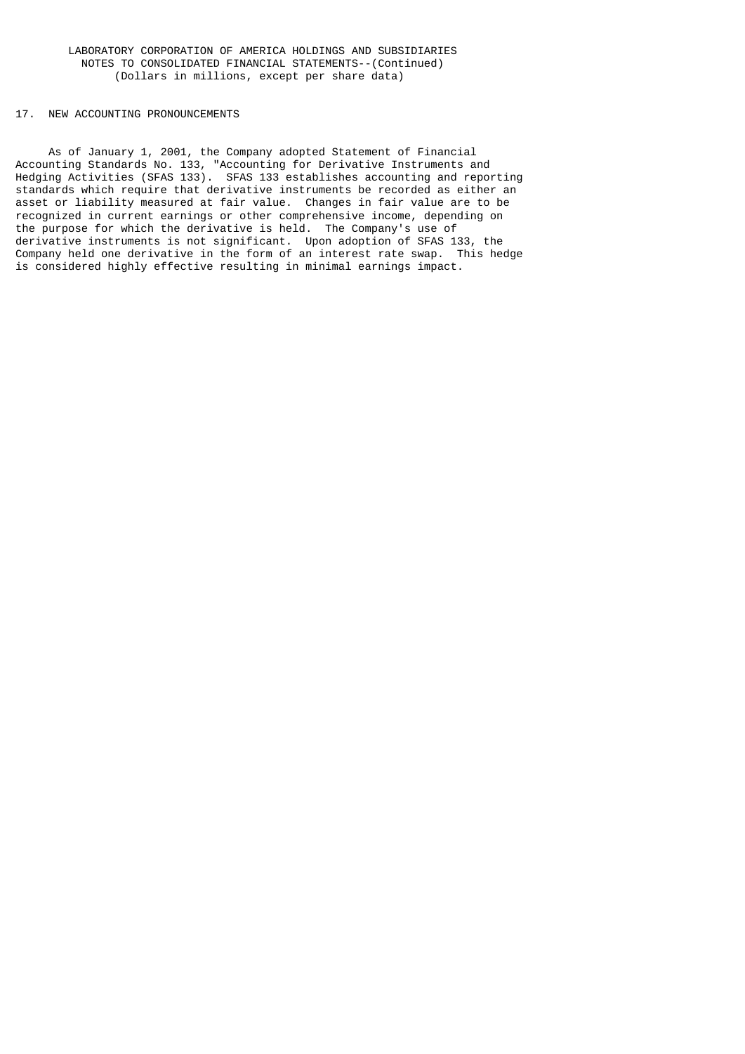### 17. NEW ACCOUNTING PRONOUNCEMENTS

 As of January 1, 2001, the Company adopted Statement of Financial Accounting Standards No. 133, "Accounting for Derivative Instruments and Hedging Activities (SFAS 133). SFAS 133 establishes accounting and reporting standards which require that derivative instruments be recorded as either an asset or liability measured at fair value. Changes in fair value are to be recognized in current earnings or other comprehensive income, depending on the purpose for which the derivative is held. The Company's use of derivative instruments is not significant. Upon adoption of SFAS 133, the Company held one derivative in the form of an interest rate swap. This hedge is considered highly effective resulting in minimal earnings impact.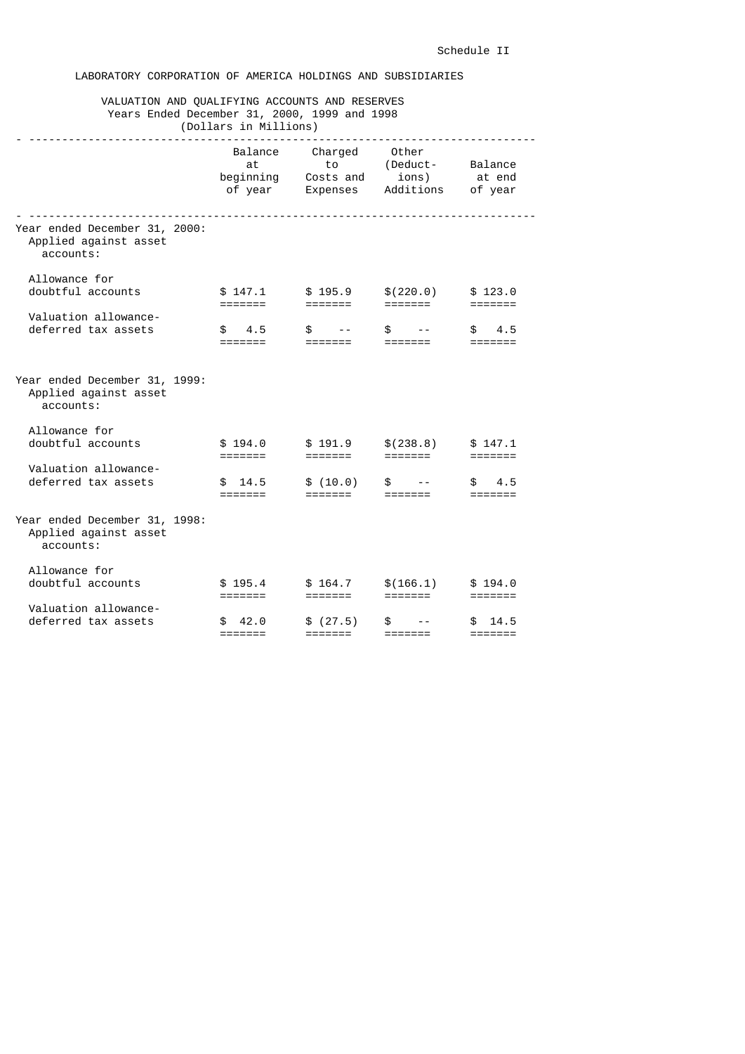# LABORATORY CORPORATION OF AMERICA HOLDINGS AND SUBSIDIARIES

# VALUATION AND QUALIFYING ACCOUNTS AND RESERVES Years Ended December 31, 2000, 1999 and 1998

| (Dollars in Millions)                                               |                                       |                                        |                                         |                                          |  |
|---------------------------------------------------------------------|---------------------------------------|----------------------------------------|-----------------------------------------|------------------------------------------|--|
|                                                                     | Balance<br>at<br>beginning<br>of year | Charged<br>to<br>Costs and<br>Expenses | Other<br>(Deduct-<br>ions)<br>Additions | Balance<br>at end<br>of year             |  |
| Year ended December 31, 2000:<br>Applied against asset<br>accounts: |                                       |                                        |                                         |                                          |  |
| Allowance for<br>doubtful accounts                                  | \$147.1<br>=======                    | \$195.9<br>$=$ $=$ $=$ $=$ $=$ $=$     | \$(220.0)<br>=======                    | \$123.0<br>=======                       |  |
| Valuation allowance-<br>deferred tax assets                         | \$<br>4.5                             | \$                                     | \$<br>=======                           | 4.5<br>\$<br>=======                     |  |
| Year ended December 31, 1999:<br>Applied against asset<br>accounts: |                                       |                                        |                                         |                                          |  |
| Allowance for<br>doubtful accounts                                  | \$194.0                               | \$191.9<br>=======                     | \$(238.8)<br>=======                    | \$147.1<br>$=$ $=$ $=$ $=$ $=$ $=$ $=$   |  |
| Valuation allowance-<br>deferred tax assets                         | \$14.5<br>$=$ $=$ $=$ $=$ $=$ $=$ $=$ | \$(10.0)<br>=======                    | \$                                      | 4.5<br>\$<br>$=$ $=$ $=$ $=$ $=$ $=$ $=$ |  |
| Year ended December 31, 1998:<br>Applied against asset<br>accounts: |                                       |                                        |                                         |                                          |  |
| Allowance for<br>doubtful accounts                                  | \$195.4<br>=======                    | \$164.7<br>$=$ $=$ $=$ $=$ $=$ $=$ $=$ | \$(166.1)<br>=======                    | \$194.0<br>$=$ $=$ $=$ $=$ $=$ $=$ $=$   |  |
| Valuation allowance-<br>deferred tax assets                         | 42.0<br>\$.<br>=======                | \$(27.5)<br>=======                    | £.<br>=======                           | 14.5<br>\$.<br>=======                   |  |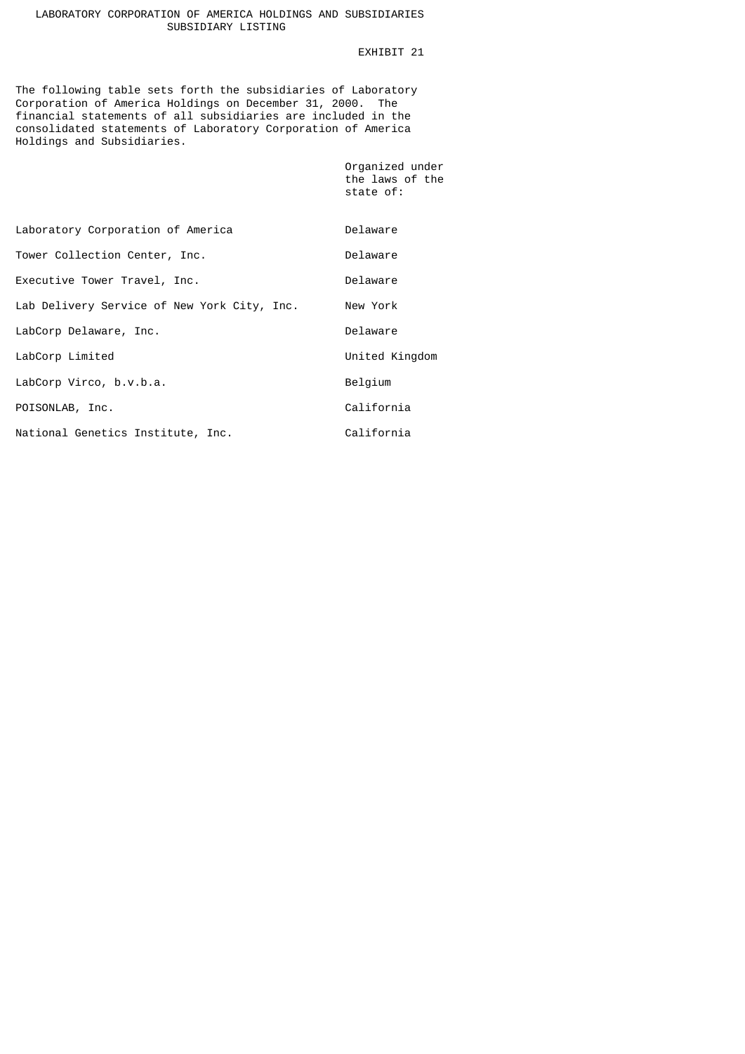# LABORATORY CORPORATION OF AMERICA HOLDINGS AND SUBSIDIARIES SUBSIDIARY LISTING

# EXHIBIT 21

Organized under

The following table sets forth the subsidiaries of Laboratory Corporation of America Holdings on December 31, 2000. The financial statements of all subsidiaries are included in the consolidated statements of Laboratory Corporation of America Holdings and Subsidiaries.

|                                             | the laws of the<br>state of: |  |
|---------------------------------------------|------------------------------|--|
| Laboratory Corporation of America           | Delaware                     |  |
| Tower Collection Center, Inc.               | Delaware                     |  |
| Executive Tower Travel, Inc.                | Delaware                     |  |
| Lab Delivery Service of New York City, Inc. | New York                     |  |
| LabCorp Delaware, Inc.                      | Delaware                     |  |
| LabCorp Limited                             | United Kingdom               |  |
| LabCorp Virco, b.v.b.a.                     | Belgium                      |  |
| POISONLAB, Inc.                             | California                   |  |
| National Genetics Institute, Inc.           | California                   |  |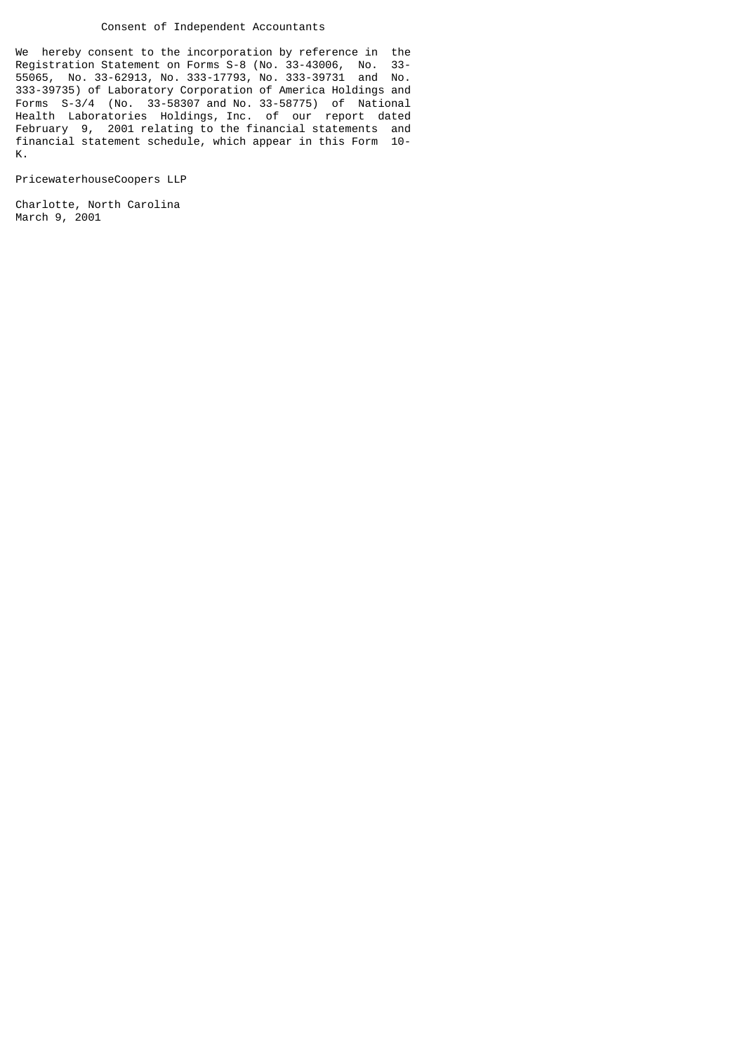### Consent of Independent Accountants

We hereby consent to the incorporation by reference in the Reqistration Statement on Forms  $S-8$  (No. 33-43006. No. 33-Registration Statement on Forms S-8 (No. 33-43006, No. 55065, No. 33-62913, No. 333-17793, No. 333-39731 and No. 333-39735) of Laboratory Corporation of America Holdings and Forms S-3/4 (No. 33-58307 and No. 33-58775) of National Health Laboratories Holdings, Inc. of our report dated February 9, 2001 relating to the financial statements and financial statement schedule, which appear in this Form 10- K.

PricewaterhouseCoopers LLP

Charlotte, North Carolina March 9, 2001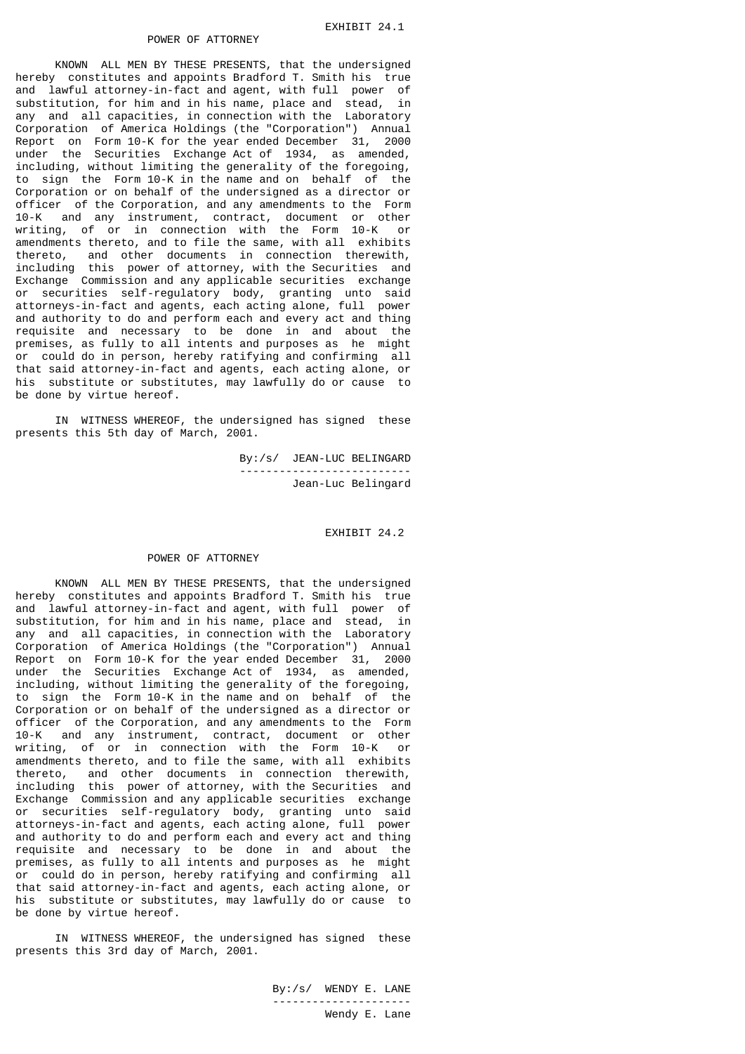KNOWN ALL MEN BY THESE PRESENTS, that the undersigned hereby constitutes and appoints Bradford T. Smith his true and lawful attorney-in-fact and agent, with full power of substitution, for him and in his name, place and stead, in any and all capacities, in connection with the Laboratory Corporation of America Holdings (the "Corporation") Annual Report on Form 10-K for the year ended December 31, 2000 under the Securities Exchange Act of 1934, as amended, including, without limiting the generality of the foregoing, to sign the Form 10-K in the name and on behalf of the Corporation or on behalf of the undersigned as a director or officer of the Corporation, and any amendments to the Form 10-K and any instrument, contract, document or other writing, of or in connection with the Form 10-K or amendments thereto, and to file the same, with all exhibits thereto, and other documents in connection therewith, including this power of attorney, with the Securities and Exchange Commission and any applicable securities exchange or securities self-regulatory body, granting unto said attorneys-in-fact and agents, each acting alone, full power and authority to do and perform each and every act and thing requisite and necessary to be done in and about the premises, as fully to all intents and purposes as he might or could do in person, hereby ratifying and confirming all that said attorney-in-fact and agents, each acting alone, or his substitute or substitutes, may lawfully do or cause to be done by virtue hereof.

 IN WITNESS WHEREOF, the undersigned has signed these presents this 5th day of March, 2001.

> By:/s/ JEAN-LUC BELINGARD -------------------------- Jean-Luc Belingard

> > EXHIBIT 24.2

#### POWER OF ATTORNEY

 KNOWN ALL MEN BY THESE PRESENTS, that the undersigned hereby constitutes and appoints Bradford T. Smith his true and lawful attorney-in-fact and agent, with full power of substitution, for him and in his name, place and stead, in any and all capacities, in connection with the Laboratory Corporation of America Holdings (the "Corporation") Annual Report on Form 10-K for the year ended December 31, 2000 under the Securities Exchange Act of 1934, as amended, including, without limiting the generality of the foregoing, to sign the Form 10-K in the name and on behalf of the Corporation or on behalf of the undersigned as a director or officer of the Corporation, and any amendments to the Form 10-K and any instrument, contract, document or other writing, of or in connection with the Form 10-K or amendments thereto, and to file the same, with all exhibits thereto, and other documents in connection therewith, including this power of attorney, with the Securities and Exchange Commission and any applicable securities exchange or securities self-regulatory body, granting unto said attorneys-in-fact and agents, each acting alone, full power and authority to do and perform each and every act and thing requisite and necessary to be done in and about the premises, as fully to all intents and purposes as he might or could do in person, hereby ratifying and confirming all that said attorney-in-fact and agents, each acting alone, or his substitute or substitutes, may lawfully do or cause to be done by virtue hereof.

 IN WITNESS WHEREOF, the undersigned has signed these presents this 3rd day of March, 2001.

 By:/s/ WENDY E. LANE --------------------- Wendy E. Lane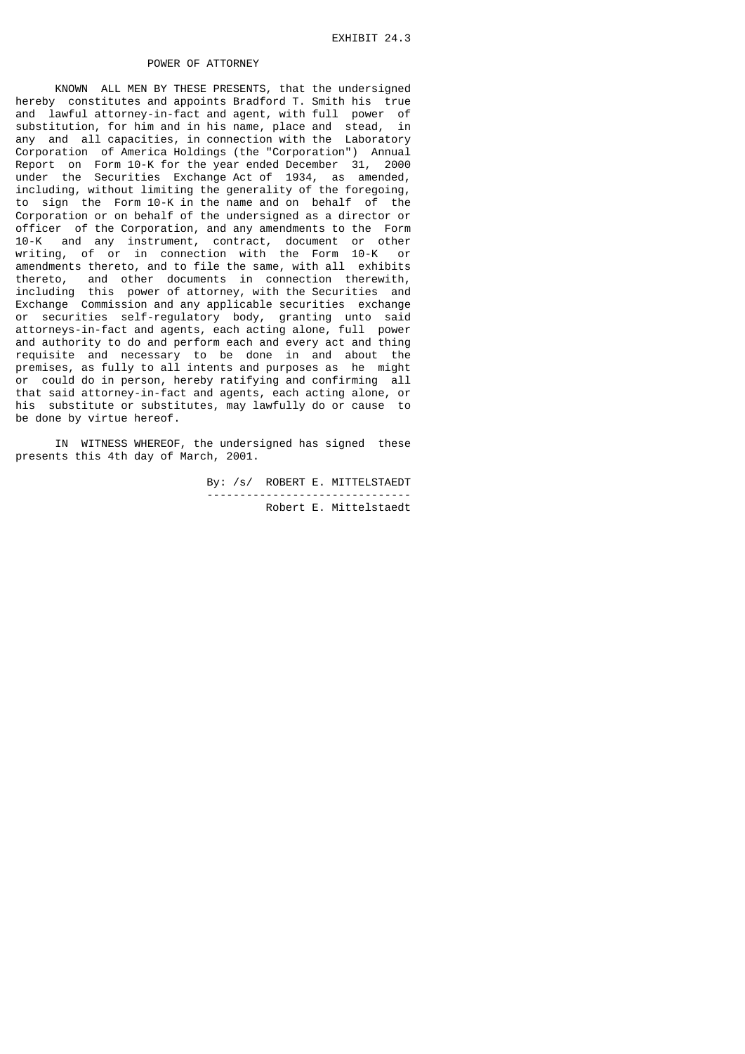KNOWN ALL MEN BY THESE PRESENTS, that the undersigned hereby constitutes and appoints Bradford T. Smith his true and lawful attorney-in-fact and agent, with full power of substitution, for him and in his name, place and stead, in any and all capacities, in connection with the Laboratory Corporation of America Holdings (the "Corporation") Annual Report on Form 10-K for the year ended December 31, 2000 under the Securities Exchange Act of 1934, as amended, including, without limiting the generality of the foregoing, to sign the Form 10-K in the name and on behalf of the Corporation or on behalf of the undersigned as a director or officer of the Corporation, and any amendments to the Form 10-K and any instrument, contract, document or other writing, of or in connection with the Form 10-K or amendments thereto, and to file the same, with all exhibits thereto, and other documents in connection therewith, including this power of attorney, with the Securities and Exchange Commission and any applicable securities exchange or securities self-regulatory body, granting unto said attorneys-in-fact and agents, each acting alone, full power and authority to do and perform each and every act and thing requisite and necessary to be done in and about the premises, as fully to all intents and purposes as he might or could do in person, hereby ratifying and confirming all that said attorney-in-fact and agents, each acting alone, or his substitute or substitutes, may lawfully do or cause to be done by virtue hereof.

 IN WITNESS WHEREOF, the undersigned has signed these presents this 4th day of March, 2001.

> By: /s/ ROBERT E. MITTELSTAEDT ------------------------------- Robert E. Mittelstaedt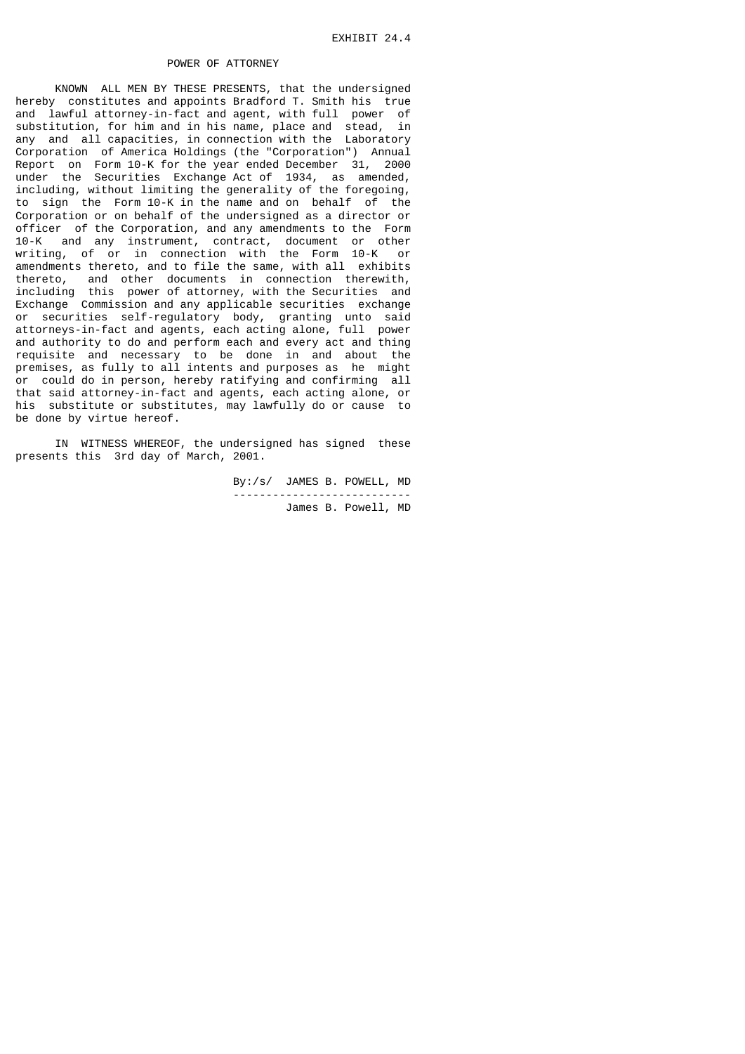KNOWN ALL MEN BY THESE PRESENTS, that the undersigned hereby constitutes and appoints Bradford T. Smith his true and lawful attorney-in-fact and agent, with full power of substitution, for him and in his name, place and stead, in any and all capacities, in connection with the Laboratory Corporation of America Holdings (the "Corporation") Annual Report on Form 10-K for the year ended December 31, 2000 under the Securities Exchange Act of 1934, as amended, including, without limiting the generality of the foregoing, to sign the Form 10-K in the name and on behalf of the Corporation or on behalf of the undersigned as a director or officer of the Corporation, and any amendments to the Form 10-K and any instrument, contract, document or other writing, of or in connection with the Form 10-K or amendments thereto, and to file the same, with all exhibits thereto, and other documents in connection therewith, including this power of attorney, with the Securities and Exchange Commission and any applicable securities exchange or securities self-regulatory body, granting unto said attorneys-in-fact and agents, each acting alone, full power and authority to do and perform each and every act and thing requisite and necessary to be done in and about the premises, as fully to all intents and purposes as he might or could do in person, hereby ratifying and confirming all that said attorney-in-fact and agents, each acting alone, or his substitute or substitutes, may lawfully do or cause to be done by virtue hereof.

 IN WITNESS WHEREOF, the undersigned has signed these presents this 3rd day of March, 2001.

> By:/s/ JAMES B. POWELL, MD --------------------------- James B. Powell, MD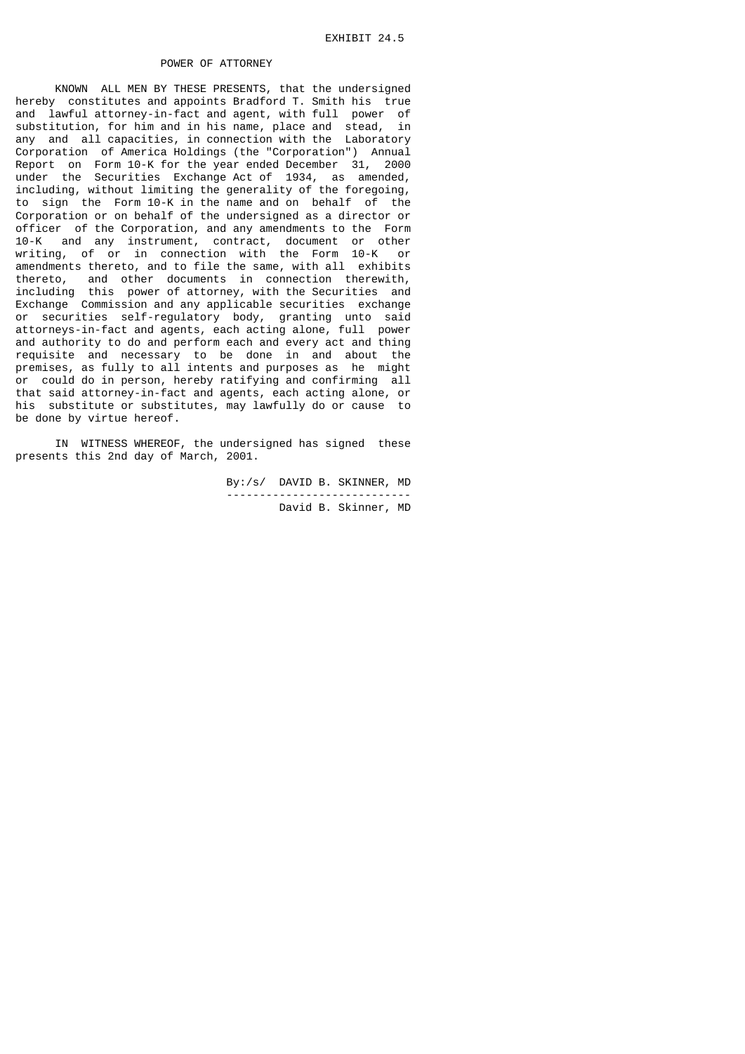KNOWN ALL MEN BY THESE PRESENTS, that the undersigned hereby constitutes and appoints Bradford T. Smith his true and lawful attorney-in-fact and agent, with full power of substitution, for him and in his name, place and stead, in any and all capacities, in connection with the Laboratory Corporation of America Holdings (the "Corporation") Annual Report on Form 10-K for the year ended December 31, 2000 under the Securities Exchange Act of 1934, as amended, including, without limiting the generality of the foregoing, to sign the Form 10-K in the name and on behalf of the Corporation or on behalf of the undersigned as a director or officer of the Corporation, and any amendments to the Form 10-K and any instrument, contract, document or other writing, of or in connection with the Form 10-K or amendments thereto, and to file the same, with all exhibits thereto, and other documents in connection therewith, including this power of attorney, with the Securities and Exchange Commission and any applicable securities exchange or securities self-regulatory body, granting unto said attorneys-in-fact and agents, each acting alone, full power and authority to do and perform each and every act and thing requisite and necessary to be done in and about the premises, as fully to all intents and purposes as he might or could do in person, hereby ratifying and confirming all that said attorney-in-fact and agents, each acting alone, or his substitute or substitutes, may lawfully do or cause to be done by virtue hereof.

 IN WITNESS WHEREOF, the undersigned has signed these presents this 2nd day of March, 2001.

 By:/s/ DAVID B. SKINNER, MD ---------------------------- David B. Skinner, MD